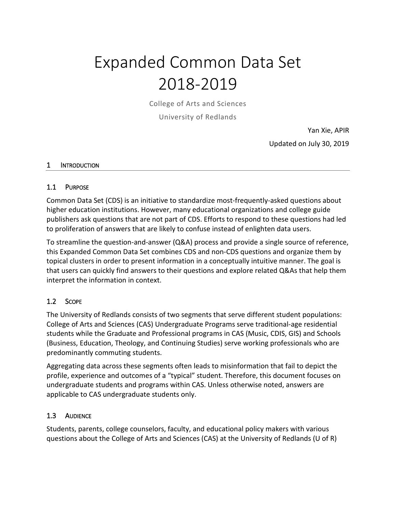# Expanded Common Data Set 2018-2019

College of Arts and Sciences

University of Redlands

Yan Xie, APIR Updated on July 30, 2019

#### 1 INTRODUCTION

#### 1.1 PURPOSE

Common Data Set (CDS) is an initiative to standardize most-frequently-asked questions about higher education institutions. However, many educational organizations and college guide publishers ask questions that are not part of CDS. Efforts to respond to these questions had led to proliferation of answers that are likely to confuse instead of enlighten data users.

To streamline the question-and-answer (Q&A) process and provide a single source of reference, this Expanded Common Data Set combines CDS and non-CDS questions and organize them by topical clusters in order to present information in a conceptually intuitive manner. The goal is that users can quickly find answers to their questions and explore related Q&As that help them interpret the information in context.

# 1.2 SCOPE

The University of Redlands consists of two segments that serve different student populations: College of Arts and Sciences (CAS) Undergraduate Programs serve traditional-age residential students while the Graduate and Professional programs in CAS (Music, CDIS, GIS) and Schools (Business, Education, Theology, and Continuing Studies) serve working professionals who are predominantly commuting students.

Aggregating data across these segments often leads to misinformation that fail to depict the profile, experience and outcomes of a "typical" student. Therefore, this document focuses on undergraduate students and programs within CAS. Unless otherwise noted, answers are applicable to CAS undergraduate students only.

#### 1.3 AUDIENCE

Students, parents, college counselors, faculty, and educational policy makers with various questions about the College of Arts and Sciences (CAS) at the University of Redlands (U of R)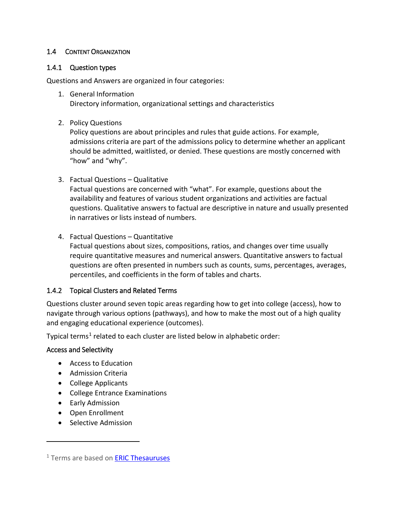# 1.4 CONTENT ORGANIZATION

## 1.4.1 Question types

Questions and Answers are organized in four categories:

- 1. General Information Directory information, organizational settings and characteristics
- 2. Policy Questions

Policy questions are about principles and rules that guide actions. For example, admissions criteria are part of the admissions policy to determine whether an applicant should be admitted, waitlisted, or denied. These questions are mostly concerned with "how" and "why".

3. Factual Questions – Qualitative

Factual questions are concerned with "what". For example, questions about the availability and features of various student organizations and activities are factual questions. Qualitative answers to factual are descriptive in nature and usually presented in narratives or lists instead of numbers.

4. Factual Questions – Quantitative

Factual questions about sizes, compositions, ratios, and changes over time usually require quantitative measures and numerical answers. Quantitative answers to factual questions are often presented in numbers such as counts, sums, percentages, averages, percentiles, and coefficients in the form of tables and charts.

# 1.4.2 Topical Clusters and Related Terms

Questions cluster around seven topic areas regarding how to get into college (access), how to navigate through various options (pathways), and how to make the most out of a high quality and engaging educational experience (outcomes).

Typical terms<sup>[1](#page-1-0)</sup> related to each cluster are listed below in alphabetic order:

#### Access and Selectivity

- Access to Education
- Admission Criteria
- College Applicants
- College Entrance Examinations
- Early Admission

 $\overline{a}$ 

- Open Enrollment
- Selective Admission

<span id="page-1-0"></span><sup>&</sup>lt;sup>1</sup> Terms are based on **ERIC Thesauruses**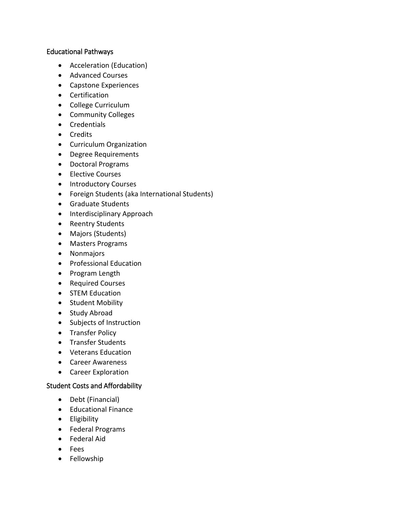## Educational Pathways

- Acceleration (Education)
- Advanced Courses
- Capstone Experiences
- Certification
- College Curriculum
- Community Colleges
- Credentials
- Credits
- Curriculum Organization
- Degree Requirements
- Doctoral Programs
- Elective Courses
- Introductory Courses
- Foreign Students (aka International Students)
- Graduate Students
- Interdisciplinary Approach
- Reentry Students
- Majors (Students)
- Masters Programs
- Nonmajors
- Professional Education
- Program Length
- Required Courses
- STEM Education
- Student Mobility
- Study Abroad
- Subjects of Instruction
- Transfer Policy
- Transfer Students
- Veterans Education
- Career Awareness
- Career Exploration

# Student Costs and Affordability

- Debt (Financial)
- Educational Finance
- Eligibility
- Federal Programs
- Federal Aid
- Fees
- Fellowship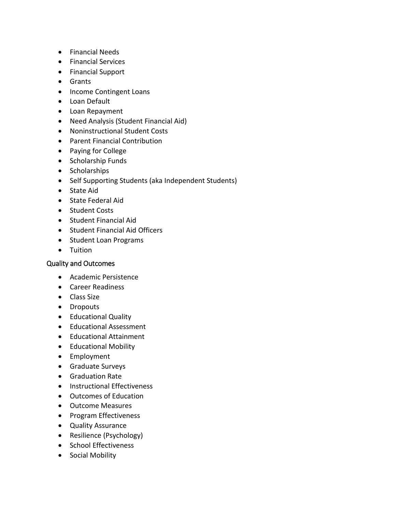- Financial Needs
- Financial Services
- Financial Support
- Grants
- Income Contingent Loans
- Loan Default
- Loan Repayment
- Need Analysis (Student Financial Aid)
- Noninstructional Student Costs
- Parent Financial Contribution
- Paying for College
- Scholarship Funds
- Scholarships
- Self Supporting Students (aka Independent Students)
- State Aid
- State Federal Aid
- Student Costs
- Student Financial Aid
- Student Financial Aid Officers
- Student Loan Programs
- Tuition

# Quality and Outcomes

- Academic Persistence
- Career Readiness
- Class Size
- Dropouts
- Educational Quality
- Educational Assessment
- Educational Attainment
- Educational Mobility
- Employment
- Graduate Surveys
- Graduation Rate
- Instructional Effectiveness
- Outcomes of Education
- Outcome Measures
- Program Effectiveness
- Quality Assurance
- Resilience (Psychology)
- School Effectiveness
- Social Mobility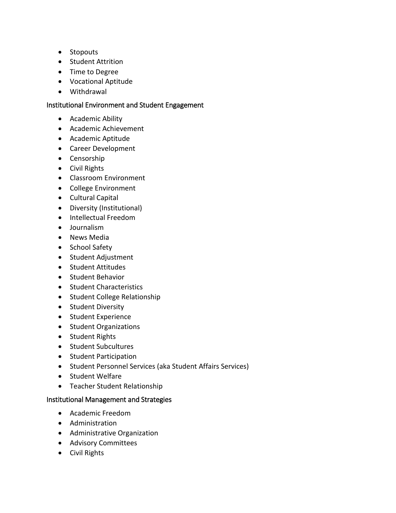- Stopouts
- Student Attrition
- Time to Degree
- Vocational Aptitude
- Withdrawal

## Institutional Environment and Student Engagement

- Academic Ability
- Academic Achievement
- Academic Aptitude
- Career Development
- Censorship
- Civil Rights
- Classroom Environment
- College Environment
- Cultural Capital
- Diversity (Institutional)
- Intellectual Freedom
- Journalism
- News Media
- School Safety
- Student Adjustment
- Student Attitudes
- Student Behavior
- Student Characteristics
- Student College Relationship
- Student Diversity
- Student Experience
- Student Organizations
- Student Rights
- Student Subcultures
- Student Participation
- Student Personnel Services (aka Student Affairs Services)
- Student Welfare
- Teacher Student Relationship

# Institutional Management and Strategies

- Academic Freedom
- Administration
- Administrative Organization
- Advisory Committees
- Civil Rights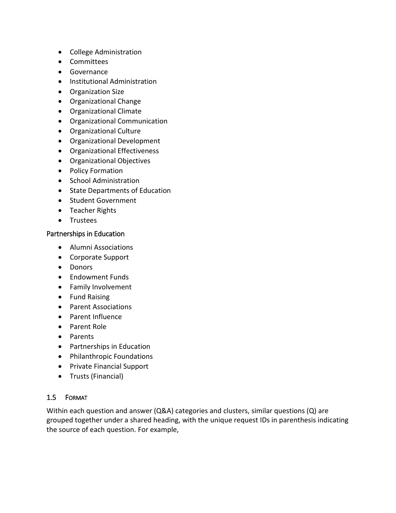- College Administration
- Committees
- Governance
- Institutional Administration
- Organization Size
- Organizational Change
- Organizational Climate
- Organizational Communication
- Organizational Culture
- Organizational Development
- Organizational Effectiveness
- Organizational Objectives
- Policy Formation
- School Administration
- State Departments of Education
- Student Government
- Teacher Rights
- Trustees

#### Partnerships in Education

- Alumni Associations
- Corporate Support
- Donors
- Endowment Funds
- Family Involvement
- Fund Raising
- Parent Associations
- Parent Influence
- Parent Role
- Parents
- Partnerships in Education
- Philanthropic Foundations
- Private Financial Support
- Trusts (Financial)

#### 1.5 FORMAT

Within each question and answer (Q&A) categories and clusters, similar questions (Q) are grouped together under a shared heading, with the unique request IDs in parenthesis indicating the source of each question. For example,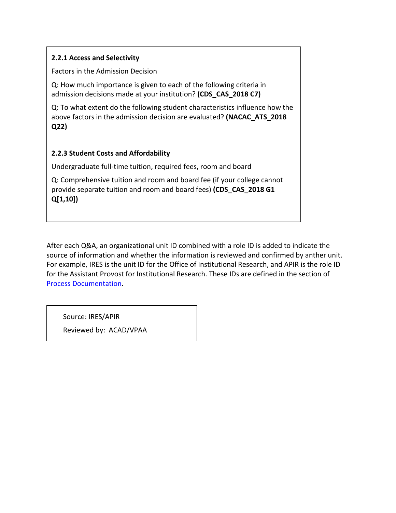# **2.2.1 Access and Selectivity**

Factors in the Admission Decision

Q: How much importance is given to each of the following criteria in admission decisions made at your institution? **(CDS\_CAS\_2018 C7)**

Q: To what extent do the following student characteristics influence how the above factors in the admission decision are evaluated? **(NACAC\_ATS\_2018 Q22)**

# **2.2.3 Student Costs and Affordability**

Undergraduate full-time tuition, required fees, room and board

Q: Comprehensive tuition and room and board fee (if your college cannot provide separate tuition and room and board fees) **(CDS\_CAS\_2018 G1 Q[1,10])**

After each Q&A, an organizational unit ID combined with a role ID is added to indicate the source of information and whether the information is reviewed and confirmed by anther unit. For example, IRES is the unit ID for the Office of Institutional Research, and APIR is the role ID for the Assistant Provost for Institutional Research. These IDs are defined in the section of [Process Documentation.](#page-104-0)

Source: IRES/APIR

Reviewed by: ACAD/VPAA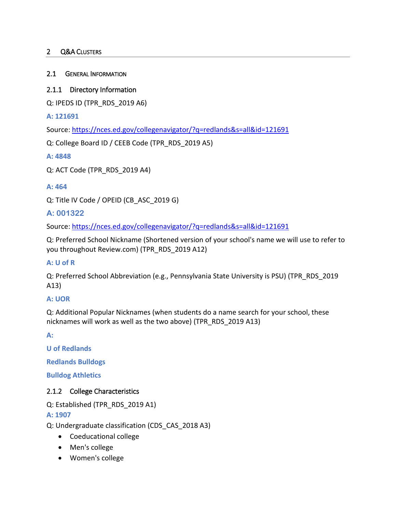# 2 Q&A CLUSTERS

### 2.1 GENERAL INFORMATION

## 2.1.1 Directory Information

Q: IPEDS ID (TPR\_RDS\_2019 A6)

**A: 121691**

Source:<https://nces.ed.gov/collegenavigator/?q=redlands&s=all&id=121691>

Q: College Board ID / CEEB Code (TPR\_RDS\_2019 A5)

**A: 4848**

Q: ACT Code (TPR\_RDS\_2019 A4)

## **A: 464**

Q: Title IV Code / OPEID (CB\_ASC\_2019 G)

# **A: 001322**

Source:<https://nces.ed.gov/collegenavigator/?q=redlands&s=all&id=121691>

Q: Preferred School Nickname (Shortened version of your school's name we will use to refer to you throughout Review.com) (TPR\_RDS\_2019 A12)

#### **A: U of R**

Q: Preferred School Abbreviation (e.g., Pennsylvania State University is PSU) (TPR\_RDS\_2019 A13)

#### **A: UOR**

Q: Additional Popular Nicknames (when students do a name search for your school, these nicknames will work as well as the two above) (TPR\_RDS\_2019 A13)

**A:** 

**U of Redlands**

**Redlands Bulldogs**

**Bulldog Athletics**

# 2.1.2 College Characteristics

Q: Established (TPR\_RDS\_2019 A1)

**A: 1907**

Q: Undergraduate classification (CDS\_CAS\_2018 A3)

- Coeducational college
- Men's college
- Women's college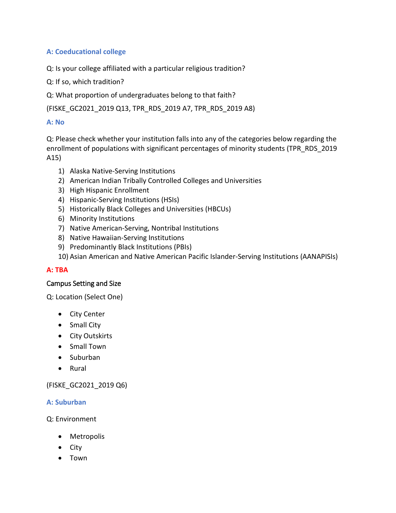# **A: Coeducational college**

Q: Is your college affiliated with a particular religious tradition?

Q: If so, which tradition?

Q: What proportion of undergraduates belong to that faith?

(FISKE\_GC2021\_2019 Q13, TPR\_RDS\_2019 A7, TPR\_RDS\_2019 A8)

# **A: No**

Q: Please check whether your institution falls into any of the categories below regarding the enrollment of populations with significant percentages of minority students (TPR\_RDS\_2019 A15)

- 1) Alaska Native-Serving Institutions
- 2) American Indian Tribally Controlled Colleges and Universities
- 3) High Hispanic Enrollment
- 4) Hispanic-Serving Institutions (HSIs)
- 5) Historically Black Colleges and Universities (HBCUs)
- 6) Minority Institutions
- 7) Native American-Serving, Nontribal Institutions
- 8) Native Hawaiian-Serving Institutions
- 9) Predominantly Black Institutions (PBIs)
- 10) Asian American and Native American Pacific Islander-Serving Institutions (AANAPISIs)

# **A: TBA**

# Campus Setting and Size

Q: Location (Select One)

- City Center
- Small City
- City Outskirts
- Small Town
- Suburban
- Rural

# (FISKE\_GC2021\_2019 Q6)

# **A: Suburban**

Q: Environment

- Metropolis
- City
- Town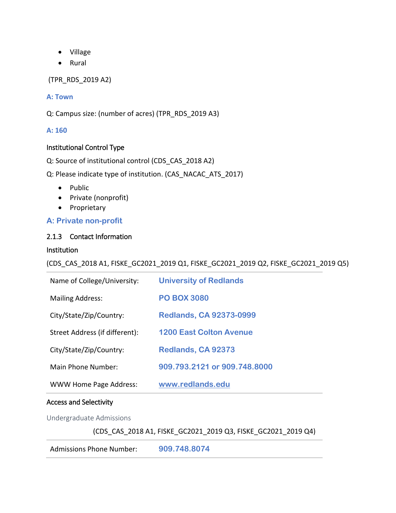- Village
- Rural

(TPR\_RDS\_2019 A2)

## **A: Town**

Q: Campus size: (number of acres) (TPR\_RDS\_2019 A3)

## **A: 160**

## Institutional Control Type

Q: Source of institutional control (CDS\_CAS\_2018 A2)

Q: Please indicate type of institution. (CAS\_NACAC\_ATS\_2017)

- Public
- Private (nonprofit)
- Proprietary

# **A: Private non-profit**

## 2.1.3 Contact Information

#### Institution

(CDS\_CAS\_2018 A1, FISKE\_GC2021\_2019 Q1, FISKE\_GC2021\_2019 Q2, FISKE\_GC2021\_2019 Q5)

| Name of College/University:    | <b>University of Redlands</b>  |
|--------------------------------|--------------------------------|
| <b>Mailing Address:</b>        | <b>PO BOX 3080</b>             |
| City/State/Zip/Country:        | <b>Redlands, CA 92373-0999</b> |
| Street Address (if different): | <b>1200 East Colton Avenue</b> |
| City/State/Zip/Country:        | Redlands, CA 92373             |
| Main Phone Number:             | 909.793.2121 or 909.748.8000   |
| <b>WWW Home Page Address:</b>  | www.redlands.edu               |

#### Access and Selectivity

Undergraduate Admissions

(CDS\_CAS\_2018 A1, FISKE\_GC2021\_2019 Q3, FISKE\_GC2021\_2019 Q4)

Admissions Phone Number: **909.748.8074**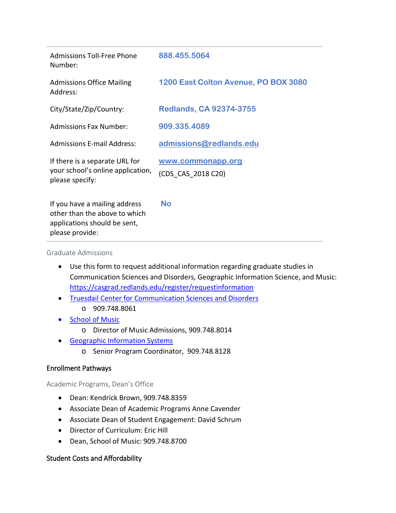| <b>Admissions Toll-Free Phone</b><br>Number:                                                                      | 888.455.5064                            |
|-------------------------------------------------------------------------------------------------------------------|-----------------------------------------|
| <b>Admissions Office Mailing</b><br>Address:                                                                      | 1200 East Colton Avenue, PO BOX 3080    |
| City/State/Zip/Country:                                                                                           | <b>Redlands, CA 92374-3755</b>          |
| <b>Admissions Fax Number:</b>                                                                                     | 909.335.4089                            |
| <b>Admissions E-mail Address:</b>                                                                                 | admissions@redlands.edu                 |
| If there is a separate URL for<br>your school's online application,<br>please specify:                            | www.commonapp.org<br>(CDS CAS 2018 C20) |
| If you have a mailing address<br>other than the above to which<br>applications should be sent,<br>please provide: | <b>No</b>                               |

#### Graduate Admissions

- Use this form to request additional information regarding graduate studies in Communication Sciences and Disorders, Geographic Information Science, and Music: <https://casgrad.redlands.edu/register/requestinformation>
- [Truesdail Center for Communication Sciences and Disorders](https://www.redlands.edu/study/schools-and-centers/college-of-arts-and-sciences/truesdail-center/communicative-disorders/) o 909.748.8061
- [School of Music](https://www.redlands.edu/study/schools-and-centers/school-of-music/)
	- o Director of Music Admissions, 909.748.8014
- [Geographic Information Systems](https://www.redlands.edu/study/schools-and-centers/college-of-arts-and-sciences/geographic-information-systems/)
	- o Senior Program Coordinator, 909.748.8128

#### Enrollment Pathways

#### Academic Programs, Dean's Office

- Dean: Kendrick Brown, 909.748.8359
- Associate Dean of Academic Programs Anne Cavender
- Associate Dean of Student Engagement: David Schrum
- Director of Curriculum: Eric Hill
- Dean, School of Music: 909.748.8700

#### Student Costs and Affordability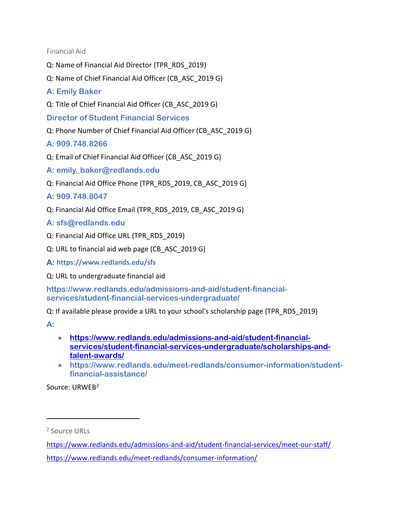Financial Aid

- Q: Name of Financial Aid Director (TPR\_RDS\_2019)
- Q: Name of Chief Financial Aid Officer (CB\_ASC\_2019 G)
- **A: Emily Baker**
- Q: Title of Chief Financial Aid Officer (CB\_ASC\_2019 G)

**Director of Student Financial Services**

- Q: Phone Number of Chief Financial Aid Officer (CB\_ASC\_2019 G)
- **A: 909.748.8266**
- Q: Email of Chief Financial Aid Officer (CB\_ASC\_2019 G)
- **A: [emily\\_baker@redlands.edu](mailto:emily_baker@redlands.edu)**
- Q: Financial Aid Office Phone (TPR\_RDS\_2019, CB\_ASC\_2019 G)
- **A: 909.748.8047**
- Q: Financial Aid Office Email (TPR\_RDS\_2019, CB\_ASC\_2019 G)
- **A: [sfs@redlands.edu](mailto:sfs@redlands.edu)**
- Q: Financial Aid Office URL (TPR\_RDS\_2019)
- Q: URL to financial aid web page (CB\_ASC\_2019 G)

**A: https://www.redlands.edu/sfs** 

Q: URL to undergraduate financial aid

**[https://www.redlands.edu/admissions-and-aid/student-financial](https://www.redlands.edu/admissions-and-aid/student-financial-services/student-financial-services-undergraduate/)[services/student-financial-services-undergraduate/](https://www.redlands.edu/admissions-and-aid/student-financial-services/student-financial-services-undergraduate/)**

Q: If available please provide a URL to your school's scholarship page (TPR\_RDS\_2019)

**A:** 

 $\overline{a}$ 

- **[https://www.redlands.edu/admissions-and-aid/student-financial](https://www.redlands.edu/admissions-and-aid/student-financial-services/student-financial-services-undergraduate/scholarships-and-talent-awards/)[services/student-financial-services-undergraduate/scholarships-and](https://www.redlands.edu/admissions-and-aid/student-financial-services/student-financial-services-undergraduate/scholarships-and-talent-awards/)[talent-awards/](https://www.redlands.edu/admissions-and-aid/student-financial-services/student-financial-services-undergraduate/scholarships-and-talent-awards/)**
- **[https://www.redlands.edu/meet-redlands/consumer-information/student](https://www.redlands.edu/meet-redlands/consumer-information/student-financial-assistance/)[financial-assistance/](https://www.redlands.edu/meet-redlands/consumer-information/student-financial-assistance/)**

Source: URWEB[2](#page-11-0)

<span id="page-11-0"></span><sup>2</sup> Source URLs

<https://www.redlands.edu/admissions-and-aid/student-financial-services/meet-our-staff/> <https://www.redlands.edu/meet-redlands/consumer-information/>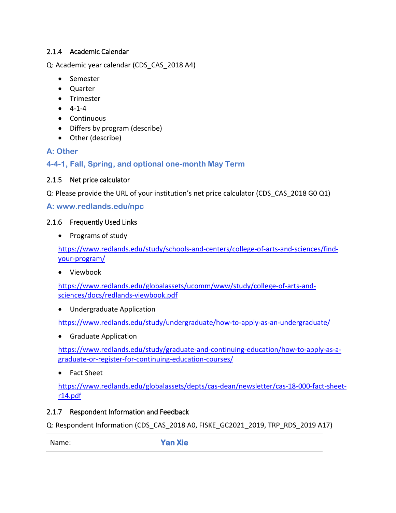# 2.1.4 Academic Calendar

Q: Academic year calendar (CDS\_CAS\_2018 A4)

- Semester
- Quarter
- Trimester
- $-4-1-4$
- Continuous
- Differs by program (describe)
- Other (describe)

# **A: Other**

**4-4-1, Fall, Spring, and optional one-month May Term**

# 2.1.5 Net price calculator

Q: Please provide the URL of your institution's net price calculator (CDS\_CAS\_2018 G0 Q1)

**A: [www.redlands.edu/npc](http://nces.ed.gov/transfer.asp?location=www.redlands.edu/npc)**

# 2.1.6 Frequently Used Links

• Programs of study

[https://www.redlands.edu/study/schools-and-centers/college-of-arts-and-sciences/find](https://www.redlands.edu/study/schools-and-centers/college-of-arts-and-sciences/find-your-program/)[your-program/](https://www.redlands.edu/study/schools-and-centers/college-of-arts-and-sciences/find-your-program/)

• Viewbook

[https://www.redlands.edu/globalassets/ucomm/www/study/college-of-arts-and](https://www.redlands.edu/globalassets/ucomm/www/study/college-of-arts-and-sciences/docs/redlands-viewbook.pdf)[sciences/docs/redlands-viewbook.pdf](https://www.redlands.edu/globalassets/ucomm/www/study/college-of-arts-and-sciences/docs/redlands-viewbook.pdf)

• Undergraduate Application

<https://www.redlands.edu/study/undergraduate/how-to-apply-as-an-undergraduate/>

• Graduate Application

[https://www.redlands.edu/study/graduate-and-continuing-education/how-to-apply-as-a](https://www.redlands.edu/study/graduate-and-continuing-education/how-to-apply-as-a-graduate-or-register-for-continuing-education-courses/)[graduate-or-register-for-continuing-education-courses/](https://www.redlands.edu/study/graduate-and-continuing-education/how-to-apply-as-a-graduate-or-register-for-continuing-education-courses/)

• Fact Sheet

[https://www.redlands.edu/globalassets/depts/cas-dean/newsletter/cas-18-000-fact-sheet](https://www.redlands.edu/globalassets/depts/cas-dean/newsletter/cas-18-000-fact-sheet-r14.pdf)[r14.pdf](https://www.redlands.edu/globalassets/depts/cas-dean/newsletter/cas-18-000-fact-sheet-r14.pdf)

# 2.1.7 Respondent Information and Feedback

Q: Respondent Information (CDS\_CAS\_2018 A0, FISKE\_GC2021\_2019, TRP\_RDS\_2019 A17)

Name: **Yan Xie**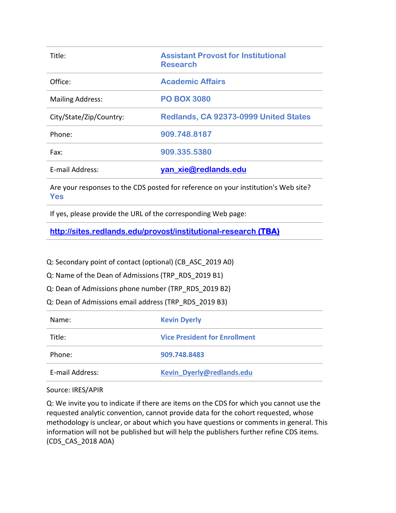| Title:                  | <b>Assistant Provost for Institutional</b><br><b>Research</b> |
|-------------------------|---------------------------------------------------------------|
| Office:                 | <b>Academic Affairs</b>                                       |
| <b>Mailing Address:</b> | <b>PO BOX 3080</b>                                            |
| City/State/Zip/Country: | Redlands, CA 92373-0999 United States                         |
| Phone:                  | 909.748.8187                                                  |
| Fax:                    | 909.335.5380                                                  |
| E-mail Address:         | yan_xie@redlands.edu                                          |

Are your responses to the CDS posted for reference on your institution's Web site? **Yes**

If yes, please provide the URL of the corresponding Web page:

**<http://sites.redlands.edu/provost/institutional-research>(TBA)**

Q: Secondary point of contact (optional) (CB\_ASC\_2019 A0)

Q: Name of the Dean of Admissions (TRP\_RDS\_2019 B1)

Q: Dean of Admissions phone number (TRP\_RDS\_2019 B2)

Q: Dean of Admissions email address (TRP\_RDS\_2019 B3)

| Name:           | <b>Kevin Dyerly</b>                  |
|-----------------|--------------------------------------|
| Title:          | <b>Vice President for Enrollment</b> |
| Phone:          | 909.748.8483                         |
| E-mail Address: | Kevin Dyerly@redlands.edu            |

Source: IRES/APIR

Q: We invite you to indicate if there are items on the CDS for which you cannot use the requested analytic convention, cannot provide data for the cohort requested, whose methodology is unclear, or about which you have questions or comments in general. This information will not be published but will help the publishers further refine CDS items. (CDS\_CAS\_2018 A0A)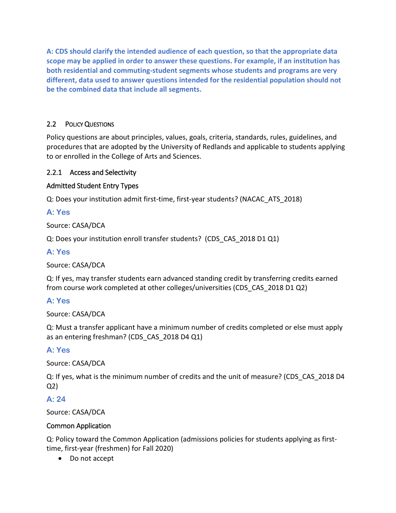**A: CDS should clarify the intended audience of each question, so that the appropriate data scope may be applied in order to answer these questions. For example, if an institution has both residential and commuting-student segments whose students and programs are very different, data used to answer questions intended for the residential population should not be the combined data that include all segments.** 

# 2.2 POLICY QUESTIONS

Policy questions are about principles, values, goals, criteria, standards, rules, guidelines, and procedures that are adopted by the University of Redlands and applicable to students applying to or enrolled in the College of Arts and Sciences.

# 2.2.1 Access and Selectivity

# Admitted Student Entry Types

Q: Does your institution admit first-time, first-year students? (NACAC\_ATS\_2018)

# **A: Yes**

Source: CASA/DCA

Q: Does your institution enroll transfer students? (CDS\_CAS\_2018 D1 Q1)

# **A: Yes**

Source: CASA/DCA

Q: If yes, may transfer students earn advanced standing credit by transferring credits earned from course work completed at other colleges/universities (CDS\_CAS\_2018 D1 Q2)

# **A: Yes**

Source: CASA/DCA

Q: Must a transfer applicant have a minimum number of credits completed or else must apply as an entering freshman? (CDS\_CAS\_2018 D4 Q1)

# **A: Yes**

Source: CASA/DCA

Q: If yes, what is the minimum number of credits and the unit of measure? (CDS\_CAS\_2018 D4 Q2)

# **A: 24**

Source: CASA/DCA

# Common Application

Q: Policy toward the Common Application (admissions policies for students applying as firsttime, first-year (freshmen) for Fall 2020)

• Do not accept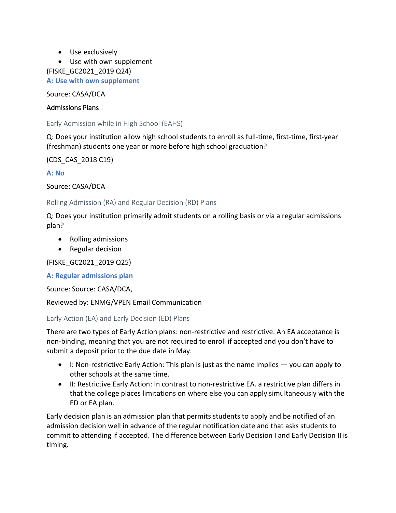- Use exclusively
- Use with own supplement

(FISKE\_GC2021\_2019 Q24)

**A: Use with own supplement**

Source: CASA/DCA

## Admissions Plans

Early Admission while in High School (EAHS)

Q: Does your institution allow high school students to enroll as full-time, first-time, first-year (freshman) students one year or more before high school graduation?

(CDS\_CAS\_2018 C19)

**A: No**

Source: CASA/DCA

Rolling Admission (RA) and Regular Decision (RD) Plans

Q: Does your institution primarily admit students on a rolling basis or via a regular admissions plan?

- Rolling admissions
- Regular decision

(FISKE\_GC2021\_2019 Q25)

**A: Regular admissions plan**

Source: Source: CASA/DCA,

Reviewed by: ENMG/VPEN Email Communication

Early Action (EA) and Early Decision (ED) Plans

There are two types of Early Action plans: non-restrictive and restrictive. An EA acceptance is non-binding, meaning that you are not required to enroll if accepted and you don't have to submit a deposit prior to the due date in May.

- I: Non-restrictive Early Action: This plan is just as the name implies you can apply to other schools at the same time.
- II: Restrictive Early Action: In contrast to non-restrictive EA. a restrictive plan differs in that the college places limitations on where else you can apply simultaneously with the ED or EA plan.

Early decision plan is an admission plan that permits students to apply and be notified of an admission decision well in advance of the regular notification date and that asks students to commit to attending if accepted. The difference between Early Decision I and Early Decision II is timing.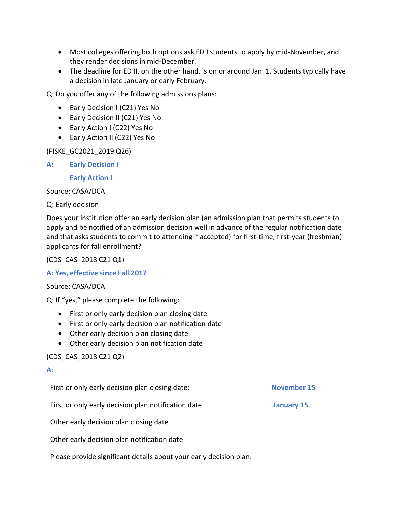- Most colleges offering both options ask ED I students to apply by mid-November, and they render decisions in mid-December.
- The deadline for ED II, on the other hand, is on or around Jan. 1. Students typically have a decision in late January or early February.

Q: Do you offer any of the following admissions plans:

- Early Decision I (C21) Yes No
- Early Decision II (C21) Yes No
- Early Action I (C22) Yes No
- Early Action II (C22) Yes No

(FISKE\_GC2021\_2019 Q26)

## **A: Early Decision I**

**Early Action I** 

Source: CASA/DCA

Q: Early decision

Does your institution offer an early decision plan (an admission plan that permits students to apply and be notified of an admission decision well in advance of the regular notification date and that asks students to commit to attending if accepted) for first-time, first-year (freshman) applicants for fall enrollment?

(CDS\_CAS\_2018 C21 Q1)

#### **A: Yes, effective since Fall 2017**

#### Source: CASA/DCA

Q: If "yes," please complete the following:

- First or only early decision plan closing date
- First or only early decision plan notification date
- Other early decision plan closing date
- Other early decision plan notification date

# (CDS\_CAS\_2018 C21 Q2)

#### **A:**

First or only early decision plan closing date: **November 15**

First or only early decision plan notification date **January 15**

Other early decision plan closing date

Other early decision plan notification date

Please provide significant details about your early decision plan: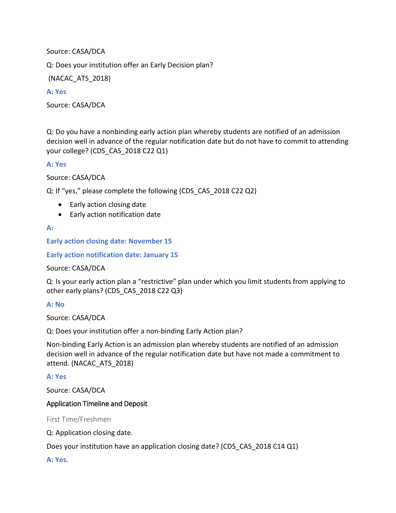Source: CASA/DCA

Q: Does your institution offer an Early Decision plan?

(NACAC\_ATS\_2018)

### **A: Yes**

Source: CASA/DCA

Q: Do you have a nonbinding early action plan whereby students are notified of an admission decision well in advance of the regular notification date but do not have to commit to attending your college? (CDS\_CAS\_2018 C22 Q1)

## **A: Yes**

Source: CASA/DCA

Q: If "yes," please complete the following (CDS\_CAS\_2018 C22 Q2)

- Early action closing date
- Early action notification date

## **A:**

**Early action closing date: November 15**

**Early action notification date: January 15**

Source: CASA/DCA

Q: Is your early action plan a "restrictive" plan under which you limit students from applying to other early plans? (CDS\_CAS\_2018 C22 Q3)

# **A: No**

Source: CASA/DCA

Q: Does your institution offer a non-binding Early Action plan?

Non-binding Early Action is an admission plan whereby students are notified of an admission decision well in advance of the regular notification date but have not made a commitment to attend. (NACAC\_ATS\_2018)

#### **A: Yes**

Source: CASA/DCA

# Application Timeline and Deposit

#### First Time/Freshmen

Q: Application closing date.

Does your institution have an application closing date? (CDS\_CAS\_2018 C14 Q1)

#### **A: Yes.**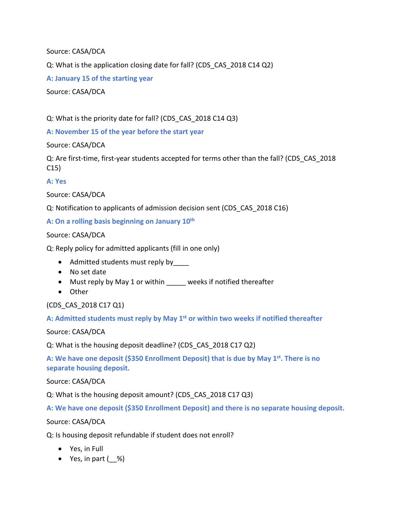Source: CASA/DCA

Q: What is the application closing date for fall? (CDS\_CAS\_2018 C14 Q2)

**A: January 15 of the starting year**

Source: CASA/DCA

Q: What is the priority date for fall? (CDS\_CAS\_2018 C14 Q3)

**A: November 15 of the year before the start year**

Source: CASA/DCA

Q: Are first-time, first-year students accepted for terms other than the fall? (CDS\_CAS\_2018 C15)

**A: Yes**

Source: CASA/DCA

Q: Notification to applicants of admission decision sent (CDS\_CAS\_2018 C16)

**A: On a rolling basis beginning on January 10th**

Source: CASA/DCA

Q: Reply policy for admitted applicants (fill in one only)

- Admitted students must reply by
- No set date
- Must reply by May 1 or within weeks if notified thereafter
- Other

(CDS\_CAS\_2018 C17 Q1)

**A: Admitted students must reply by May 1st or within two weeks if notified thereafter**

Source: CASA/DCA

Q: What is the housing deposit deadline? (CDS\_CAS\_2018 C17 Q2)

A: We have one deposit (\$350 Enrollment Deposit) that is due by May 1<sup>st</sup>. There is no **separate housing deposit.**

Source: CASA/DCA

Q: What is the housing deposit amount? (CDS\_CAS\_2018 C17 Q3)

**A: We have one deposit (\$350 Enrollment Deposit) and there is no separate housing deposit.**

Source: CASA/DCA

Q: Is housing deposit refundable if student does not enroll?

- Yes, in Full
- Yes, in part  $($  %)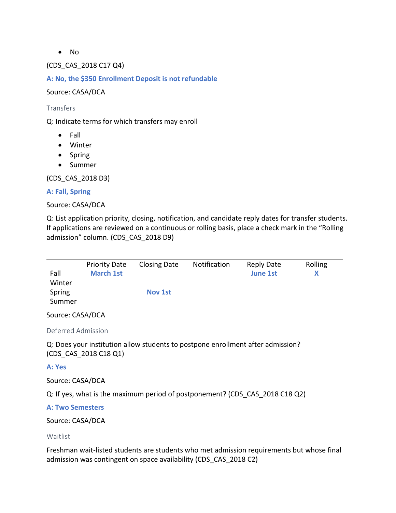• No

(CDS\_CAS\_2018 C17 Q4)

**A: No, the \$350 Enrollment Deposit is not refundable** 

Source: CASA/DCA

**Transfers** 

Q: Indicate terms for which transfers may enroll

- Fall
- Winter
- Spring
- Summer

(CDS\_CAS\_2018 D3)

#### **A: Fall, Spring**

#### Source: CASA/DCA

Q: List application priority, closing, notification, and candidate reply dates for transfer students. If applications are reviewed on a continuous or rolling basis, place a check mark in the "Rolling admission" column. (CDS\_CAS\_2018 D9)

| Fall   | <b>Priority Date</b><br><b>March 1st</b> | <b>Closing Date</b> | Notification | Reply Date<br><b>June 1st</b> | Rolling |
|--------|------------------------------------------|---------------------|--------------|-------------------------------|---------|
| Winter |                                          |                     |              |                               |         |
| Spring |                                          | <b>Nov 1st</b>      |              |                               |         |
| Summer |                                          |                     |              |                               |         |

#### Source: CASA/DCA

Deferred Admission

Q: Does your institution allow students to postpone enrollment after admission? (CDS\_CAS\_2018 C18 Q1)

#### **A: Yes**

Source: CASA/DCA

Q: If yes, what is the maximum period of postponement? (CDS\_CAS\_2018 C18 Q2)

#### **A: Two Semesters**

Source: CASA/DCA

#### Waitlist

Freshman wait-listed students are students who met admission requirements but whose final admission was contingent on space availability (CDS\_CAS\_2018 C2)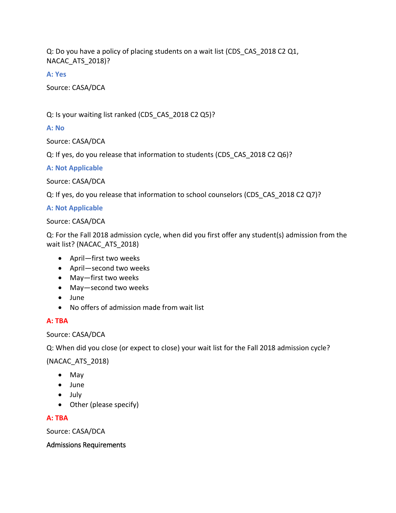Q: Do you have a policy of placing students on a wait list (CDS\_CAS\_2018 C2 Q1, NACAC\_ATS\_2018)?

**A: Yes**

Source: CASA/DCA

Q: Is your waiting list ranked (CDS\_CAS\_2018 C2 Q5)?

### **A: No**

Source: CASA/DCA

Q: If yes, do you release that information to students (CDS\_CAS\_2018 C2 Q6)?

#### **A: Not Applicable**

Source: CASA/DCA

Q: If yes, do you release that information to school counselors (CDS\_CAS\_2018 C2 Q7)?

#### **A: Not Applicable**

#### Source: CASA/DCA

Q: For the Fall 2018 admission cycle, when did you first offer any student(s) admission from the wait list? (NACAC\_ATS\_2018)

- April—first two weeks
- April—second two weeks
- May—first two weeks
- May—second two weeks
- June
- No offers of admission made from wait list

## **A: TBA**

Source: CASA/DCA

Q: When did you close (or expect to close) your wait list for the Fall 2018 admission cycle?

(NACAC\_ATS\_2018)

- May
- June
- July
- Other (please specify)

#### **A: TBA**

Source: CASA/DCA

#### Admissions Requirements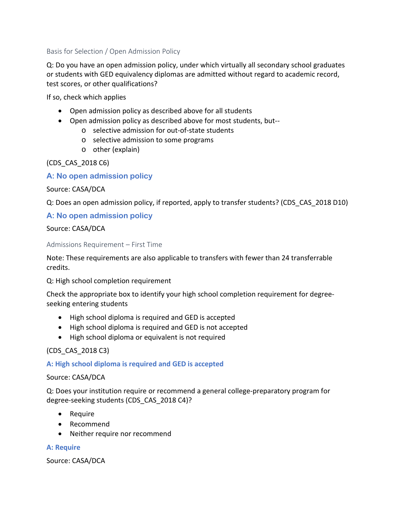Basis for Selection / Open Admission Policy

Q: Do you have an open admission policy, under which virtually all secondary school graduates or students with GED equivalency diplomas are admitted without regard to academic record, test scores, or other qualifications?

If so, check which applies

- Open admission policy as described above for all students
- Open admission policy as described above for most students, but-
	- o selective admission for out-of-state students
	- o selective admission to some programs
	- o other (explain)

(CDS\_CAS\_2018 C6)

**A: No open admission policy**

Source: CASA/DCA

Q: Does an open admission policy, if reported, apply to transfer students? (CDS\_CAS\_2018 D10)

## **A: No open admission policy**

Source: CASA/DCA

Admissions Requirement – First Time

Note: These requirements are also applicable to transfers with fewer than 24 transferrable credits.

Q: High school completion requirement

Check the appropriate box to identify your high school completion requirement for degreeseeking entering students

- High school diploma is required and GED is accepted
- High school diploma is required and GED is not accepted
- High school diploma or equivalent is not required

(CDS\_CAS\_2018 C3)

**A: High school diploma is required and GED is accepted**

#### Source: CASA/DCA

Q: Does your institution require or recommend a general college-preparatory program for degree-seeking students (CDS\_CAS\_2018 C4)?

- Require
- Recommend
- Neither require nor recommend

#### **A: Require**

Source: CASA/DCA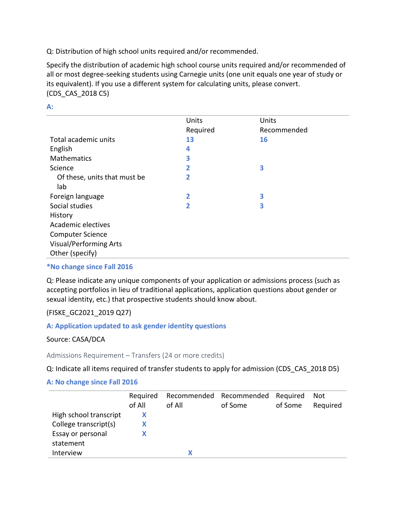Q: Distribution of high school units required and/or recommended.

Specify the distribution of academic high school course units required and/or recommended of all or most degree-seeking students using Carnegie units (one unit equals one year of study or its equivalent). If you use a different system for calculating units, please convert. (CDS\_CAS\_2018 C5)

|                               | Units          | Units       |  |
|-------------------------------|----------------|-------------|--|
|                               | Required       | Recommended |  |
| Total academic units          | 13             | 16          |  |
| English                       | 4              |             |  |
| Mathematics                   | 3              |             |  |
| Science                       | 2              | З           |  |
| Of these, units that must be  | 2              |             |  |
| lab                           |                |             |  |
| Foreign language              | $\overline{2}$ | 3           |  |
| Social studies                | 2              | 3           |  |
| History                       |                |             |  |
| Academic electives            |                |             |  |
| <b>Computer Science</b>       |                |             |  |
| <b>Visual/Performing Arts</b> |                |             |  |
| Other (specify)               |                |             |  |
|                               |                |             |  |

**A:** 

**\*No change since Fall 2016**

Q: Please indicate any unique components of your application or admissions process (such as accepting portfolios in lieu of traditional applications, application questions about gender or sexual identity, etc.) that prospective students should know about.

(FISKE\_GC2021\_2019 Q27)

#### **A: Application updated to ask gender identity questions**

#### Source: CASA/DCA

Admissions Requirement – Transfers (24 or more credits)

Q: Indicate all items required of transfer students to apply for admission (CDS\_CAS\_2018 D5)

#### **A: No change since Fall 2016**

|                        | Required |        | Recommended Recommended Required |         | Not      |
|------------------------|----------|--------|----------------------------------|---------|----------|
|                        | of All   | of All | of Some                          | of Some | Required |
| High school transcript | х        |        |                                  |         |          |
| College transcript(s)  |          |        |                                  |         |          |
| Essay or personal      |          |        |                                  |         |          |
| statement              |          |        |                                  |         |          |
| Interview              |          |        |                                  |         |          |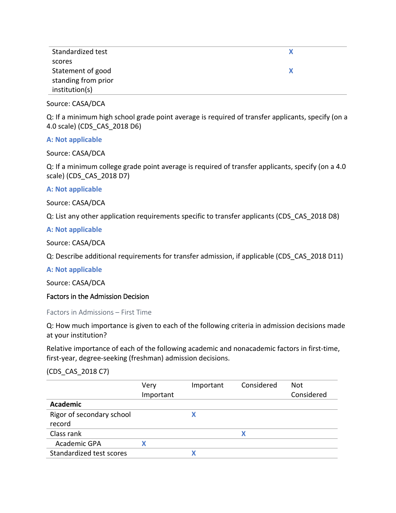| Standardized test   |  |
|---------------------|--|
| scores              |  |
| Statement of good   |  |
| standing from prior |  |
| institution(s)      |  |

Source: CASA/DCA

Q: If a minimum high school grade point average is required of transfer applicants, specify (on a 4.0 scale) (CDS\_CAS\_2018 D6)

#### **A: Not applicable**

Source: CASA/DCA

Q: If a minimum college grade point average is required of transfer applicants, specify (on a 4.0 scale) (CDS\_CAS\_2018 D7)

#### **A: Not applicable**

Source: CASA/DCA

Q: List any other application requirements specific to transfer applicants (CDS\_CAS\_2018 D8)

#### **A: Not applicable**

Source: CASA/DCA

Q: Describe additional requirements for transfer admission, if applicable (CDS\_CAS\_2018 D11)

#### **A: Not applicable**

Source: CASA/DCA

#### Factors in the Admission Decision

Factors in Admissions – First Time

Q: How much importance is given to each of the following criteria in admission decisions made at your institution?

Relative importance of each of the following academic and nonacademic factors in first-time, first-year, degree-seeking (freshman) admission decisions.

(CDS\_CAS\_2018 C7)

| Very      | Important | Considered | Not        |
|-----------|-----------|------------|------------|
| Important |           |            | Considered |
|           |           |            |            |
|           |           |            |            |
|           |           |            |            |
|           |           | X          |            |
|           |           |            |            |
|           |           |            |            |
|           |           |            |            |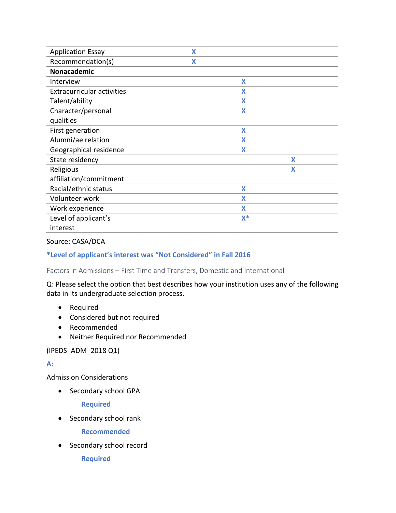| <b>Application Essay</b>          | X |       |   |
|-----------------------------------|---|-------|---|
| Recommendation(s)                 | X |       |   |
| Nonacademic                       |   |       |   |
| Interview                         |   | X     |   |
| <b>Extracurricular activities</b> |   | X     |   |
| Talent/ability                    |   | X     |   |
| Character/personal                |   | X     |   |
| qualities                         |   |       |   |
| First generation                  |   | X     |   |
| Alumni/ae relation                |   | X     |   |
| Geographical residence            |   | X     |   |
| State residency                   |   |       | X |
| Religious                         |   |       | X |
| affiliation/commitment            |   |       |   |
| Racial/ethnic status              |   | X     |   |
| Volunteer work                    |   | X     |   |
| Work experience                   |   | X     |   |
| Level of applicant's              |   | $X^*$ |   |
| interest                          |   |       |   |

#### Source: CASA/DCA

#### **\*Level of applicant's interest was "Not Considered" in Fall 2016**

Factors in Admissions – First Time and Transfers, Domestic and International

Q: Please select the option that best describes how your institution uses any of the following data in its undergraduate selection process.

- Required
- Considered but not required
- Recommended
- Neither Required nor Recommended

#### (IPEDS\_ADM\_2018 Q1)

#### **A:**

Admission Considerations

• Secondary school GPA

**Required** 

• Secondary school rank

**Recommended** 

• Secondary school record

**Required**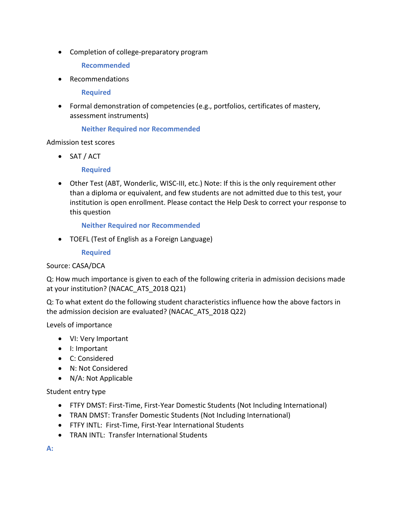• Completion of college-preparatory program

**Recommended** 

• Recommendations

**Required** 

• Formal demonstration of competencies (e.g., portfolios, certificates of mastery, assessment instruments)

#### **Neither Required nor Recommended**

#### Admission test scores

• SAT / ACT

#### **Required**

• Other Test (ABT, Wonderlic, WISC-III, etc.) Note: If this is the only requirement other than a diploma or equivalent, and few students are not admitted due to this test, your institution is open enrollment. Please contact the Help Desk to correct your response to this question

**Neither Required nor Recommended**

• TOEFL (Test of English as a Foreign Language)

**Required**

#### Source: CASA/DCA

Q: How much importance is given to each of the following criteria in admission decisions made at your institution? (NACAC\_ATS\_2018 Q21)

Q: To what extent do the following student characteristics influence how the above factors in the admission decision are evaluated? (NACAC\_ATS\_2018 Q22)

Levels of importance

- VI: Very Important
- I: Important
- C: Considered
- N: Not Considered
- N/A: Not Applicable

Student entry type

- FTFY DMST: First-Time, First-Year Domestic Students (Not Including International)
- TRAN DMST: Transfer Domestic Students (Not Including International)
- FTFY INTL: First-Time, First-Year International Students
- TRAN INTL: Transfer International Students

**A:**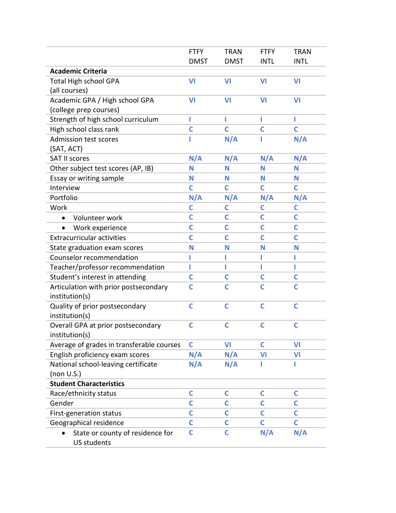|                                           | <b>FTFY</b>  | <b>TRAN</b>    | <b>FTFY</b>  | <b>TRAN</b>  |
|-------------------------------------------|--------------|----------------|--------------|--------------|
|                                           | <b>DMST</b>  | <b>DMST</b>    | <b>INTL</b>  | <b>INTL</b>  |
| <b>Academic Criteria</b>                  |              |                |              |              |
| <b>Total High school GPA</b>              | VI           | VI             | VI           | VI           |
| (all courses)                             |              |                |              |              |
| Academic GPA / High school GPA            | VI           | V <sub>1</sub> | VI           | VI           |
| (college prep courses)                    |              |                |              |              |
| Strength of high school curriculum        | ı            | П              | п            | L            |
| High school class rank                    | Ċ            | C              | C            | C            |
| <b>Admission test scores</b>              |              | N/A            |              | N/A          |
| (SAT, ACT)                                |              |                |              |              |
| <b>SAT II scores</b>                      | N/A          | N/A            | N/A          | N/A          |
| Other subject test scores (AP, IB)        | Ν            | N              | N            | N            |
| Essay or writing sample                   | N            | N              | N            | N            |
| Interview                                 | Ċ            | C              | C            | C            |
| Portfolio                                 | N/A          | N/A            | N/A          | N/A          |
| Work                                      | C            | C              | C            | C            |
| Volunteer work                            | Ċ            | C              | C            | $\mathsf{C}$ |
| Work experience                           | Ċ            | C              | C            | C            |
| <b>Extracurricular activities</b>         | Ċ            | Ċ              | C            | C            |
| State graduation exam scores              | N            | N              | N            | N            |
| Counselor recommendation                  |              |                |              |              |
| Teacher/professor recommendation          | ı            | П              | ı            | ı            |
| Student's interest in attending           | C            | C              | C            | C            |
| Articulation with prior postsecondary     | C            | Ċ              | Ċ            | Ċ            |
| institution(s)                            |              |                |              |              |
| Quality of prior postsecondary            | Ċ            | C              | C            | C            |
| institution(s)                            |              |                |              |              |
| Overall GPA at prior postsecondary        | $\mathsf{C}$ | $\mathsf{C}$   | $\mathsf{C}$ | $\mathsf{C}$ |
| institution(s)                            |              |                |              |              |
| Average of grades in transferable courses | $\mathsf{C}$ | VI             | C            | VI           |
| English proficiency exam scores           | N/A          | N/A            | VI           | VI           |
| National school-leaving certificate       | N/A          | N/A            |              | ı            |
| (non U.S.)                                |              |                |              |              |
| <b>Student Characteristics</b>            |              |                |              |              |
| Race/ethnicity status                     | C            | C              | C            | C            |
| Gender                                    | Ć            | C              | C            | Ċ            |
| First-generation status                   | C            | С              | C            | C            |
| Geographical residence                    | Ċ            | C              | C            | C            |
| State or county of residence for          | C            | C              | N/A          | N/A          |
| <b>US students</b>                        |              |                |              |              |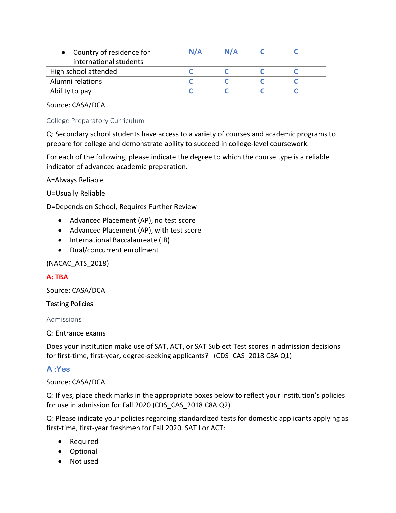Source: CASA/DCA

## College Preparatory Curriculum

Q: Secondary school students have access to a variety of courses and academic programs to prepare for college and demonstrate ability to succeed in college-level coursework.

For each of the following, please indicate the degree to which the course type is a reliable indicator of advanced academic preparation.

A=Always Reliable

## U=Usually Reliable

D=Depends on School, Requires Further Review

- Advanced Placement (AP), no test score
- Advanced Placement (AP), with test score
- International Baccalaureate (IB)
- Dual/concurrent enrollment

# (NACAC\_ATS\_2018)

#### **A: TBA**

Source: CASA/DCA

#### Testing Policies

Admissions

Q: Entrance exams

Does your institution make use of SAT, ACT, or SAT Subject Test scores in admission decisions for first-time, first-year, degree-seeking applicants? (CDS\_CAS\_2018 C8A Q1)

# **A :Yes**

#### Source: CASA/DCA

Q: If yes, place check marks in the appropriate boxes below to reflect your institution's policies for use in admission for Fall 2020 (CDS\_CAS\_2018 C8A Q2)

Q: Please indicate your policies regarding standardized tests for domestic applicants applying as first-time, first-year freshmen for Fall 2020. SAT I or ACT:

- Required
- Optional
- Not used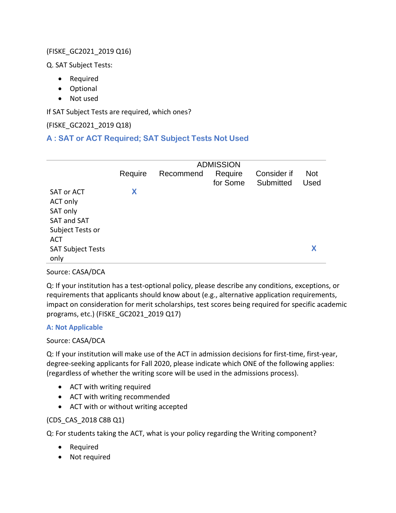# (FISKE\_GC2021\_2019 Q16)

Q. SAT Subject Tests:

- Required
- Optional
- Not used

If SAT Subject Tests are required, which ones?

# (FISKE\_GC2021\_2019 Q18)

# **A : SAT or ACT Required; SAT Subject Tests Not Used**

|                          | <b>ADMISSION</b> |           |                     |                          |                           |
|--------------------------|------------------|-----------|---------------------|--------------------------|---------------------------|
|                          | Require          | Recommend | Require<br>for Some | Consider if<br>Submitted | <b>Not</b><br><b>Used</b> |
| <b>SAT or ACT</b>        | Χ                |           |                     |                          |                           |
| ACT only                 |                  |           |                     |                          |                           |
| SAT only                 |                  |           |                     |                          |                           |
| <b>SAT and SAT</b>       |                  |           |                     |                          |                           |
| Subject Tests or         |                  |           |                     |                          |                           |
| <b>ACT</b>               |                  |           |                     |                          |                           |
| <b>SAT Subject Tests</b> |                  |           |                     |                          |                           |
| only                     |                  |           |                     |                          |                           |

# Source: CASA/DCA

Q: If your institution has a test-optional policy, please describe any conditions, exceptions, or requirements that applicants should know about (e.g., alternative application requirements, impact on consideration for merit scholarships, test scores being required for specific academic programs, etc.) (FISKE\_GC2021\_2019 Q17)

#### **A: Not Applicable**

# Source: CASA/DCA

Q: If your institution will make use of the ACT in admission decisions for first-time, first-year, degree-seeking applicants for Fall 2020, please indicate which ONE of the following applies: (regardless of whether the writing score will be used in the admissions process).

- ACT with writing required
- ACT with writing recommended
- ACT with or without writing accepted

# (CDS\_CAS\_2018 C8B Q1)

Q: For students taking the ACT, what is your policy regarding the Writing component?

- Required
- Not required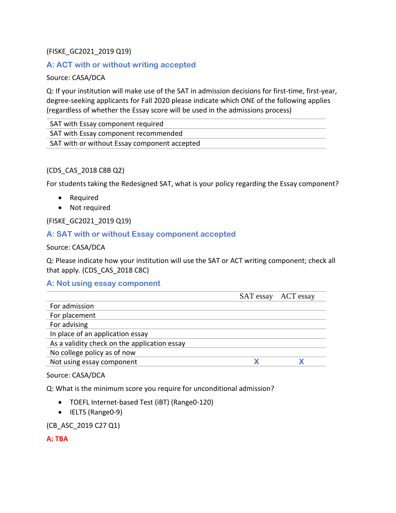# (FISKE\_GC2021\_2019 Q19)

# **A: ACT with or without writing accepted**

## Source: CASA/DCA

Q: If your institution will make use of the SAT in admission decisions for first-time, first-year, degree-seeking applicants for Fall 2020 please indicate which ONE of the following applies (regardless of whether the Essay score will be used in the admissions process)

SAT with Essay component required SAT with Essay component recommended SAT with or without Essay component accepted

## (CDS\_CAS\_2018 C8B Q2)

For students taking the Redesigned SAT, what is your policy regarding the Essay component?

- Required
- Not required

(FISKE\_GC2021\_2019 Q19)

## **A: SAT with or without Essay component accepted**

Source: CASA/DCA

Q: Please indicate how your institution will use the SAT or ACT writing component; check all that apply. (CDS\_CAS\_2018 C8C)

# **A: Not using essay component**

|                                              |  | SAT essay ACT essay |  |  |
|----------------------------------------------|--|---------------------|--|--|
| For admission                                |  |                     |  |  |
| For placement                                |  |                     |  |  |
| For advising                                 |  |                     |  |  |
| In place of an application essay             |  |                     |  |  |
| As a validity check on the application essay |  |                     |  |  |
| No college policy as of now                  |  |                     |  |  |
| Not using essay component                    |  |                     |  |  |

#### Source: CASA/DCA

Q: What is the minimum score you require for unconditional admission?

- TOEFL Internet-based Test (iBT) (Range0-120)
- IELTS (Range0-9)

(CB\_ASC\_2019 C27 Q1)

#### **A: TBA**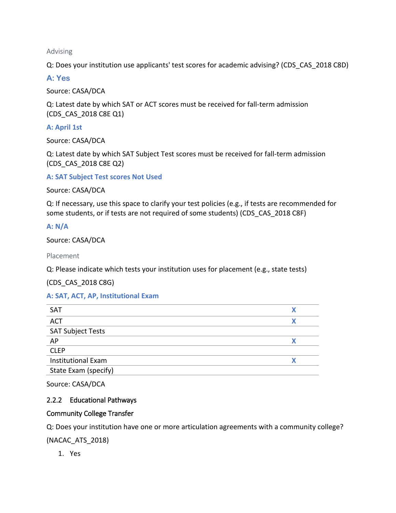Advising

Q: Does your institution use applicants' test scores for academic advising? (CDS\_CAS\_2018 C8D)

**A: Yes**

Source: CASA/DCA

Q: Latest date by which SAT or ACT scores must be received for fall-term admission (CDS\_CAS\_2018 C8E Q1)

**A: April 1st**

Source: CASA/DCA

Q: Latest date by which SAT Subject Test scores must be received for fall-term admission (CDS\_CAS\_2018 C8E Q2)

**A: SAT Subject Test scores Not Used**

Source: CASA/DCA

Q: If necessary, use this space to clarify your test policies (e.g., if tests are recommended for some students, or if tests are not required of some students) (CDS\_CAS\_2018 C8F)

**A: N/A**

Source: CASA/DCA

Placement

Q: Please indicate which tests your institution uses for placement (e.g., state tests)

(CDS\_CAS\_2018 C8G)

# **A: SAT, ACT, AP, Institutional Exam**

| <b>SAT</b>                |  |
|---------------------------|--|
| <b>ACT</b>                |  |
| <b>SAT Subject Tests</b>  |  |
| AP                        |  |
| <b>CLEP</b>               |  |
| <b>Institutional Exam</b> |  |
| State Exam (specify)      |  |

Source: CASA/DCA

# 2.2.2 Educational Pathways

#### Community College Transfer

Q: Does your institution have one or more articulation agreements with a community college?

(NACAC\_ATS\_2018)

1. Yes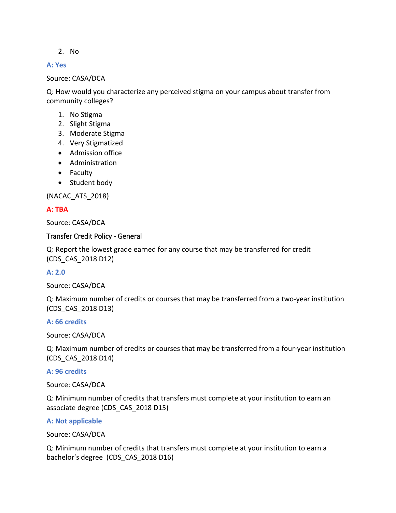#### 2. No

#### **A: Yes**

#### Source: CASA/DCA

Q: How would you characterize any perceived stigma on your campus about transfer from community colleges?

- 1. No Stigma
- 2. Slight Stigma
- 3. Moderate Stigma
- 4. Very Stigmatized
- Admission office
- Administration
- Faculty
- Student body

(NACAC\_ATS\_2018)

## **A: TBA**

Source: CASA/DCA

#### Transfer Credit Policy - General

Q: Report the lowest grade earned for any course that may be transferred for credit (CDS\_CAS\_2018 D12)

#### **A: 2.0**

Source: CASA/DCA

Q: Maximum number of credits or courses that may be transferred from a two-year institution (CDS\_CAS\_2018 D13)

#### **A: 66 credits**

Source: CASA/DCA

Q: Maximum number of credits or courses that may be transferred from a four-year institution (CDS\_CAS\_2018 D14)

#### **A: 96 credits**

Source: CASA/DCA

Q: Minimum number of credits that transfers must complete at your institution to earn an associate degree (CDS\_CAS\_2018 D15)

#### **A: Not applicable**

Source: CASA/DCA

Q: Minimum number of credits that transfers must complete at your institution to earn a bachelor's degree (CDS\_CAS\_2018 D16)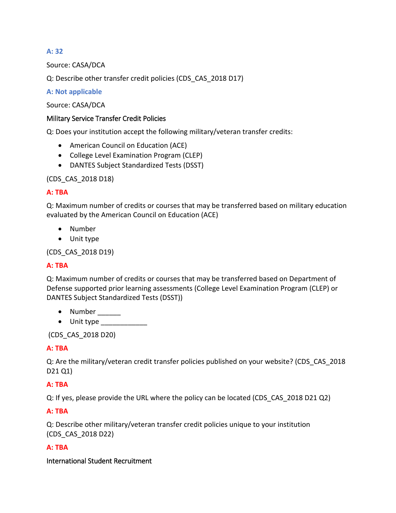# **A: 32**

Source: CASA/DCA

Q: Describe other transfer credit policies (CDS\_CAS\_2018 D17)

## **A: Not applicable**

Source: CASA/DCA

## Military Service Transfer Credit Policies

Q: Does your institution accept the following military/veteran transfer credits:

- American Council on Education (ACE)
- College Level Examination Program (CLEP)
- DANTES Subject Standardized Tests (DSST)

(CDS\_CAS\_2018 D18)

## **A: TBA**

Q: Maximum number of credits or courses that may be transferred based on military education evaluated by the American Council on Education (ACE)

- Number
- Unit type

(CDS\_CAS\_2018 D19)

# **A: TBA**

Q: Maximum number of credits or courses that may be transferred based on Department of Defense supported prior learning assessments (College Level Examination Program (CLEP) or DANTES Subject Standardized Tests (DSST))

- Number  $\_\_$
- $\bullet$  Unit type  $\_\_\_\_\_\_\_\_\_\_\_\_\_\_\_\_$

(CDS\_CAS\_2018 D20)

# **A: TBA**

Q: Are the military/veteran credit transfer policies published on your website? (CDS\_CAS\_2018 D21 Q1)

# **A: TBA**

Q: If yes, please provide the URL where the policy can be located (CDS\_CAS\_2018 D21 Q2)

**A: TBA**

Q: Describe other military/veteran transfer credit policies unique to your institution (CDS\_CAS\_2018 D22)

# **A: TBA**

International Student Recruitment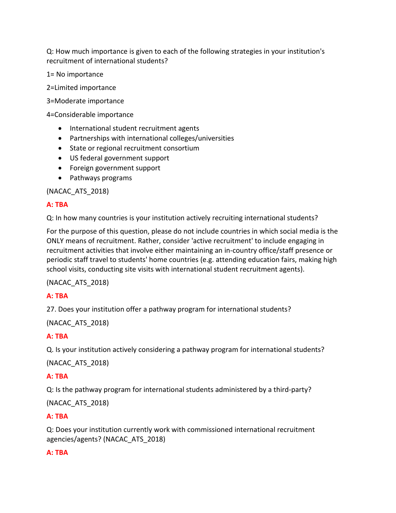Q: How much importance is given to each of the following strategies in your institution's recruitment of international students?

1= No importance

2=Limited importance

3=Moderate importance

4=Considerable importance

- International student recruitment agents
- Partnerships with international colleges/universities
- State or regional recruitment consortium
- US federal government support
- Foreign government support
- Pathways programs

(NACAC\_ATS\_2018)

# **A: TBA**

Q: In how many countries is your institution actively recruiting international students?

For the purpose of this question, please do not include countries in which social media is the ONLY means of recruitment. Rather, consider 'active recruitment' to include engaging in recruitment activities that involve either maintaining an in-country office/staff presence or periodic staff travel to students' home countries (e.g. attending education fairs, making high school visits, conducting site visits with international student recruitment agents).

(NACAC\_ATS\_2018)

# **A: TBA**

27. Does your institution offer a pathway program for international students?

(NACAC\_ATS\_2018)

# **A: TBA**

Q. Is your institution actively considering a pathway program for international students?

(NACAC\_ATS\_2018)

# **A: TBA**

Q: Is the pathway program for international students administered by a third-party?

(NACAC\_ATS\_2018)

# **A: TBA**

Q: Does your institution currently work with commissioned international recruitment agencies/agents? (NACAC\_ATS\_2018)

# **A: TBA**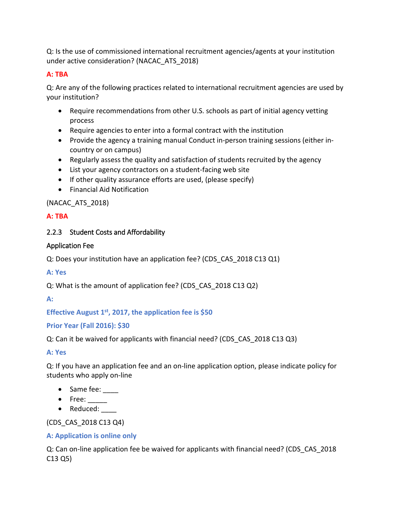Q: Is the use of commissioned international recruitment agencies/agents at your institution under active consideration? (NACAC\_ATS\_2018)

# **A: TBA**

Q: Are any of the following practices related to international recruitment agencies are used by your institution?

- Require recommendations from other U.S. schools as part of initial agency vetting process
- Require agencies to enter into a formal contract with the institution
- Provide the agency a training manual Conduct in-person training sessions (either incountry or on campus)
- Regularly assess the quality and satisfaction of students recruited by the agency
- List your agency contractors on a student-facing web site
- If other quality assurance efforts are used, (please specify)
- Financial Aid Notification

# (NACAC\_ATS\_2018)

# **A: TBA**

# 2.2.3 Student Costs and Affordability

# Application Fee

Q: Does your institution have an application fee? (CDS\_CAS\_2018 C13 Q1)

# **A: Yes**

Q: What is the amount of application fee? (CDS\_CAS\_2018 C13 Q2)

**A:** 

# **Effective August 1st, 2017, the application fee is \$50**

# **Prior Year (Fall 2016): \$30**

Q: Can it be waived for applicants with financial need? (CDS\_CAS\_2018 C13 Q3)

# **A: Yes**

Q: If you have an application fee and an on-line application option, please indicate policy for students who apply on-line

- Same fee:
- Free: \_\_\_\_\_
- Reduced:

# (CDS\_CAS\_2018 C13 Q4)

# **A: Application is online only**

Q: Can on-line application fee be waived for applicants with financial need? (CDS\_CAS\_2018 C13 Q5)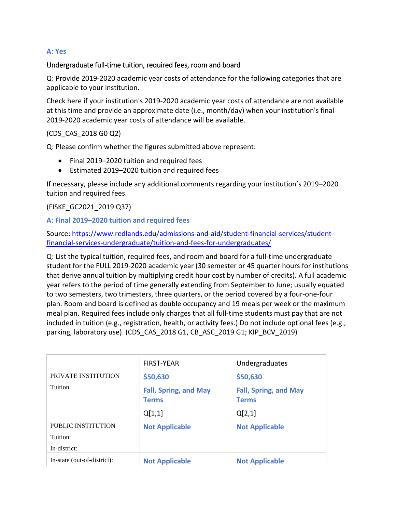# **A: Yes**

### Undergraduate full-time tuition, required fees, room and board

Q: Provide 2019-2020 academic year costs of attendance for the following categories that are applicable to your institution.

Check here if your institution's 2019-2020 academic year costs of attendance are not available at this time and provide an approximate date (i.e., month/day) when your institution's final 2019-2020 academic year costs of attendance will be available.

## (CDS\_CAS\_2018 G0 Q2)

Q: Please confirm whether the figures submitted above represent:

- Final 2019–2020 tuition and required fees
- Estimated 2019–2020 tuition and required fees

If necessary, please include any additional comments regarding your institution's 2019–2020 tuition and required fees.

(FISKE\_GC2021\_2019 Q37)

#### **A: Final 2019–2020 tuition and required fees**

Source: [https://www.redlands.edu/admissions-and-aid/student-financial-services/student](https://www.redlands.edu/admissions-and-aid/student-financial-services/student-financial-services-undergraduate/tuition-and-fees-for-undergraduates/)[financial-services-undergraduate/tuition-and-fees-for-undergraduates/](https://www.redlands.edu/admissions-and-aid/student-financial-services/student-financial-services-undergraduate/tuition-and-fees-for-undergraduates/)

Q: List the typical tuition, required fees, and room and board for a full-time undergraduate student for the FULL 2019-2020 academic year (30 semester or 45 quarter hours for institutions that derive annual tuition by multiplying credit hour cost by number of credits). A full academic year refers to the period of time generally extending from September to June; usually equated to two semesters, two trimesters, three quarters, or the period covered by a four-one-four plan. Room and board is defined as double occupancy and 19 meals per week or the maximum meal plan. Required fees include only charges that all full-time students must pay that are not included in tuition (e.g., registration, health, or activity fees.) Do not include optional fees (e.g., parking, laboratory use). (CDS\_CAS\_2018 G1, CB\_ASC\_2019 G1; KIP\_BCV\_2019)

|                                                | <b>FIRST-YEAR</b>                                        | Undergraduates                                           |
|------------------------------------------------|----------------------------------------------------------|----------------------------------------------------------|
| PRIVATE INSTITUTION<br>Tuition:                | \$50,630<br><b>Fall, Spring, and May</b><br><b>Terms</b> | \$50,630<br><b>Fall, Spring, and May</b><br><b>Terms</b> |
|                                                | Q[1,1]                                                   | Q[2,1]                                                   |
| PUBLIC INSTITUTION<br>Tuition:<br>In-district: | <b>Not Applicable</b>                                    | <b>Not Applicable</b>                                    |
| In-state (out-of-district):                    | <b>Not Applicable</b>                                    | <b>Not Applicable</b>                                    |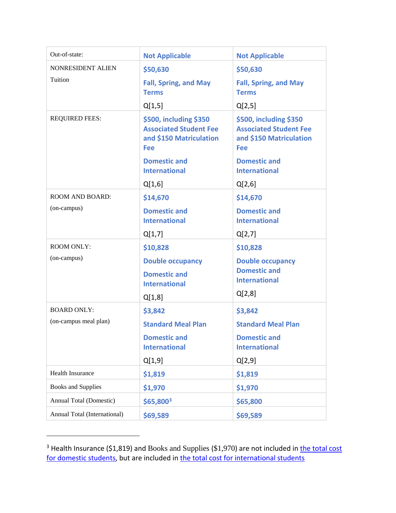| Out-of-state:                               | <b>Not Applicable</b>                                                                            | <b>Not Applicable</b>                                                                            |
|---------------------------------------------|--------------------------------------------------------------------------------------------------|--------------------------------------------------------------------------------------------------|
| NONRESIDENT ALIEN                           | \$50,630                                                                                         | \$50,630                                                                                         |
| Tuition                                     | <b>Fall, Spring, and May</b><br><b>Terms</b>                                                     | <b>Fall, Spring, and May</b><br><b>Terms</b>                                                     |
|                                             | Q[1,5]                                                                                           | Q[2,5]                                                                                           |
| <b>REQUIRED FEES:</b>                       | \$500, including \$350<br><b>Associated Student Fee</b><br>and \$150 Matriculation<br><b>Fee</b> | \$500, including \$350<br><b>Associated Student Fee</b><br>and \$150 Matriculation<br><b>Fee</b> |
|                                             | <b>Domestic and</b><br><b>International</b>                                                      | <b>Domestic and</b><br><b>International</b>                                                      |
|                                             | Q[1,6]                                                                                           | Q[2,6]                                                                                           |
| <b>ROOM AND BOARD:</b>                      | \$14,670                                                                                         | \$14,670                                                                                         |
| (on-campus)                                 | <b>Domestic and</b><br><b>International</b>                                                      | <b>Domestic and</b><br><b>International</b>                                                      |
|                                             | Q[1,7]                                                                                           | Q[2,7]                                                                                           |
| <b>ROOM ONLY:</b>                           | \$10,828                                                                                         | \$10,828                                                                                         |
| (on-campus)                                 | <b>Double occupancy</b>                                                                          | <b>Double occupancy</b>                                                                          |
|                                             | <b>Domestic and</b>                                                                              | <b>Domestic and</b><br><b>International</b>                                                      |
|                                             | <b>International</b>                                                                             | Q[2,8]                                                                                           |
|                                             | Q[1,8]                                                                                           |                                                                                                  |
| <b>BOARD ONLY:</b><br>(on-campus meal plan) | \$3,842                                                                                          | \$3,842                                                                                          |
|                                             | <b>Standard Meal Plan</b>                                                                        | <b>Standard Meal Plan</b>                                                                        |
|                                             | <b>Domestic and</b><br><b>International</b>                                                      | <b>Domestic and</b><br><b>International</b>                                                      |
|                                             | Q[1,9]                                                                                           | Q[2,9]                                                                                           |
| <b>Health Insurance</b>                     | \$1,819                                                                                          | \$1,819                                                                                          |
| <b>Books and Supplies</b>                   | \$1,970                                                                                          | \$1,970                                                                                          |
| <b>Annual Total (Domestic)</b>              | $$65,800^3$                                                                                      | \$65,800                                                                                         |
| Annual Total (International)                | \$69,589                                                                                         | \$69,589                                                                                         |

<span id="page-36-0"></span> $3$  Health Insurance (\$1,819) and Books and Supplies (\$1,970) are not included in **the total cost** [for domestic students,](https://www.redlands.edu/admissions-and-aid/student-financial-services/student-financial-services-undergraduate/tuition-and-fees-for-undergraduates/) but are included in [the total cost for international students](https://www.redlands.edu/admissions-and-aid/student-financial-services/student-financial-services-undergraduate/tuition--scholarships-for-international-undergraduates/)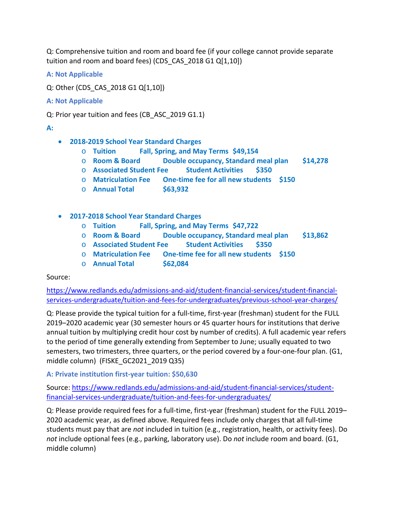Q: Comprehensive tuition and room and board fee (if your college cannot provide separate tuition and room and board fees) (CDS\_CAS\_2018 G1 Q[1,10])

- **A: Not Applicable**
- Q: Other (CDS\_CAS\_2018 G1 Q[1,10])
- **A: Not Applicable**

Q: Prior year tuition and fees (CB\_ASC\_2019 G1.1)

## **A:**

- **2018-2019 School Year Standard Charges**
	- o **Tuition Fall, Spring, and May Terms \$49,154**
	- o **Room & Board Double occupancy, Standard meal plan \$14,278**
	- o **Associated Student Fee Student Activities \$350**
	- o **Matriculation Fee One-time fee for all new students \$150**
	- o **Annual Total \$63,932**
- **2017-2018 School Year Standard Charges**
	- o **Tuition Fall, Spring, and May Terms \$47,722**
	- Double occupancy, Standard meal plan \$13,862
	- o **Associated Student Fee Student Activities \$350**
	- o **Matriculation Fee One-time fee for all new students \$150**
	- o **Annual Total \$62,084**

# Source:

[https://www.redlands.edu/admissions-and-aid/student-financial-services/student-financial](https://www.redlands.edu/admissions-and-aid/student-financial-services/student-financial-services-undergraduate/tuition-and-fees-for-undergraduates/previous-school-year-charges/)[services-undergraduate/tuition-and-fees-for-undergraduates/previous-school-year-charges/](https://www.redlands.edu/admissions-and-aid/student-financial-services/student-financial-services-undergraduate/tuition-and-fees-for-undergraduates/previous-school-year-charges/)

Q: Please provide the typical tuition for a full-time, first-year (freshman) student for the FULL 2019–2020 academic year (30 semester hours or 45 quarter hours for institutions that derive annual tuition by multiplying credit hour cost by number of credits). A full academic year refers to the period of time generally extending from September to June; usually equated to two semesters, two trimesters, three quarters, or the period covered by a four-one-four plan. (G1, middle column) (FISKE\_GC2021\_2019 Q35)

# **A: Private institution first-year tuition: \$50,630**

Source: [https://www.redlands.edu/admissions-and-aid/student-financial-services/student](https://www.redlands.edu/admissions-and-aid/student-financial-services/student-financial-services-undergraduate/tuition-and-fees-for-undergraduates/)[financial-services-undergraduate/tuition-and-fees-for-undergraduates/](https://www.redlands.edu/admissions-and-aid/student-financial-services/student-financial-services-undergraduate/tuition-and-fees-for-undergraduates/)

Q: Please provide required fees for a full-time, first-year (freshman) student for the FULL 2019– 2020 academic year, as defined above. Required fees include only charges that all full-time students must pay that are *not* included in tuition (e.g., registration, health, or activity fees). Do *not* include optional fees (e.g., parking, laboratory use). Do *not* include room and board. (G1, middle column)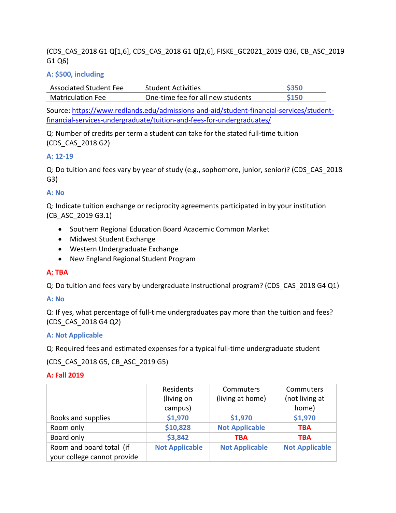# (CDS\_CAS\_2018 G1 Q[1,6], CDS\_CAS\_2018 G1 Q[2,6], FISKE\_GC2021\_2019 Q36, CB\_ASC\_2019 G1 Q6)

## **A: \$500, including**

| <b>Associated Student Fee</b> | <b>Student Activities</b>         | <b>\$350</b> |
|-------------------------------|-----------------------------------|--------------|
| Matriculation Fee             | One-time fee for all new students | <b>S150</b>  |

Source: [https://www.redlands.edu/admissions-and-aid/student-financial-services/student](https://www.redlands.edu/admissions-and-aid/student-financial-services/student-financial-services-undergraduate/tuition-and-fees-for-undergraduates/)[financial-services-undergraduate/tuition-and-fees-for-undergraduates/](https://www.redlands.edu/admissions-and-aid/student-financial-services/student-financial-services-undergraduate/tuition-and-fees-for-undergraduates/)

Q: Number of credits per term a student can take for the stated full-time tuition (CDS\_CAS\_2018 G2)

## **A: 12-19**

Q: Do tuition and fees vary by year of study (e.g., sophomore, junior, senior)? (CDS\_CAS\_2018 G3)

## **A: No**

Q: Indicate tuition exchange or reciprocity agreements participated in by your institution (CB\_ASC\_2019 G3.1)

- Southern Regional Education Board Academic Common Market
- Midwest Student Exchange
- Western Undergraduate Exchange
- New England Regional Student Program

# **A: TBA**

Q: Do tuition and fees vary by undergraduate instructional program? (CDS\_CAS\_2018 G4 Q1)

## **A: No**

Q: If yes, what percentage of full-time undergraduates pay more than the tuition and fees? (CDS\_CAS\_2018 G4 Q2)

## **A: Not Applicable**

Q: Required fees and estimated expenses for a typical full-time undergraduate student

(CDS\_CAS\_2018 G5, CB\_ASC\_2019 G5)

## **A: Fall 2019**

|                                                         | Residents<br>(living on | Commuters<br>(living at home) | Commuters<br>(not living at |
|---------------------------------------------------------|-------------------------|-------------------------------|-----------------------------|
|                                                         | campus)                 |                               | home)                       |
| Books and supplies                                      | \$1,970                 | \$1,970                       | \$1,970                     |
| Room only                                               | \$10,828                | <b>Not Applicable</b>         | <b>TBA</b>                  |
| Board only                                              | \$3,842                 | <b>TBA</b>                    | <b>TBA</b>                  |
| Room and board total (if<br>your college cannot provide | <b>Not Applicable</b>   | <b>Not Applicable</b>         | <b>Not Applicable</b>       |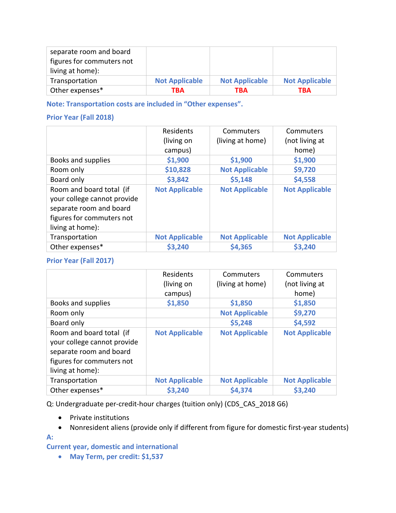| separate room and board   |                       |                       |                       |
|---------------------------|-----------------------|-----------------------|-----------------------|
| figures for commuters not |                       |                       |                       |
| living at home):          |                       |                       |                       |
| Transportation            | <b>Not Applicable</b> | <b>Not Applicable</b> | <b>Not Applicable</b> |
| Other expenses*           | TBA                   | TBA                   | TBA                   |

**Note: Transportation costs are included in "Other expenses".** 

# **Prior Year (Fall 2018)**

|                                                                                                                                     | Residents<br>(living on | Commuters<br>(living at home) | Commuters<br>(not living at |
|-------------------------------------------------------------------------------------------------------------------------------------|-------------------------|-------------------------------|-----------------------------|
|                                                                                                                                     | campus)                 |                               | home)                       |
| Books and supplies                                                                                                                  | \$1,900                 | \$1,900                       | \$1,900                     |
| Room only                                                                                                                           | \$10,828                | <b>Not Applicable</b>         | \$9,720                     |
| Board only                                                                                                                          | \$3,842                 | \$5,148                       | \$4,558                     |
| Room and board total (if<br>your college cannot provide<br>separate room and board<br>figures for commuters not<br>living at home): | <b>Not Applicable</b>   | <b>Not Applicable</b>         | <b>Not Applicable</b>       |
| Transportation                                                                                                                      | <b>Not Applicable</b>   | <b>Not Applicable</b>         | <b>Not Applicable</b>       |
| Other expenses*                                                                                                                     | \$3,240                 | \$4,365                       | \$3,240                     |

# **Prior Year (Fall 2017)**

|                                                                                                                                     | Residents<br>(living on<br>campus) | Commuters<br>(living at home) | Commuters<br>(not living at<br>home) |
|-------------------------------------------------------------------------------------------------------------------------------------|------------------------------------|-------------------------------|--------------------------------------|
| Books and supplies                                                                                                                  | \$1,850                            | \$1,850                       | \$1,850                              |
| Room only                                                                                                                           |                                    | <b>Not Applicable</b>         | \$9,270                              |
| Board only                                                                                                                          |                                    | \$5,248                       | \$4,592                              |
| Room and board total (if<br>your college cannot provide<br>separate room and board<br>figures for commuters not<br>living at home): | <b>Not Applicable</b>              | <b>Not Applicable</b>         | <b>Not Applicable</b>                |
| Transportation                                                                                                                      | <b>Not Applicable</b>              | <b>Not Applicable</b>         | <b>Not Applicable</b>                |
| Other expenses*                                                                                                                     | \$3,240                            | \$4,374                       | \$3,240                              |

Q: Undergraduate per-credit-hour charges (tuition only) (CDS\_CAS\_2018 G6)

- Private institutions
- Nonresident aliens (provide only if different from figure for domestic first-year students)

## **A:**

**Current year, domestic and international** 

• **May Term, per credit: \$1,537**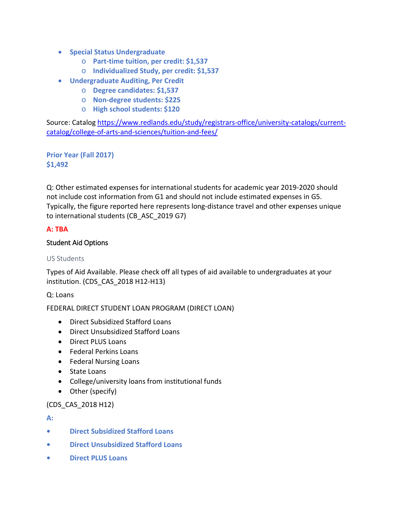- **Special Status Undergraduate**
	- o **Part-time tuition, per credit: \$1,537**
	- o **Individualized Study, per credit: \$1,537**
- **Undergraduate Auditing, Per Credit**
	- o **Degree candidates: \$1,537**
	- o **Non-degree students: \$225**
	- o **High school students: \$120**

Source: Catalo[g https://www.redlands.edu/study/registrars-office/university-catalogs/current](https://www.redlands.edu/study/registrars-office/university-catalogs/current-catalog/college-of-arts-and-sciences/tuition-and-fees/)[catalog/college-of-arts-and-sciences/tuition-and-fees/](https://www.redlands.edu/study/registrars-office/university-catalogs/current-catalog/college-of-arts-and-sciences/tuition-and-fees/)

**Prior Year (Fall 2017) \$1,492**

Q: Other estimated expenses for international students for academic year 2019-2020 should not include cost information from G1 and should not include estimated expenses in G5. Typically, the figure reported here represents long-distance travel and other expenses unique to international students (CB\_ASC\_2019 G7)

# **A: TBA**

# Student Aid Options

# US Students

Types of Aid Available. Please check off all types of aid available to undergraduates at your institution. (CDS\_CAS\_2018 H12-H13)

Q: Loans

FEDERAL DIRECT STUDENT LOAN PROGRAM (DIRECT LOAN)

- Direct Subsidized Stafford Loans
- Direct Unsubsidized Stafford Loans
- Direct PLUS Loans
- Federal Perkins Loans
- Federal Nursing Loans
- State Loans
- College/university loans from institutional funds
- Other (specify)

# (CDS\_CAS\_2018 H12)

**A:** 

- **• Direct Subsidized Stafford Loans**
- **• Direct Unsubsidized Stafford Loans**
- **• Direct PLUS Loans**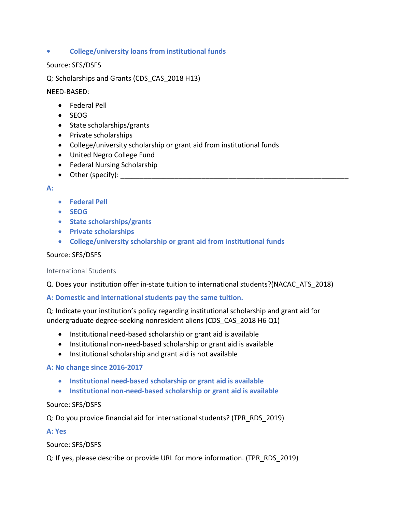## **• College/university loans from institutional funds**

## Source: SFS/DSFS

Q: Scholarships and Grants (CDS\_CAS\_2018 H13)

NEED-BASED:

- Federal Pell
- SEOG
- State scholarships/grants
- Private scholarships
- College/university scholarship or grant aid from institutional funds
- United Negro College Fund
- Federal Nursing Scholarship
- Other (specify):  $\_\_$

### **A:**

- **Federal Pell**
- **SEOG**
- **State scholarships/grants**
- **Private scholarships**
- **College/university scholarship or grant aid from institutional funds**

## Source: SFS/DSFS

#### International Students

Q. Does your institution offer in-state tuition to international students?(NACAC\_ATS\_2018)

## **A: Domestic and international students pay the same tuition.**

Q: Indicate your institution's policy regarding institutional scholarship and grant aid for undergraduate degree-seeking nonresident aliens (CDS\_CAS\_2018 H6 Q1)

- Institutional need-based scholarship or grant aid is available
- Institutional non-need-based scholarship or grant aid is available
- Institutional scholarship and grant aid is not available

## **A: No change since 2016-2017**

- **Institutional need-based scholarship or grant aid is available**
- **Institutional non-need-based scholarship or grant aid is available**

## Source: SFS/DSFS

Q: Do you provide financial aid for international students? (TPR\_RDS\_2019)

# **A: Yes**

Source: SFS/DSFS

Q: If yes, please describe or provide URL for more information. (TPR\_RDS\_2019)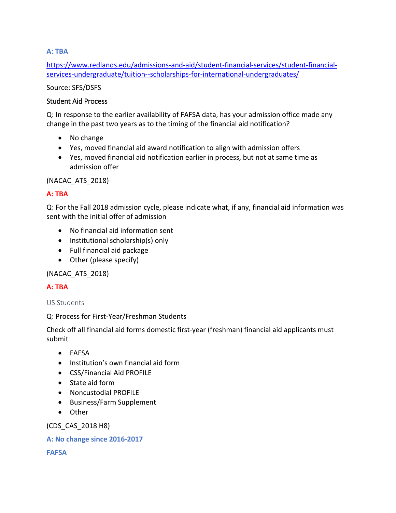# **A: TBA**

[https://www.redlands.edu/admissions-and-aid/student-financial-services/student-financial](https://www.redlands.edu/admissions-and-aid/student-financial-services/student-financial-services-undergraduate/tuition--scholarships-for-international-undergraduates/)[services-undergraduate/tuition--scholarships-for-international-undergraduates/](https://www.redlands.edu/admissions-and-aid/student-financial-services/student-financial-services-undergraduate/tuition--scholarships-for-international-undergraduates/)

Source: SFS/DSFS

# Student Aid Process

Q: In response to the earlier availability of FAFSA data, has your admission office made any change in the past two years as to the timing of the financial aid notification?

- No change
- Yes, moved financial aid award notification to align with admission offers
- Yes, moved financial aid notification earlier in process, but not at same time as admission offer

(NACAC\_ATS\_2018)

# **A: TBA**

Q: For the Fall 2018 admission cycle, please indicate what, if any, financial aid information was sent with the initial offer of admission

- No financial aid information sent
- Institutional scholarship(s) only
- Full financial aid package
- Other (please specify)

(NACAC\_ATS\_2018)

# **A: TBA**

# US Students

# Q: Process for First-Year/Freshman Students

Check off all financial aid forms domestic first-year (freshman) financial aid applicants must submit

- FAFSA
- Institution's own financial aid form
- CSS/Financial Aid PROFILE
- State aid form
- Noncustodial PROFILE
- Business/Farm Supplement
- Other

(CDS\_CAS\_2018 H8)

## **A: No change since 2016-2017**

**FAFSA**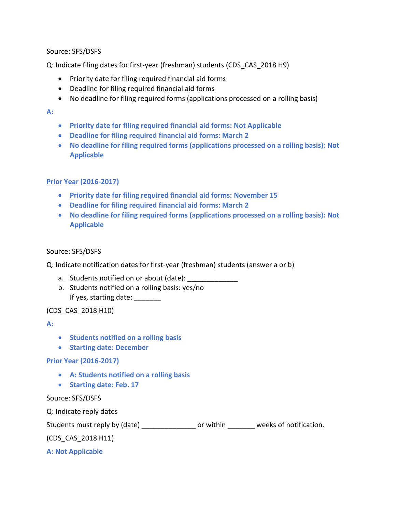## Source: SFS/DSFS

Q: Indicate filing dates for first-year (freshman) students (CDS\_CAS\_2018 H9)

- Priority date for filing required financial aid forms
- Deadline for filing required financial aid forms
- No deadline for filing required forms (applications processed on a rolling basis)

### **A:**

- **Priority date for filing required financial aid forms: Not Applicable**
- **Deadline for filing required financial aid forms: March 2**
- **No deadline for filing required forms (applications processed on a rolling basis): Not Applicable**

## **Prior Year (2016-2017)**

- **Priority date for filing required financial aid forms: November 15**
- **Deadline for filing required financial aid forms: March 2**
- **No deadline for filing required forms (applications processed on a rolling basis): Not Applicable**

### Source: SFS/DSFS

Q: Indicate notification dates for first-year (freshman) students (answer a or b)

- a. Students notified on or about (date):
- b. Students notified on a rolling basis: yes/no If yes, starting date:

## (CDS\_CAS\_2018 H10)

#### **A:**

- **Students notified on a rolling basis**
- **Starting date: December**

#### **Prior Year (2016-2017)**

- **A: Students notified on a rolling basis**
- **Starting date: Feb. 17**

#### Source: SFS/DSFS

Q: Indicate reply dates Students must reply by (date) \_\_\_\_\_\_\_\_\_\_\_\_\_\_\_\_\_ or within \_\_\_\_\_\_\_\_ weeks of notification. (CDS\_CAS\_2018 H11) **A: Not Applicable**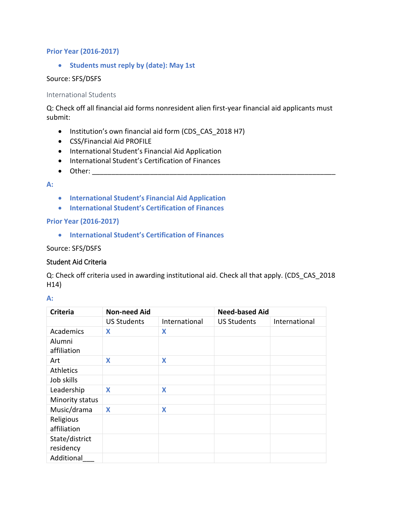## **Prior Year (2016-2017)**

• **Students must reply by (date): May 1st**

## Source: SFS/DSFS

### International Students

Q: Check off all financial aid forms nonresident alien first-year financial aid applicants must submit:

- Institution's own financial aid form (CDS\_CAS\_2018 H7)
- CSS/Financial Aid PROFILE
- International Student's Financial Aid Application
- International Student's Certification of Finances
- $\bullet$  Other:

### **A:**

- **International Student's Financial Aid Application**
- **International Student's Certification of Finances**

## **Prior Year (2016-2017)**

• **International Student's Certification of Finances**

### Source: SFS/DSFS

## Student Aid Criteria

Q: Check off criteria used in awarding institutional aid. Check all that apply. (CDS\_CAS\_2018 H14)

#### **A:**

| <b>Criteria</b>             | <b>Non-need Aid</b> |               | <b>Need-based Aid</b> |               |
|-----------------------------|---------------------|---------------|-----------------------|---------------|
|                             | <b>US Students</b>  | International | <b>US Students</b>    | International |
| Academics                   | X                   | X             |                       |               |
| Alumni<br>affiliation       |                     |               |                       |               |
| Art                         | X                   | X             |                       |               |
| <b>Athletics</b>            |                     |               |                       |               |
| Job skills                  |                     |               |                       |               |
| Leadership                  | X                   | X             |                       |               |
| Minority status             |                     |               |                       |               |
| Music/drama                 | X                   | X             |                       |               |
| Religious<br>affiliation    |                     |               |                       |               |
| State/district<br>residency |                     |               |                       |               |
| Additional                  |                     |               |                       |               |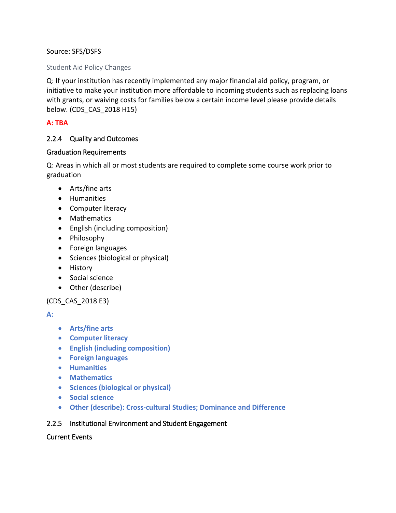# Source: SFS/DSFS

## Student Aid Policy Changes

Q: If your institution has recently implemented any major financial aid policy, program, or initiative to make your institution more affordable to incoming students such as replacing loans with grants, or waiving costs for families below a certain income level please provide details below. (CDS\_CAS\_2018 H15)

# **A: TBA**

## 2.2.4 Quality and Outcomes

## Graduation Requirements

Q: Areas in which all or most students are required to complete some course work prior to graduation

- Arts/fine arts
- Humanities
- Computer literacy
- Mathematics
- English (including composition)
- Philosophy
- Foreign languages
- Sciences (biological or physical)
- History
- Social science
- Other (describe)

# (CDS\_CAS\_2018 E3)

## **A:**

- **Arts/fine arts**
- **Computer literacy**
- **English (including composition)**
- **Foreign languages**
- **Humanities**
- **Mathematics**
- **Sciences (biological or physical)**
- **Social science**
- **Other (describe): Cross-cultural Studies; Dominance and Difference**

## 2.2.5 Institutional Environment and Student Engagement

## Current Events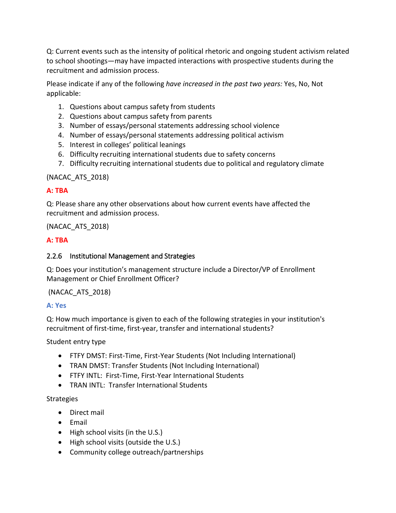Q: Current events such as the intensity of political rhetoric and ongoing student activism related to school shootings—may have impacted interactions with prospective students during the recruitment and admission process.

Please indicate if any of the following *have increased in the past two years:* Yes, No, Not applicable:

- 1. Questions about campus safety from students
- 2. Questions about campus safety from parents
- 3. Number of essays/personal statements addressing school violence
- 4. Number of essays/personal statements addressing political activism
- 5. Interest in colleges' political leanings
- 6. Difficulty recruiting international students due to safety concerns
- 7. Difficulty recruiting international students due to political and regulatory climate

# (NACAC\_ATS\_2018)

# **A: TBA**

Q: Please share any other observations about how current events have affected the recruitment and admission process.

(NACAC\_ATS\_2018)

# **A: TBA**

# 2.2.6 Institutional Management and Strategies

Q: Does your institution's management structure include a Director/VP of Enrollment Management or Chief Enrollment Officer?

# (NACAC\_ATS\_2018)

# **A: Yes**

Q: How much importance is given to each of the following strategies in your institution's recruitment of first-time, first-year, transfer and international students?

# Student entry type

- FTFY DMST: First-Time, First-Year Students (Not Including International)
- TRAN DMST: Transfer Students (Not Including International)
- FTFY INTL: First-Time, First-Year International Students
- TRAN INTL: Transfer International Students

# Strategies

- Direct mail
- Email
- High school visits (in the U.S.)
- High school visits (outside the U.S.)
- Community college outreach/partnerships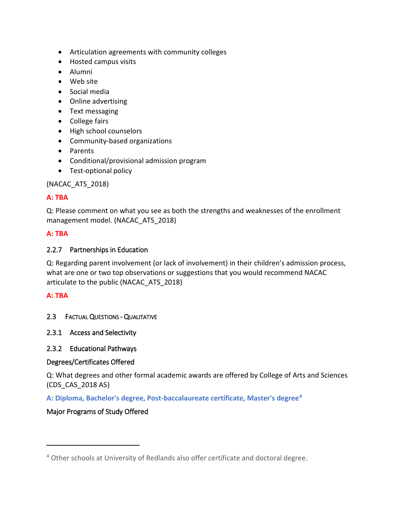- Articulation agreements with community colleges
- Hosted campus visits
- Alumni
- Web site
- Social media
- Online advertising
- Text messaging
- College fairs
- High school counselors
- Community-based organizations
- Parents
- Conditional/provisional admission program
- Test-optional policy

(NACAC\_ATS\_2018)

# **A: TBA**

Q: Please comment on what you see as both the strengths and weaknesses of the enrollment management model. (NACAC\_ATS\_2018)

# **A: TBA**

# 2.2.7 Partnerships in Education

Q: Regarding parent involvement (or lack of involvement) in their children's admission process, what are one or two top observations or suggestions that you would recommend NACAC articulate to the public (NACAC\_ATS\_2018)

# **A: TBA**

 $\overline{a}$ 

- 2.3 FACTUAL QUESTIONS QUALITATIVE
- 2.3.1 Access and Selectivity

# 2.3.2 Educational Pathways

# Degrees/Certificates Offered

Q: What degrees and other formal academic awards are offered by College of Arts and Sciences (CDS\_CAS\_2018 A5)

**A: Diploma, Bachelor's degree, Post-baccalaureate certificate, Master's degree[4](#page-47-0)**

# Major Programs of Study Offered

<span id="page-47-0"></span><sup>4</sup> Other schools at University of Redlands also offer certificate and doctoral degree.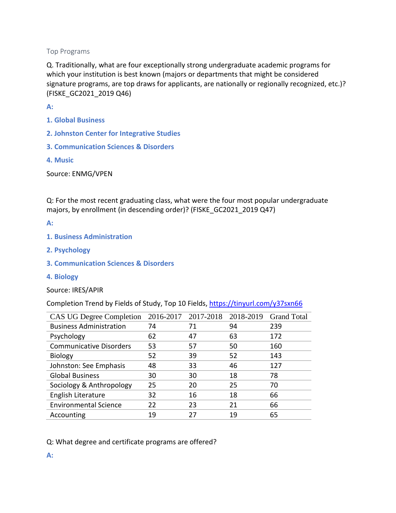## Top Programs

Q. Traditionally, what are four exceptionally strong undergraduate academic programs for which your institution is best known (majors or departments that might be considered signature programs, are top draws for applicants, are nationally or regionally recognized, etc.)? (FISKE\_GC2021\_2019 Q46)

**A:** 

- **1. Global Business**
- **2. Johnston Center for Integrative Studies**
- **3. Communication Sciences & Disorders**
- **4. Music**

Source: ENMG/VPEN

Q: For the most recent graduating class, what were the four most popular undergraduate majors, by enrollment (in descending order)? (FISKE GC2021 2019 Q47)

**A:** 

- **1. Business Administration**
- **2. Psychology**
- **3. Communication Sciences & Disorders**
- **4. Biology**
- Source: IRES/APIR

Completion Trend by Fields of Study, Top 10 Fields,<https://tinyurl.com/y37sxn66>

| <b>CAS UG Degree Completion</b> | 2016-2017 | 2017-2018 | 2018-2019 | <b>Grand Total</b> |
|---------------------------------|-----------|-----------|-----------|--------------------|
| <b>Business Administration</b>  | 74        | 71        | 94        | 239                |
| Psychology                      | 62        | 47        | 63        | 172                |
| <b>Communicative Disorders</b>  | 53        | 57        | 50        | 160                |
| <b>Biology</b>                  | 52        | 39        | 52        | 143                |
| Johnston: See Emphasis          | 48        | 33        | 46        | 127                |
| <b>Global Business</b>          | 30        | 30        | 18        | 78                 |
| Sociology & Anthropology        | 25        | 20        | 25        | 70                 |
| English Literature              | 32        | 16        | 18        | 66                 |
| <b>Environmental Science</b>    | 22        | 23        | 21        | 66                 |
| Accounting                      | 19        | 27        | 19        | 65                 |

## Q: What degree and certificate programs are offered?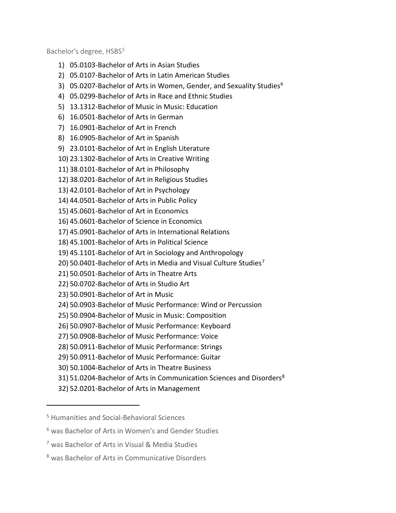Bachelor's degree, HSBS<sup>[5](#page-49-0)</sup>

- 1) 05.0103-Bachelor of Arts in Asian Studies
- 2) 05.0107-Bachelor of Arts in Latin American Studies
- 3) 05.0207-Bachelor of Arts in Women, Gender, and Sexuality Studies<sup>[6](#page-49-1)</sup>
- 4) 05.0299-Bachelor of Arts in Race and Ethnic Studies
- 5) 13.1312-Bachelor of Music in Music: Education
- 6) 16.0501-Bachelor of Arts in German
- 7) 16.0901-Bachelor of Art in French
- 8) 16.0905-Bachelor of Art in Spanish
- 9) 23.0101-Bachelor of Art in English Literature
- 10) 23.1302-Bachelor of Arts in Creative Writing
- 11) 38.0101-Bachelor of Art in Philosophy
- 12) 38.0201-Bachelor of Art in Religious Studies
- 13) 42.0101-Bachelor of Art in Psychology
- 14) 44.0501-Bachelor of Arts in Public Policy
- 15) 45.0601-Bachelor of Art in Economics
- 16) 45.0601-Bachelor of Science in Economics
- 17) 45.0901-Bachelor of Arts in International Relations
- 18) 45.1001-Bachelor of Arts in Political Science
- 19) 45.1101-Bachelor of Art in Sociology and Anthropology
- 20) 50.0401-Bachelor of Arts in Media and Visual Culture Studies<sup>[7](#page-49-2)</sup>
- 21) 50.0501-Bachelor of Arts in Theatre Arts
- 22) 50.0702-Bachelor of Arts in Studio Art
- 23) 50.0901-Bachelor of Art in Music
- 24) 50.0903-Bachelor of Music Performance: Wind or Percussion
- 25) 50.0904-Bachelor of Music in Music: Composition
- 26) 50.0907-Bachelor of Music Performance: Keyboard
- 27) 50.0908-Bachelor of Music Performance: Voice
- 28) 50.0911-Bachelor of Music Performance: Strings
- 29) 50.0911-Bachelor of Music Performance: Guitar
- 30) 50.1004-Bachelor of Arts in Theatre Business
- 31) 51.0204-Bachelor of Arts in Communication Sciences and Disorders<sup>[8](#page-49-3)</sup>
- 32) 52.0201-Bachelor of Arts in Management

<span id="page-49-0"></span><sup>5</sup> Humanities and Social-Behavioral Sciences

<span id="page-49-1"></span><sup>6</sup> was Bachelor of Arts in Women's and Gender Studies

<span id="page-49-2"></span><sup>7</sup> was Bachelor of Arts in Visual & Media Studies

<span id="page-49-3"></span><sup>8</sup> was Bachelor of Arts in Communicative Disorders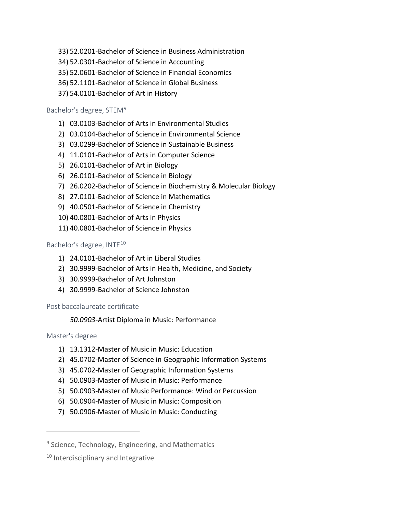- 33) 52.0201-Bachelor of Science in Business Administration
- 34) 52.0301-Bachelor of Science in Accounting
- 35) 52.0601-Bachelor of Science in Financial Economics
- 36) 52.1101-Bachelor of Science in Global Business
- 37) 54.0101-Bachelor of Art in History

## Bachelor's degree, STEM[9](#page-50-0)

- 1) 03.0103-Bachelor of Arts in Environmental Studies
- 2) 03.0104-Bachelor of Science in Environmental Science
- 3) 03.0299-Bachelor of Science in Sustainable Business
- 4) 11.0101-Bachelor of Arts in Computer Science
- 5) 26.0101-Bachelor of Art in Biology
- 6) 26.0101-Bachelor of Science in Biology
- 7) 26.0202-Bachelor of Science in Biochemistry & Molecular Biology
- 8) 27.0101-Bachelor of Science in Mathematics
- 9) 40.0501-Bachelor of Science in Chemistry
- 10) 40.0801-Bachelor of Arts in Physics
- 11) 40.0801-Bachelor of Science in Physics

# Bachelor's degree, INTE<sup>[10](#page-50-1)</sup>

- 1) 24.0101-Bachelor of Art in Liberal Studies
- 2) 30.9999-Bachelor of Arts in Health, Medicine, and Society
- 3) 30.9999-Bachelor of Art Johnston
- 4) 30.9999-Bachelor of Science Johnston

# Post baccalaureate certificate

# *50.0903-*Artist Diploma in Music: Performance

# Master's degree

- 1) 13.1312-Master of Music in Music: Education
- 2) 45.0702-Master of Science in Geographic Information Systems
- 3) 45.0702-Master of Geographic Information Systems
- 4) 50.0903-Master of Music in Music: Performance
- 5) 50.0903-Master of Music Performance: Wind or Percussion
- 6) 50.0904-Master of Music in Music: Composition
- 7) 50.0906-Master of Music in Music: Conducting

<span id="page-50-0"></span><sup>&</sup>lt;sup>9</sup> Science, Technology, Engineering, and Mathematics

<span id="page-50-1"></span><sup>&</sup>lt;sup>10</sup> Interdisciplinary and Integrative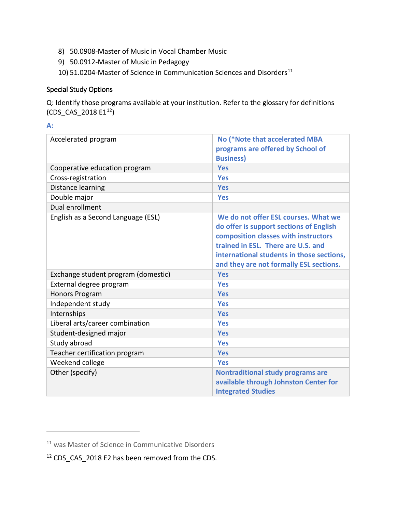- 8) 50.0908-Master of Music in Vocal Chamber Music
- 9) 50.0912-Master of Music in Pedagogy
- 10) 51.0204-Master of Science in Communication Sciences and Disorders $^{11}$  $^{11}$  $^{11}$

## Special Study Options

Q: Identify those programs available at your institution. Refer to the glossary for definitions (CDS CAS 2018  $E1^{12}$  $E1^{12}$  $E1^{12}$ )

## **A:**

| Accelerated program                 | No (*Note that accelerated MBA            |
|-------------------------------------|-------------------------------------------|
|                                     | programs are offered by School of         |
|                                     | <b>Business)</b>                          |
| Cooperative education program       | <b>Yes</b>                                |
| Cross-registration                  | <b>Yes</b>                                |
| Distance learning                   | <b>Yes</b>                                |
| Double major                        | <b>Yes</b>                                |
| Dual enrollment                     |                                           |
| English as a Second Language (ESL)  | We do not offer ESL courses. What we      |
|                                     | do offer is support sections of English   |
|                                     | composition classes with instructors      |
|                                     | trained in ESL. There are U.S. and        |
|                                     | international students in those sections, |
|                                     | and they are not formally ESL sections.   |
| Exchange student program (domestic) | <b>Yes</b>                                |
| External degree program             | <b>Yes</b>                                |
| <b>Honors Program</b>               | <b>Yes</b>                                |
| Independent study                   | <b>Yes</b>                                |
| Internships                         | <b>Yes</b>                                |
| Liberal arts/career combination     | <b>Yes</b>                                |
| Student-designed major              | <b>Yes</b>                                |
| Study abroad                        | <b>Yes</b>                                |
| Teacher certification program       | <b>Yes</b>                                |
| Weekend college                     | <b>Yes</b>                                |
| Other (specify)                     | <b>Nontraditional study programs are</b>  |
|                                     | available through Johnston Center for     |
|                                     | <b>Integrated Studies</b>                 |

<span id="page-51-0"></span><sup>11</sup> was Master of Science in Communicative Disorders

<span id="page-51-1"></span><sup>12</sup> CDS\_CAS\_2018 E2 has been removed from the CDS.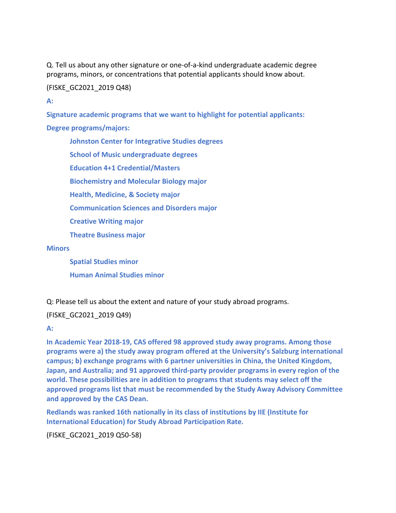Q. Tell us about any other signature or one-of-a-kind undergraduate academic degree programs, minors, or concentrations that potential applicants should know about.

### (FISKE\_GC2021\_2019 Q48)

**A:** 

**Signature academic programs that we want to highlight for potential applicants:** 

**Degree programs/majors:** 

**Johnston Center for Integrative Studies degrees School of Music undergraduate degrees**

**Education 4+1 Credential/Masters**

**Biochemistry and Molecular Biology major**

**Health, Medicine, & Society major**

**Communication Sciences and Disorders major**

**Creative Writing major**

**Theatre Business major**

#### **Minors**

**Spatial Studies minor Human Animal Studies minor**

Q: Please tell us about the extent and nature of your study abroad programs.

## (FISKE\_GC2021\_2019 Q49)

**A:** 

**In Academic Year 2018-19, CAS offered 98 approved study away programs. Among those programs were a) the study away program offered at the University's Salzburg international campus; b) exchange programs with 6 partner universities in China, the United Kingdom, Japan, and Australia; and 91 approved third-party provider programs in every region of the world. These possibilities are in addition to programs that students may select off the approved programs list that must be recommended by the Study Away Advisory Committee and approved by the CAS Dean.**

**Redlands was ranked 16th nationally in its class of institutions by IIE (Institute for International Education) for Study Abroad Participation Rate.** 

(FISKE\_GC2021\_2019 Q50-58)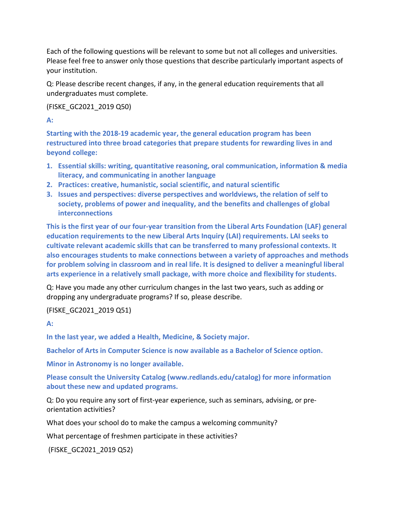Each of the following questions will be relevant to some but not all colleges and universities. Please feel free to answer only those questions that describe particularly important aspects of your institution.

Q: Please describe recent changes, if any, in the general education requirements that all undergraduates must complete.

(FISKE\_GC2021\_2019 Q50)

**A:** 

**Starting with the 2018-19 academic year, the general education program has been restructured into three broad categories that prepare students for rewarding lives in and beyond college:** 

- **1. Essential skills: writing, quantitative reasoning, oral communication, information & media literacy, and communicating in another language**
- **2. Practices: creative, humanistic, social scientific, and natural scientific**
- **3. Issues and perspectives: diverse perspectives and worldviews, the relation of self to society, problems of power and inequality, and the benefits and challenges of global interconnections**

**This is the first year of our four-year transition from the Liberal Arts Foundation (LAF) general education requirements to the new Liberal Arts Inquiry (LAI) requirements. LAI seeks to cultivate relevant academic skills that can be transferred to many professional contexts. It also encourages students to make connections between a variety of approaches and methods for problem solving in classroom and in real life. It is designed to deliver a meaningful liberal arts experience in a relatively small package, with more choice and flexibility for students.** 

Q: Have you made any other curriculum changes in the last two years, such as adding or dropping any undergraduate programs? If so, please describe.

(FISKE\_GC2021\_2019 Q51)

**A:** 

**In the last year, we added a Health, Medicine, & Society major.** 

**Bachelor of Arts in Computer Science is now available as a Bachelor of Science option.** 

**Minor in Astronomy is no longer available.**

**Please consult the University Catalog (www.redlands.edu/catalog) for more information about these new and updated programs.**

Q: Do you require any sort of first-year experience, such as seminars, advising, or preorientation activities?

What does your school do to make the campus a welcoming community?

What percentage of freshmen participate in these activities?

(FISKE\_GC2021\_2019 Q52)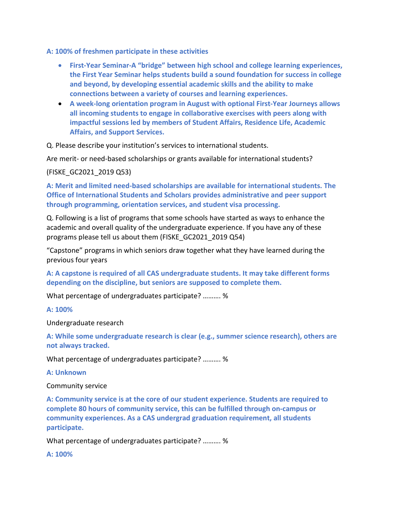**A: 100% of freshmen participate in these activities**

- **First-Year Seminar-A "bridge" between high school and college learning experiences, the First Year Seminar helps students build a sound foundation for success in college and beyond, by developing essential academic skills and the ability to make connections between a variety of courses and learning experiences.**
- **A week-long orientation program in August with optional First-Year Journeys allows all incoming students to engage in collaborative exercises with peers along with impactful sessions led by members of Student Affairs, Residence Life, Academic Affairs, and Support Services.**

Q. Please describe your institution's services to international students.

Are merit- or need-based scholarships or grants available for international students?

(FISKE\_GC2021\_2019 Q53)

**A: Merit and limited need-based scholarships are available for international students. The Office of International Students and Scholars provides administrative and peer support through programming, orientation services, and student visa processing.** 

Q. Following is a list of programs that some schools have started as ways to enhance the academic and overall quality of the undergraduate experience. If you have any of these programs please tell us about them (FISKE\_GC2021\_2019 Q54)

"Capstone" programs in which seniors draw together what they have learned during the previous four years

**A: A capstone is required of all CAS undergraduate students. It may take different forms depending on the discipline, but seniors are supposed to complete them.**

What percentage of undergraduates participate? ………. %

**A: 100%**

Undergraduate research

**A: While some undergraduate research is clear (e.g., summer science research), others are not always tracked.** 

What percentage of undergraduates participate? ………. %

**A: Unknown**

Community service

**A: Community service is at the core of our student experience. Students are required to complete 80 hours of community service, this can be fulfilled through on-campus or community experiences. As a CAS undergrad graduation requirement, all students participate.** 

What percentage of undergraduates participate? ………. %

**A: 100%**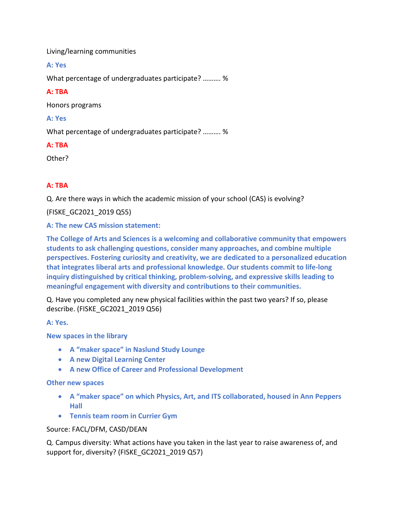Living/learning communities

**A: Yes**

What percentage of undergraduates participate? ………. %

## **A: TBA**

Honors programs

## **A: Yes**

What percentage of undergraduates participate? ………. %

## **A: TBA**

Other?

# **A: TBA**

Q. Are there ways in which the academic mission of your school (CAS) is evolving?

(FISKE\_GC2021\_2019 Q55)

**A: The new CAS mission statement:** 

**The College of Arts and Sciences is a welcoming and collaborative community that empowers students to ask challenging questions, consider many approaches, and combine multiple perspectives. Fostering curiosity and creativity, we are dedicated to a personalized education that integrates liberal arts and professional knowledge. Our students commit to life-long inquiry distinguished by critical thinking, problem-solving, and expressive skills leading to meaningful engagement with diversity and contributions to their communities.**

Q. Have you completed any new physical facilities within the past two years? If so, please describe. (FISKE\_GC2021\_2019 Q56)

**A: Yes.**

**New spaces in the library** 

- **A "maker space" in Naslund Study Lounge**
- **A new Digital Learning Center**
- **A new Office of Career and Professional Development**

## **Other new spaces**

- **A "maker space" on which Physics, Art, and ITS collaborated, housed in Ann Peppers Hall**
- **Tennis team room in Currier Gym**

## Source: FACL/DFM, CASD/DEAN

Q. Campus diversity: What actions have you taken in the last year to raise awareness of, and support for, diversity? (FISKE\_GC2021\_2019 Q57)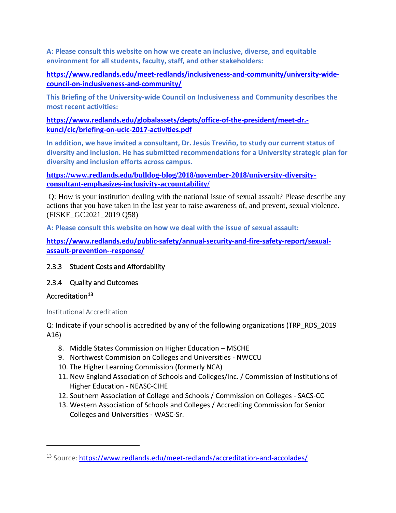**A: Please consult this website on how we create an inclusive, diverse, and equitable environment for all students, faculty, staff, and other stakeholders:** 

**[https://www.redlands.edu/meet-redlands/inclusiveness-and-community/university-wide](https://www.redlands.edu/meet-redlands/inclusiveness-and-community/university-wide-council-on-inclusiveness-and-community/)[council-on-inclusiveness-and-community/](https://www.redlands.edu/meet-redlands/inclusiveness-and-community/university-wide-council-on-inclusiveness-and-community/)**

**This Briefing of the University-wide Council on Inclusiveness and Community describes the most recent activities:** 

**[https://www.redlands.edu/globalassets/depts/office-of-the-president/meet-dr.](https://www.redlands.edu/globalassets/depts/office-of-the-president/meet-dr.-kuncl/cic/briefing-on-ucic-2017-activities.pdf) [kuncl/cic/briefing-on-ucic-2017-activities.pdf](https://www.redlands.edu/globalassets/depts/office-of-the-president/meet-dr.-kuncl/cic/briefing-on-ucic-2017-activities.pdf)**

**In addition, we have invited a consultant, Dr. Jesús Treviño, to study our current status of diversity and inclusion. He has submitted recommendations for a University strategic plan for diversity and inclusion efforts across campus.**

**[https://www.redlands.edu/bulldog-blog/2018/november-2018/university-diversity](https://www.redlands.edu/bulldog-blog/2018/november-2018/university-diversity-consultant-emphasizes-inclusivity-accountability/)[consultant-emphasizes-inclusivity-accountability/](https://www.redlands.edu/bulldog-blog/2018/november-2018/university-diversity-consultant-emphasizes-inclusivity-accountability/)**

Q: How is your institution dealing with the national issue of sexual assault? Please describe any actions that you have taken in the last year to raise awareness of, and prevent, sexual violence. (FISKE\_GC2021\_2019 Q58)

**A: Please consult this website on how we deal with the issue of sexual assault:** 

**[https://www.redlands.edu/public-safety/annual-security-and-fire-safety-report/sexual](https://www.redlands.edu/public-safety/annual-security-and-fire-safety-report/sexual-assault-prevention--response/)[assault-prevention--response/](https://www.redlands.edu/public-safety/annual-security-and-fire-safety-report/sexual-assault-prevention--response/)**

2.3.3 Student Costs and Affordability

# 2.3.4 Quality and Outcomes

# Accreditation<sup>[13](#page-56-0)</sup>

 $\overline{a}$ 

# Institutional Accreditation

Q: Indicate if your school is accredited by any of the following organizations (TRP\_RDS\_2019 A16)

- 8. Middle States Commission on Higher Education MSCHE
- 9. Northwest Commision on Colleges and Universities NWCCU
- 10. The Higher Learning Commission (formerly NCA)
- 11. New England Association of Schools and Colleges/Inc. / Commission of Institutions of Higher Education - NEASC-CIHE
- 12. Southern Association of College and Schools / Commission on Colleges SACS-CC
- 13. Western Association of Schools and Colleges / Accrediting Commission for Senior Colleges and Universities - WASC-Sr.

<span id="page-56-0"></span><sup>13</sup> Source:<https://www.redlands.edu/meet-redlands/accreditation-and-accolades/>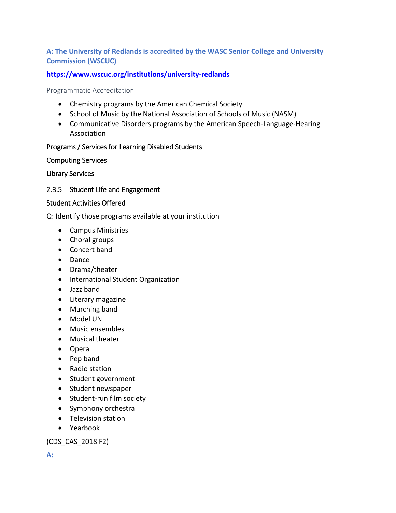# **A: The University of Redlands is accredited by the WASC Senior College and University Commission (WSCUC)**

# **<https://www.wscuc.org/institutions/university-redlands>**

## Programmatic Accreditation

- Chemistry programs by the American Chemical Society
- School of Music by the National Association of Schools of Music (NASM)
- Communicative Disorders programs by the American Speech-Language-Hearing Association

# Programs / Services for Learning Disabled Students

# Computing Services

Library Services

# 2.3.5 Student Life and Engagement

# Student Activities Offered

Q: Identify those programs available at your institution

- Campus Ministries
- Choral groups
- Concert band
- Dance
- Drama/theater
- International Student Organization
- Jazz band
- Literary magazine
- Marching band
- Model UN
- Music ensembles
- Musical theater
- Opera
- Pep band
- Radio station
- Student government
- Student newspaper
- Student-run film society
- Symphony orchestra
- Television station
- Yearbook

(CDS\_CAS\_2018 F2)

**A:**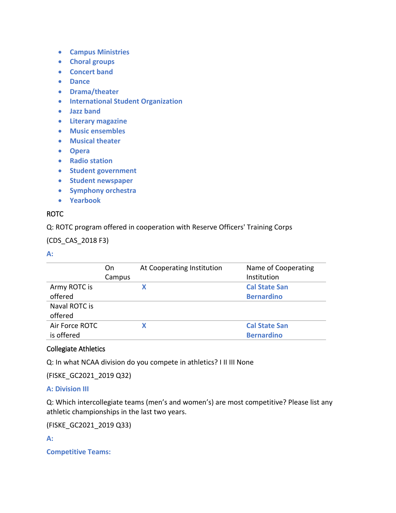- **Campus Ministries**
- **Choral groups**
- **Concert band**
- **Dance**
- **Drama/theater**
- **International Student Organization**
- **Jazz band**
- **Literary magazine**
- **Music ensembles**
- **Musical theater**
- **Opera**
- **Radio station**
- **Student government**
- **Student newspaper**
- **Symphony orchestra**
- **Yearbook**

## ROTC

Q: ROTC program offered in cooperation with Reserve Officers' Training Corps

(CDS\_CAS\_2018 F3)

## **A:**

|                | On     | At Cooperating Institution | Name of Cooperating  |
|----------------|--------|----------------------------|----------------------|
|                | Campus |                            | Institution          |
| Army ROTC is   |        |                            | <b>Cal State San</b> |
| offered        |        |                            | <b>Bernardino</b>    |
| Naval ROTC is  |        |                            |                      |
| offered        |        |                            |                      |
| Air Force ROTC |        |                            | <b>Cal State San</b> |
| is offered     |        |                            | <b>Bernardino</b>    |

## Collegiate Athletics

Q: In what NCAA division do you compete in athletics? I II III None

(FISKE\_GC2021\_2019 Q32)

# **A: Division III**

Q: Which intercollegiate teams (men's and women's) are most competitive? Please list any athletic championships in the last two years.

(FISKE\_GC2021\_2019 Q33)

**A:**

**Competitive Teams:**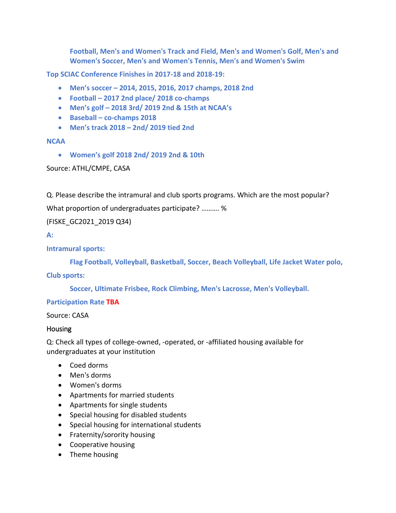**Football, Men's and Women's Track and Field, Men's and Women's Golf, Men's and Women's Soccer, Men's and Women's Tennis, Men's and Women's Swim**

**Top SCIAC Conference Finishes in 2017-18 and 2018-19:** 

- **Men's soccer – 2014, 2015, 2016, 2017 champs, 2018 2nd**
- **Football – 2017 2nd place/ 2018 co-champs**
- **Men's golf – 2018 3rd/ 2019 2nd & 15th at NCAA's**
- **Baseball – co-champs 2018**
- **Men's track 2018 – 2nd/ 2019 tied 2nd**

### **NCAA**

• **Women's golf 2018 2nd/ 2019 2nd & 10th** 

Source: ATHL/CMPE, CASA

Q. Please describe the intramural and club sports programs. Which are the most popular?

What proportion of undergraduates participate? ………. %

(FISKE\_GC2021\_2019 Q34)

### **A:**

## **Intramural sports:**

**Flag Football, Volleyball, Basketball, Soccer, Beach Volleyball, Life Jacket Water polo,**

## **Club sports:**

**Soccer, Ultimate Frisbee, Rock Climbing, Men's Lacrosse, Men's Volleyball.**

## **Participation Rate TBA**

Source: CASA

#### Housing

Q: Check all types of college-owned, -operated, or -affiliated housing available for undergraduates at your institution

- Coed dorms
- Men's dorms
- Women's dorms
- Apartments for married students
- Apartments for single students
- Special housing for disabled students
- Special housing for international students
- Fraternity/sorority housing
- Cooperative housing
- Theme housing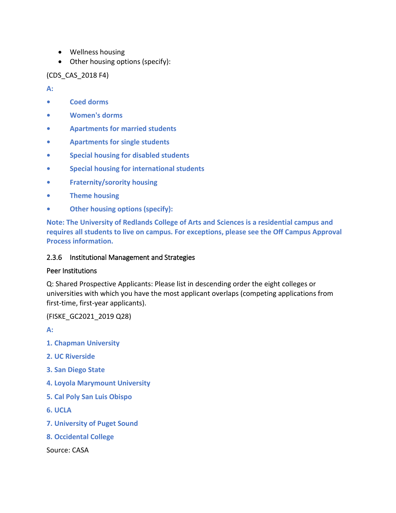- Wellness housing
- Other housing options (specify):

(CDS\_CAS\_2018 F4)

**A:** 

- **• Coed dorms**
- **• Women's dorms**
- **• Apartments for married students**
- **• Apartments for single students**
- **• Special housing for disabled students**
- **• Special housing for international students**
- **• Fraternity/sorority housing**
- **• Theme housing**
- **• Other housing options (specify):**

**Note: The University of Redlands College of Arts and Sciences is a residential campus and requires all students to live on campus. For exceptions, please see the Off Campus Approval Process information.**

# 2.3.6 Institutional Management and Strategies

# Peer Institutions

Q: Shared Prospective Applicants: Please list in descending order the eight colleges or universities with which you have the most applicant overlaps (competing applications from first-time, first-year applicants).

(FISKE\_GC2021\_2019 Q28)

**A:** 

- **1. Chapman University**
- **2. UC Riverside**
- **3. San Diego State**
- **4. Loyola Marymount University**
- **5. Cal Poly San Luis Obispo**
- **6. UCLA**
- **7. University of Puget Sound**
- **8. Occidental College**

Source: CASA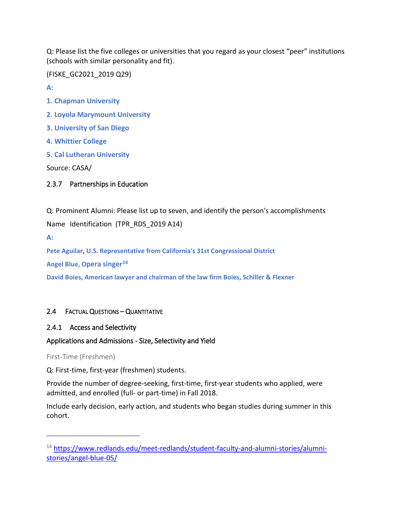Q: Please list the five colleges or universities that you regard as your closest "peer" institutions (schools with similar personality and fit).

(FISKE\_GC2021\_2019 Q29)

**A:** 

- **1. Chapman University**
- **2. Loyola Marymount University**
- **3. University of San Diego**
- **4. Whittier College**
- **5. Cal Lutheran University**

Source: CASA/

# 2.3.7 Partnerships in Education

Q: Prominent Alumni: Please list up to seven, and identify the person's accomplishments

Name Identification (TPR\_RDS\_2019 A14)

**A:** 

 $\overline{a}$ 

**Pete Aguilar**, **U.S. Representative from California's 31st Congressional District**

**Angel Blue, Opera singer[14](#page-61-0)**

**David Boies, American lawyer and chairman of the law firm Boies, Schiller & Flexner**

# 2.4 FACTUAL QUESTIONS – QUANTITATIVE

# 2.4.1 Access and Selectivity

# Applications and Admissions - Size, Selectivity and Yield

First-Time (Freshmen)

Q: First-time, first-year (freshmen) students.

Provide the number of degree-seeking, first-time, first-year students who applied, were admitted, and enrolled (full- or part-time) in Fall 2018.

Include early decision, early action, and students who began studies during summer in this cohort.

<span id="page-61-0"></span><sup>&</sup>lt;sup>14</sup> [https://www.redlands.edu/meet-redlands/student-faculty-and-alumni-stories/alumni](https://www.redlands.edu/meet-redlands/student-faculty-and-alumni-stories/alumni-stories/angel-blue-05/)[stories/angel-blue-05/](https://www.redlands.edu/meet-redlands/student-faculty-and-alumni-stories/alumni-stories/angel-blue-05/)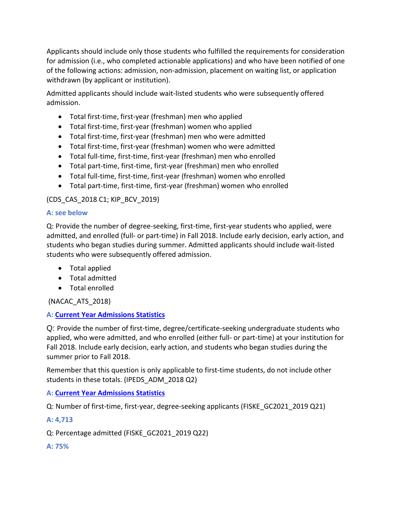Applicants should include only those students who fulfilled the requirements for consideration for admission (i.e., who completed actionable applications) and who have been notified of one of the following actions: admission, non-admission, placement on waiting list, or application withdrawn (by applicant or institution).

Admitted applicants should include wait-listed students who were subsequently offered admission.

- Total first-time, first-year (freshman) men who applied
- Total first-time, first-year (freshman) women who applied
- Total first-time, first-year (freshman) men who were admitted
- Total first-time, first-year (freshman) women who were admitted
- Total full-time, first-time, first-year (freshman) men who enrolled
- Total part-time, first-time, first-year (freshman) men who enrolled
- Total full-time, first-time, first-year (freshman) women who enrolled
- Total part-time, first-time, first-year (freshman) women who enrolled

# (CDS\_CAS\_2018 C1; KIP\_BCV\_2019)

## **A: see below**

Q: Provide the number of degree-seeking, first-time, first-year students who applied, were admitted, and enrolled (full- or part-time) in Fall 2018. Include early decision, early action, and students who began studies during summer. Admitted applicants should include wait-listed students who were subsequently offered admission.

- Total applied
- Total admitted
- Total enrolled

# (NACAC\_ATS\_2018)

# **A: [Current Year Admissions Statistics](#page-63-0)**

Q: Provide the number of first-time, degree/certificate-seeking undergraduate students who applied, who were admitted, and who enrolled (either full- or part-time) at your institution for Fall 2018. Include early decision, early action, and students who began studies during the summer prior to Fall 2018.

Remember that this question is only applicable to first-time students, do not include other students in these totals. (IPEDS\_ADM\_2018 Q2)

## **A: [Current Year Admissions Statistics](#page-63-0)**

Q: Number of first-time, first-year, degree-seeking applicants (FISKE\_GC2021\_2019 Q21)

# **A: 4,713**

Q: Percentage admitted (FISKE\_GC2021\_2019 Q22)

## **A: 75%**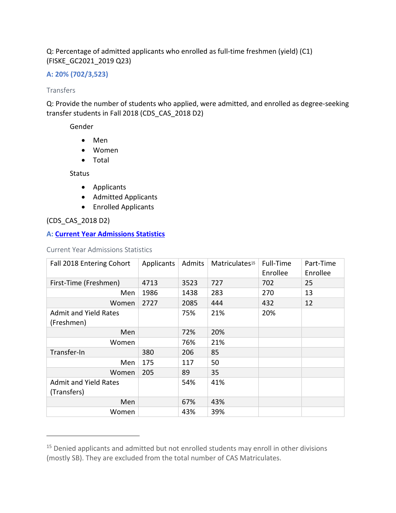# <span id="page-63-0"></span>Q: Percentage of admitted applicants who enrolled as full-time freshmen (yield) (C1) (FISKE\_GC2021\_2019 Q23)

# **A: 20% (702/3,523)**

### Transfers

Q: Provide the number of students who applied, were admitted, and enrolled as degree-seeking transfer students in Fall 2018 (CDS\_CAS\_2018 D2)

Gender

- Men
- Women
- Total

Status

- Applicants
- Admitted Applicants
- Enrolled Applicants

## (CDS\_CAS\_2018 D2)

 $\overline{a}$ 

## **A: [Current Year Admissions Statistics](#page-63-0)**

Current Year Admissions Statistics

| Fall 2018 Entering Cohort                   | Applicants | Admits | Matriculates <sup>15</sup> | Full-Time<br>Enrollee | Part-Time<br>Enrollee |
|---------------------------------------------|------------|--------|----------------------------|-----------------------|-----------------------|
| First-Time (Freshmen)                       | 4713       | 3523   | 727                        | 702                   | 25                    |
| Men                                         | 1986       | 1438   | 283                        | 270                   | 13                    |
| Women                                       | 2727       | 2085   | 444                        | 432                   | 12                    |
| <b>Admit and Yield Rates</b>                |            | 75%    | 21%                        | 20%                   |                       |
| (Freshmen)                                  |            |        |                            |                       |                       |
| Men                                         |            | 72%    | 20%                        |                       |                       |
| Women                                       |            | 76%    | 21%                        |                       |                       |
| Transfer-In                                 | 380        | 206    | 85                         |                       |                       |
| Men                                         | 175        | 117    | 50                         |                       |                       |
| Women                                       | 205        | 89     | 35                         |                       |                       |
| <b>Admit and Yield Rates</b><br>(Transfers) |            | 54%    | 41%                        |                       |                       |
| Men                                         |            | 67%    | 43%                        |                       |                       |
| Women                                       |            | 43%    | 39%                        |                       |                       |

<span id="page-63-1"></span><sup>&</sup>lt;sup>15</sup> Denied applicants and admitted but not enrolled students may enroll in other divisions (mostly SB). They are excluded from the total number of CAS Matriculates.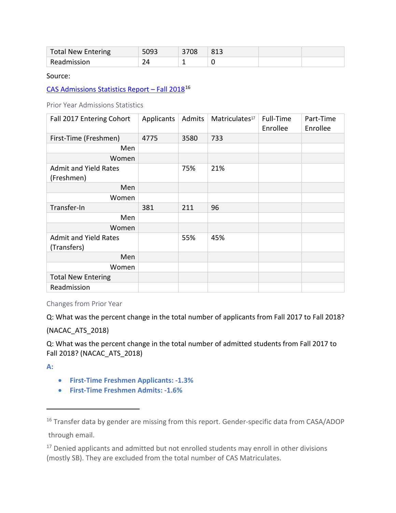| <b>Total New Entering</b> |   | 3708 | 813 |  |
|---------------------------|---|------|-----|--|
| Readmission               | - |      |     |  |

Source:

CAS Admissions Statistics Report - Fall 2018<sup>[16](#page-64-0)</sup>

Prior Year Admissions Statistics

| Fall 2017 Entering Cohort                   | Applicants | Admits | Matriculates <sup>17</sup> | Full-Time<br>Enrollee | Part-Time<br>Enrollee |
|---------------------------------------------|------------|--------|----------------------------|-----------------------|-----------------------|
| First-Time (Freshmen)                       | 4775       | 3580   | 733                        |                       |                       |
| Men                                         |            |        |                            |                       |                       |
| Women                                       |            |        |                            |                       |                       |
| <b>Admit and Yield Rates</b><br>(Freshmen)  |            | 75%    | 21%                        |                       |                       |
| Men                                         |            |        |                            |                       |                       |
| Women                                       |            |        |                            |                       |                       |
| Transfer-In                                 | 381        | 211    | 96                         |                       |                       |
| Men                                         |            |        |                            |                       |                       |
| Women                                       |            |        |                            |                       |                       |
| <b>Admit and Yield Rates</b><br>(Transfers) |            | 55%    | 45%                        |                       |                       |
| Men                                         |            |        |                            |                       |                       |
| Women                                       |            |        |                            |                       |                       |
| <b>Total New Entering</b>                   |            |        |                            |                       |                       |
| Readmission                                 |            |        |                            |                       |                       |

Changes from Prior Year

Q: What was the percent change in the total number of applicants from Fall 2017 to Fall 2018?

# (NACAC\_ATS\_2018)

Q: What was the percent change in the total number of admitted students from Fall 2017 to Fall 2018? (NACAC\_ATS\_2018)

**A:** 

 $\overline{a}$ 

- **First-Time Freshmen Applicants: -1.3%**
- **First-Time Freshmen Admits: -1.6%**

<span id="page-64-1"></span><sup>17</sup> Denied applicants and admitted but not enrolled students may enroll in other divisions (mostly SB). They are excluded from the total number of CAS Matriculates.

<span id="page-64-0"></span><sup>&</sup>lt;sup>16</sup> Transfer data by gender are missing from this report. Gender-specific data from CASA/ADOP through email.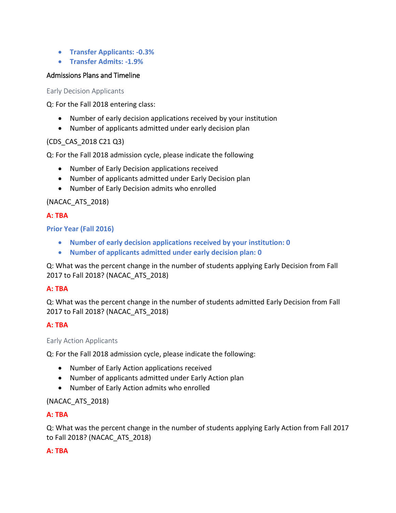- **Transfer Applicants: -0.3%**
- **Transfer Admits: -1.9%**

## Admissions Plans and Timeline

Early Decision Applicants

Q: For the Fall 2018 entering class:

- Number of early decision applications received by your institution
- Number of applicants admitted under early decision plan

## (CDS\_CAS\_2018 C21 Q3)

Q: For the Fall 2018 admission cycle, please indicate the following

- Number of Early Decision applications received
- Number of applicants admitted under Early Decision plan
- Number of Early Decision admits who enrolled

# (NACAC\_ATS\_2018)

## **A: TBA**

**Prior Year (Fall 2016)**

- **Number of early decision applications received by your institution: 0**
- **Number of applicants admitted under early decision plan: 0**

Q: What was the percent change in the number of students applying Early Decision from Fall 2017 to Fall 2018? (NACAC\_ATS\_2018)

## **A: TBA**

Q: What was the percent change in the number of students admitted Early Decision from Fall 2017 to Fall 2018? (NACAC\_ATS\_2018)

## **A: TBA**

## Early Action Applicants

Q: For the Fall 2018 admission cycle, please indicate the following:

- Number of Early Action applications received
- Number of applicants admitted under Early Action plan
- Number of Early Action admits who enrolled

# (NACAC\_ATS\_2018)

## **A: TBA**

Q: What was the percent change in the number of students applying Early Action from Fall 2017 to Fall 2018? (NACAC\_ATS\_2018)

## **A: TBA**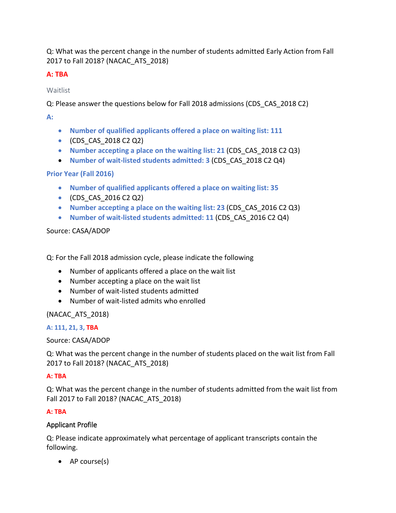Q: What was the percent change in the number of students admitted Early Action from Fall 2017 to Fall 2018? (NACAC\_ATS\_2018)

# **A: TBA**

Waitlist

Q: Please answer the questions below for Fall 2018 admissions (CDS\_CAS\_2018 C2)

**A:** 

- **Number of qualified applicants offered a place on waiting list: 111**
- (CDS\_CAS\_2018 C2 Q2)
- **Number accepting a place on the waiting list: 21** (CDS\_CAS\_2018 C2 Q3)
- **Number of wait-listed students admitted: 3** (CDS\_CAS\_2018 C2 Q4)

# **Prior Year (Fall 2016)**

- **Number of qualified applicants offered a place on waiting list: 35**
- (CDS\_CAS\_2016 C2 Q2)
- **Number accepting a place on the waiting list: 23** (CDS\_CAS\_2016 C2 Q3)
- **Number of wait-listed students admitted: 11** (CDS\_CAS\_2016 C2 Q4)

# Source: CASA/ADOP

Q: For the Fall 2018 admission cycle, please indicate the following

- Number of applicants offered a place on the wait list
- Number accepting a place on the wait list
- Number of wait-listed students admitted
- Number of wait-listed admits who enrolled

(NACAC\_ATS\_2018)

# **A: 111, 21, 3, TBA**

Source: CASA/ADOP

Q: What was the percent change in the number of students placed on the wait list from Fall 2017 to Fall 2018? (NACAC\_ATS\_2018)

# **A: TBA**

Q: What was the percent change in the number of students admitted from the wait list from Fall 2017 to Fall 2018? (NACAC\_ATS\_2018)

# **A: TBA**

# Applicant Profile

Q: Please indicate approximately what percentage of applicant transcripts contain the following.

• AP course(s)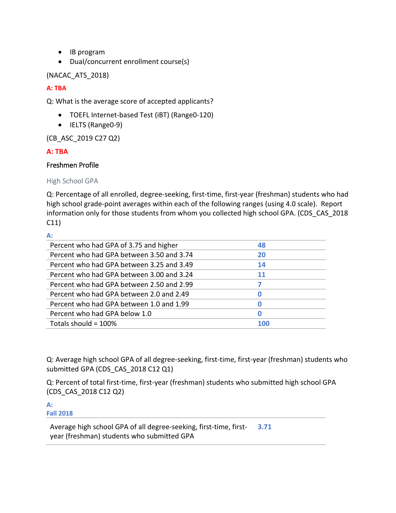- IB program
- Dual/concurrent enrollment course(s)

(NACAC\_ATS\_2018)

# **A: TBA**

Q: What is the average score of accepted applicants?

- TOEFL Internet-based Test (iBT) (Range0-120)
- IELTS (Range0-9)

(CB\_ASC\_2019 C27 Q2)

# **A: TBA**

# Freshmen Profile

High School GPA

Q: Percentage of all enrolled, degree-seeking, first-time, first-year (freshman) students who had high school grade-point averages within each of the following ranges (using 4.0 scale). Report information only for those students from whom you collected high school GPA. (CDS\_CAS\_2018 C11)

**A:** 

| Percent who had GPA of 3.75 and higher    | 48         |  |
|-------------------------------------------|------------|--|
| Percent who had GPA between 3.50 and 3.74 | 20         |  |
| Percent who had GPA between 3.25 and 3.49 | 14         |  |
| Percent who had GPA between 3.00 and 3.24 | 11         |  |
| Percent who had GPA between 2.50 and 2.99 |            |  |
| Percent who had GPA between 2.0 and 2.49  | 0          |  |
| Percent who had GPA between 1.0 and 1.99  | O          |  |
| Percent who had GPA below 1.0             | 0          |  |
| Totals should = 100%                      | <b>100</b> |  |

Q: Average high school GPA of all degree-seeking, first-time, first-year (freshman) students who submitted GPA (CDS\_CAS\_2018 C12 Q1)

Q: Percent of total first-time, first-year (freshman) students who submitted high school GPA (CDS\_CAS\_2018 C12 Q2)

**A: Fall 2018**

> Average high school GPA of all degree-seeking, first-time, firstyear (freshman) students who submitted GPA **3.71**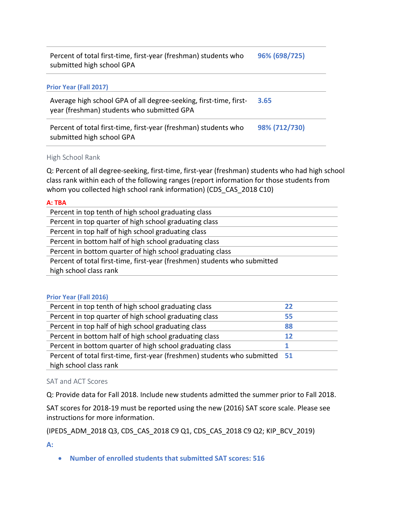Percent of total first-time, first-year (freshman) students who submitted high school GPA **96% (698/725)**

### **Prior Year (Fall 2017)**

Average high school GPA of all degree-seeking, first-time, firstyear (freshman) students who submitted GPA **3.65**

Percent of total first-time, first-year (freshman) students who submitted high school GPA **98% (712/730)**

#### High School Rank

Q: Percent of all degree-seeking, first-time, first-year (freshman) students who had high school class rank within each of the following ranges (report information for those students from whom you collected high school rank information) (CDS\_CAS\_2018 C10)

#### **A: TBA**

| Percent in top tenth of high school graduating class                      |
|---------------------------------------------------------------------------|
| Percent in top quarter of high school graduating class                    |
| Percent in top half of high school graduating class                       |
| Percent in bottom half of high school graduating class                    |
| Percent in bottom quarter of high school graduating class                 |
| Percent of total first-time, first-year (freshmen) students who submitted |
| high school class rank                                                    |

#### **Prior Year (Fall 2016)**

| Percent in top tenth of high school graduating class                         | 22 |
|------------------------------------------------------------------------------|----|
| Percent in top quarter of high school graduating class                       | 55 |
| Percent in top half of high school graduating class                          | 88 |
| Percent in bottom half of high school graduating class                       | 12 |
| Percent in bottom quarter of high school graduating class                    |    |
| Percent of total first-time, first-year (freshmen) students who submitted 51 |    |
| high school class rank                                                       |    |
|                                                                              |    |

#### SAT and ACT Scores

Q: Provide data for Fall 2018. Include new students admitted the summer prior to Fall 2018.

SAT scores for 2018-19 must be reported using the new (2016) SAT score scale. Please see instructions for more information.

(IPEDS\_ADM\_2018 Q3, CDS\_CAS\_2018 C9 Q1, CDS\_CAS\_2018 C9 Q2; KIP\_BCV\_2019)

**A:** 

• **Number of enrolled students that submitted SAT scores: 516**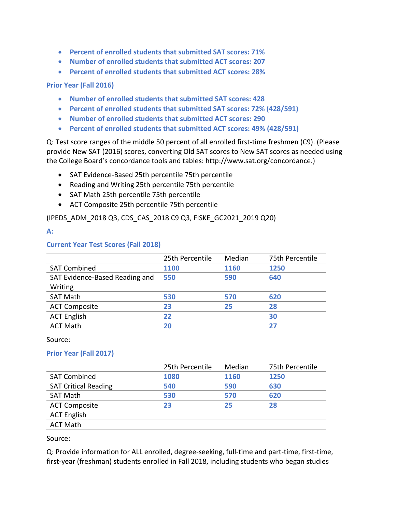- **Percent of enrolled students that submitted SAT scores: 71%**
- **Number of enrolled students that submitted ACT scores: 207**
- **Percent of enrolled students that submitted ACT scores: 28%**

## **Prior Year (Fall 2016)**

- **Number of enrolled students that submitted SAT scores: 428**
- **Percent of enrolled students that submitted SAT scores: 72% (428/591)**
- **Number of enrolled students that submitted ACT scores: 290**
- **Percent of enrolled students that submitted ACT scores: 49% (428/591)**

Q: Test score ranges of the middle 50 percent of all enrolled first-time freshmen (C9). (Please provide New SAT (2016) scores, converting Old SAT scores to New SAT scores as needed using the College Board's concordance tools and tables: http://www.sat.org/concordance.)

- SAT Evidence-Based 25th percentile 75th percentile
- Reading and Writing 25th percentile 75th percentile
- SAT Math 25th percentile 75th percentile
- ACT Composite 25th percentile 75th percentile

(IPEDS\_ADM\_2018 Q3, CDS\_CAS\_2018 C9 Q3, FISKE\_GC2021\_2019 Q20)

### **A:**

## **Current Year Test Scores (Fall 2018)**

|                                | 25th Percentile | Median | 75th Percentile |
|--------------------------------|-----------------|--------|-----------------|
| <b>SAT Combined</b>            | 1100            | 1160   | 1250            |
| SAT Evidence-Based Reading and | 550             | 590    | 640             |
| Writing                        |                 |        |                 |
| <b>SAT Math</b>                | 530             | 570    | 620             |
| <b>ACT Composite</b>           | 23              | 25     | 28              |
| <b>ACT English</b>             | 22              |        | 30              |
| <b>ACT Math</b>                | 20              |        | 27              |

#### Source:

## **Prior Year (Fall 2017)**

|                             | 25th Percentile | Median | 75th Percentile |
|-----------------------------|-----------------|--------|-----------------|
| <b>SAT Combined</b>         | 1080            | 1160   | 1250            |
| <b>SAT Critical Reading</b> | 540             | 590    | 630             |
| <b>SAT Math</b>             | 530             | 570    | 620             |
| <b>ACT Composite</b>        | 23              | 25     | 28              |
| <b>ACT English</b>          |                 |        |                 |
| <b>ACT Math</b>             |                 |        |                 |

Source:

Q: Provide information for ALL enrolled, degree-seeking, full-time and part-time, first-time, first-year (freshman) students enrolled in Fall 2018, including students who began studies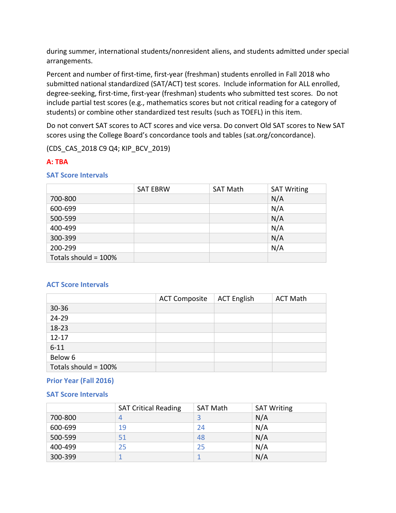during summer, international students/nonresident aliens, and students admitted under special arrangements.

Percent and number of first-time, first-year (freshman) students enrolled in Fall 2018 who submitted national standardized (SAT/ACT) test scores. Include information for ALL enrolled, degree-seeking, first-time, first-year (freshman) students who submitted test scores. Do not include partial test scores (e.g., mathematics scores but not critical reading for a category of students) or combine other standardized test results (such as TOEFL) in this item.

Do not convert SAT scores to ACT scores and vice versa. Do convert Old SAT scores to New SAT scores using the College Board's concordance tools and tables (sat.org/concordance).

(CDS\_CAS\_2018 C9 Q4; KIP\_BCV\_2019)

# **A: TBA**

## **SAT Score Intervals**

|                      | <b>SAT EBRW</b> | <b>SAT Math</b> | <b>SAT Writing</b> |
|----------------------|-----------------|-----------------|--------------------|
| 700-800              |                 |                 | N/A                |
| 600-699              |                 |                 | N/A                |
| 500-599              |                 |                 | N/A                |
| 400-499              |                 |                 | N/A                |
| 300-399              |                 |                 | N/A                |
| 200-299              |                 |                 | N/A                |
| Totals should = 100% |                 |                 |                    |

## **ACT Score Intervals**

|                      | <b>ACT Composite</b> | <b>ACT English</b> | <b>ACT Math</b> |
|----------------------|----------------------|--------------------|-----------------|
| $30 - 36$            |                      |                    |                 |
| 24-29                |                      |                    |                 |
| 18-23                |                      |                    |                 |
| $12 - 17$            |                      |                    |                 |
| $6 - 11$             |                      |                    |                 |
| Below 6              |                      |                    |                 |
| Totals should = 100% |                      |                    |                 |

## **Prior Year (Fall 2016)**

## **SAT Score Intervals**

|         | <b>SAT Critical Reading</b> | <b>SAT Math</b> | <b>SAT Writing</b> |
|---------|-----------------------------|-----------------|--------------------|
| 700-800 |                             | 3               | N/A                |
| 600-699 | 19                          | 24              | N/A                |
| 500-599 | 51                          | 48              | N/A                |
| 400-499 | 25                          | 25              | N/A                |
| 300-399 |                             |                 | N/A                |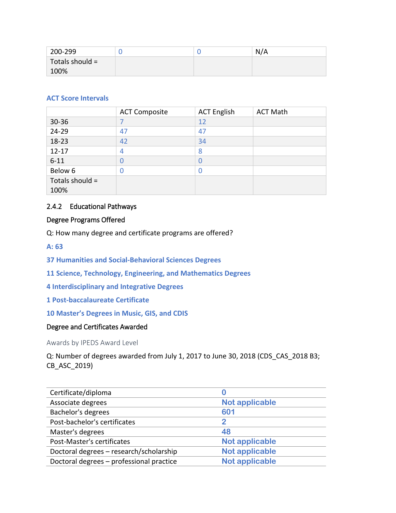| 200-299         |  | N/A |
|-----------------|--|-----|
| Totals should = |  |     |
| 100%            |  |     |

# **ACT Score Intervals**

|                 | <b>ACT Composite</b> | <b>ACT English</b> | <b>ACT Math</b> |
|-----------------|----------------------|--------------------|-----------------|
| $30 - 36$       |                      | 12                 |                 |
| 24-29           | 47                   | 47                 |                 |
| 18-23           | 42                   | 34                 |                 |
| $12 - 17$       |                      | 8                  |                 |
| $6 - 11$        |                      |                    |                 |
| Below 6         | D                    |                    |                 |
| Totals should = |                      |                    |                 |
| 100%            |                      |                    |                 |

## 2.4.2 Educational Pathways

## Degree Programs Offered

Q: How many degree and certificate programs are offered?

## **A: 63**

- **37 Humanities and Social-Behavioral Sciences Degrees**
- **11 Science, Technology, Engineering, and Mathematics Degrees**
- **4 Interdisciplinary and Integrative Degrees**
- **1 Post-baccalaureate Certificate**
- **10 Master's Degrees in Music, GIS, and CDIS**

## Degree and Certificates Awarded

Awards by IPEDS Award Level

Q: Number of degrees awarded from July 1, 2017 to June 30, 2018 (CDS\_CAS\_2018 B3; CB\_ASC\_2019)

| Certificate/diploma                      |                       |
|------------------------------------------|-----------------------|
| Associate degrees                        | <b>Not applicable</b> |
| Bachelor's degrees                       | 601                   |
| Post-bachelor's certificates             | $\mathfrak{p}$        |
| Master's degrees                         | 48                    |
| Post-Master's certificates               | <b>Not applicable</b> |
| Doctoral degrees - research/scholarship  | <b>Not applicable</b> |
| Doctoral degrees - professional practice | <b>Not applicable</b> |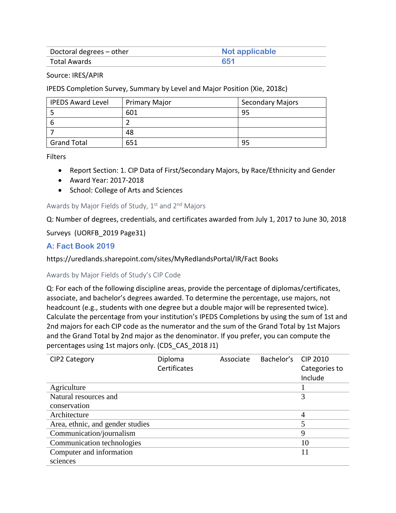| Doctoral degrees – other | Not applicable |
|--------------------------|----------------|
| Total Awards             | 651            |

Source: IRES/APIR

IPEDS Completion Survey, Summary by Level and Major Position (Xie, 2018c)

| <b>IPEDS Award Level</b> | <b>Primary Major</b> | <b>Secondary Majors</b> |
|--------------------------|----------------------|-------------------------|
|                          | 601                  | 95                      |
| 6                        |                      |                         |
|                          | 48                   |                         |
| <b>Grand Total</b>       | 651                  | 95                      |

Filters

- Report Section: 1. CIP Data of First/Secondary Majors, by Race/Ethnicity and Gender
- Award Year: 2017-2018
- School: College of Arts and Sciences

#### Awards by Major Fields of Study,  $1<sup>st</sup>$  and  $2<sup>nd</sup>$  Majors

Q: Number of degrees, credentials, and certificates awarded from July 1, 2017 to June 30, 2018

Surveys (UORFB\_2019 Page31)

## **A: Fact Book 2019**

https://uredlands.sharepoint.com/sites/MyRedlandsPortal/IR/Fact Books

#### Awards by Major Fields of Study's CIP Code

Q: For each of the following discipline areas, provide the percentage of diplomas/certificates, associate, and bachelor's degrees awarded. To determine the percentage, use majors, not headcount (e.g., students with one degree but a double major will be represented twice). Calculate the percentage from your institution's IPEDS Completions by using the sum of 1st and 2nd majors for each CIP code as the numerator and the sum of the Grand Total by 1st Majors and the Grand Total by 2nd major as the denominator. If you prefer, you can compute the percentages using 1st majors only. (CDS\_CAS\_2018 J1)

| CIP2 Category                    | Diploma      | Associate | Bachelor's | CIP 2010      |
|----------------------------------|--------------|-----------|------------|---------------|
|                                  | Certificates |           |            | Categories to |
|                                  |              |           |            | Include       |
| Agriculture                      |              |           |            |               |
| Natural resources and            |              |           |            | 3             |
| conservation                     |              |           |            |               |
| Architecture                     |              |           |            |               |
| Area, ethnic, and gender studies |              |           |            |               |
| Communication/journalism         |              |           |            | 9             |
| Communication technologies       |              |           |            | 10            |
| Computer and information         |              |           |            | 11            |
| sciences                         |              |           |            |               |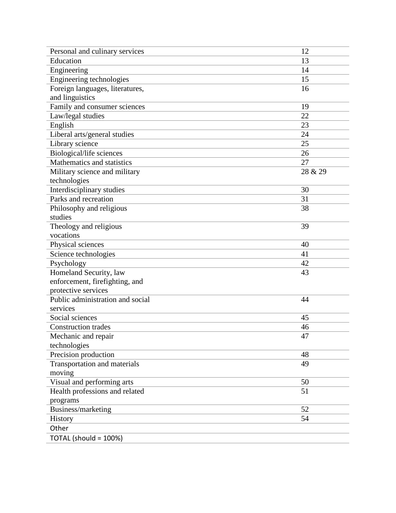| Personal and culinary services   | 12      |
|----------------------------------|---------|
| Education                        | 13      |
| Engineering                      | 14      |
| Engineering technologies         | 15      |
| Foreign languages, literatures,  | 16      |
| and linguistics                  |         |
| Family and consumer sciences     | 19      |
| Law/legal studies                | 22      |
| English                          | 23      |
| Liberal arts/general studies     | 24      |
| Library science                  | 25      |
| Biological/life sciences         | 26      |
| Mathematics and statistics       | 27      |
| Military science and military    | 28 & 29 |
| technologies                     |         |
| Interdisciplinary studies        | 30      |
| Parks and recreation             | 31      |
| Philosophy and religious         | 38      |
| studies                          |         |
| Theology and religious           | 39      |
| vocations                        |         |
| Physical sciences                | 40      |
| Science technologies             | 41      |
| Psychology                       | 42      |
| Homeland Security, law           | 43      |
| enforcement, firefighting, and   |         |
| protective services              |         |
| Public administration and social | 44      |
| services                         |         |
| Social sciences                  | 45      |
| <b>Construction trades</b>       | 46      |
| Mechanic and repair              | 47      |
| technologies                     |         |
| Precision production             | 48      |
| Transportation and materials     | 49      |
| moving                           |         |
| Visual and performing arts       | 50      |
| Health professions and related   | 51      |
| programs                         |         |
| Business/marketing               | 52      |
| 54<br>History                    |         |
| Other                            |         |
| TOTAL (should = 100%)            |         |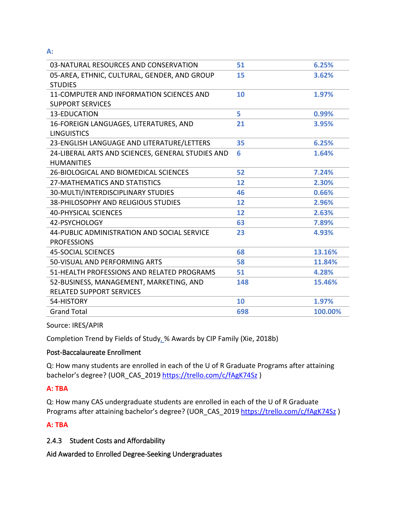**A:**

| 03-NATURAL RESOURCES AND CONSERVATION             | 51  | 6.25%   |
|---------------------------------------------------|-----|---------|
| 05-AREA, ETHNIC, CULTURAL, GENDER, AND GROUP      | 15  | 3.62%   |
| <b>STUDIES</b>                                    |     |         |
| 11-COMPUTER AND INFORMATION SCIENCES AND          | 10  | 1.97%   |
| <b>SUPPORT SERVICES</b>                           |     |         |
| 13-EDUCATION                                      | 5   | 0.99%   |
| 16-FOREIGN LANGUAGES, LITERATURES, AND            | 21  | 3.95%   |
| <b>LINGUISTICS</b>                                |     |         |
| 23-ENGLISH LANGUAGE AND LITERATURE/LETTERS        | 35  | 6.25%   |
| 24-LIBERAL ARTS AND SCIENCES, GENERAL STUDIES AND | 6   | 1.64%   |
| <b>HUMANITIES</b>                                 |     |         |
| 26-BIOLOGICAL AND BIOMEDICAL SCIENCES             | 52  | 7.24%   |
| 27-MATHEMATICS AND STATISTICS                     | 12  | 2.30%   |
| 30-MULTI/INTERDISCIPLINARY STUDIES                | 46  | 0.66%   |
| 38-PHILOSOPHY AND RELIGIOUS STUDIES               | 12  | 2.96%   |
| <b>40-PHYSICAL SCIENCES</b>                       | 12  | 2.63%   |
| 42-PSYCHOLOGY                                     | 63  | 7.89%   |
| 44-PUBLIC ADMINISTRATION AND SOCIAL SERVICE       | 23  | 4.93%   |
| <b>PROFESSIONS</b>                                |     |         |
| <b>45-SOCIAL SCIENCES</b>                         | 68  | 13.16%  |
| 50-VISUAL AND PERFORMING ARTS                     | 58  | 11.84%  |
| 51-HEALTH PROFESSIONS AND RELATED PROGRAMS        | 51  | 4.28%   |
| 52-BUSINESS, MANAGEMENT, MARKETING, AND           | 148 | 15.46%  |
| <b>RELATED SUPPORT SERVICES</b>                   |     |         |
| 54-HISTORY                                        | 10  | 1.97%   |
| <b>Grand Total</b>                                | 698 | 100.00% |
|                                                   |     |         |

Source: IRES/APIR

Completion Trend by Fields of Study, % Awards by CIP Family (Xie, 2018b)

## Post-Baccalaureate Enrollment

Q: How many students are enrolled in each of the U of R Graduate Programs after attaining bachelor's degree? (UOR\_CAS\_2019 <https://trello.com/c/fAgK74Sz> )

## **A: TBA**

Q: How many CAS undergraduate students are enrolled in each of the U of R Graduate Programs after attaining bachelor's degree? (UOR\_CAS\_2019 <https://trello.com/c/fAgK74Sz>)

## **A: TBA**

## 2.4.3 Student Costs and Affordability

Aid Awarded to Enrolled Degree-Seeking Undergraduates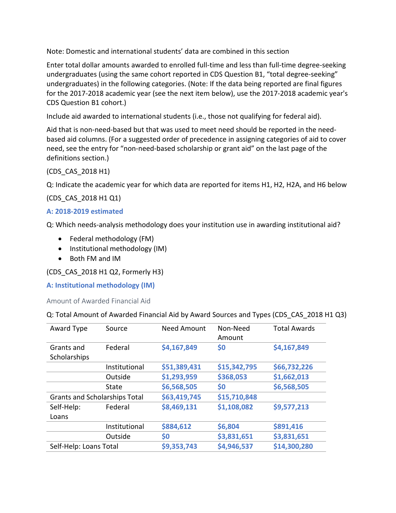Note: Domestic and international students' data are combined in this section

Enter total dollar amounts awarded to enrolled full-time and less than full-time degree-seeking undergraduates (using the same cohort reported in CDS Question B1, "total degree-seeking" undergraduates) in the following categories. (Note: If the data being reported are final figures for the 2017-2018 academic year (see the next item below), use the 2017-2018 academic year's CDS Question B1 cohort.)

Include aid awarded to international students (i.e., those not qualifying for federal aid).

Aid that is non-need-based but that was used to meet need should be reported in the needbased aid columns. (For a suggested order of precedence in assigning categories of aid to cover need, see the entry for "non-need-based scholarship or grant aid" on the last page of the definitions section.)

(CDS\_CAS\_2018 H1)

Q: Indicate the academic year for which data are reported for items H1, H2, H2A, and H6 below

(CDS\_CAS\_2018 H1 Q1)

## **A: 2018-2019 estimated**

Q: Which needs-analysis methodology does your institution use in awarding institutional aid?

- Federal methodology (FM)
- Institutional methodology (IM)
- Both FM and IM

## (CDS\_CAS\_2018 H1 Q2, Formerly H3)

**A: Institutional methodology (IM)**

Amount of Awarded Financial Aid

## Q: Total Amount of Awarded Financial Aid by Award Sources and Types (CDS\_CAS\_2018 H1 Q3)

| Award Type                           | Source        | <b>Need Amount</b> | Non-Need<br>Amount | <b>Total Awards</b> |
|--------------------------------------|---------------|--------------------|--------------------|---------------------|
| Grants and                           | Federal       | \$4,167,849        | \$0                | \$4,167,849         |
| Scholarships                         |               |                    |                    |                     |
|                                      | Institutional | \$51,389,431       | \$15,342,795       | \$66,732,226        |
|                                      | Outside       | \$1,293,959        | \$368,053          | \$1,662,013         |
|                                      | <b>State</b>  | \$6,568,505        | \$0                | \$6,568,505         |
| <b>Grants and Scholarships Total</b> |               | \$63,419,745       | \$15,710,848       |                     |
| Self-Help:                           | Federal       | \$8,469,131        | \$1,108,082        | \$9,577,213         |
| Loans                                |               |                    |                    |                     |
|                                      | Institutional | \$884,612          | \$6,804            | \$891,416           |
|                                      | Outside       | \$0                | \$3,831,651        | \$3,831,651         |
| Self-Help: Loans Total               |               | \$9,353,743        | \$4,946,537        | \$14,300,280        |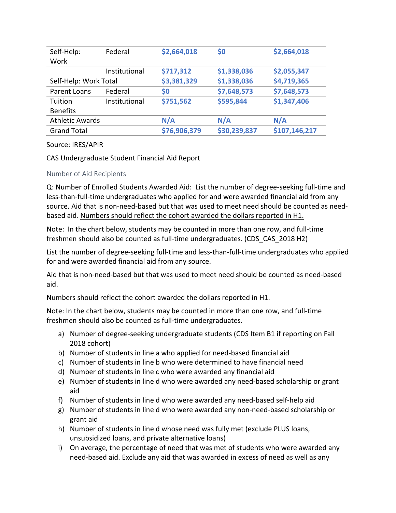| Self-Help:             | Federal       | \$2,664,018  | \$0          | \$2,664,018   |
|------------------------|---------------|--------------|--------------|---------------|
| Work                   |               |              |              |               |
|                        | Institutional | \$717,312    | \$1,338,036  | \$2,055,347   |
| Self-Help: Work Total  |               | \$3,381,329  | \$1,338,036  | \$4,719,365   |
| Parent Loans           | Federal       | \$0          | \$7,648,573  | \$7,648,573   |
| Tuition                | Institutional | \$751,562    | \$595,844    | \$1,347,406   |
| <b>Benefits</b>        |               |              |              |               |
| <b>Athletic Awards</b> |               | N/A          | N/A          | N/A           |
| <b>Grand Total</b>     |               | \$76,906,379 | \$30,239,837 | \$107,146,217 |

Source: IRES/APIR

CAS Undergraduate Student Financial Aid Report

## Number of Aid Recipients

Q: Number of Enrolled Students Awarded Aid: List the number of degree-seeking full-time and less-than-full-time undergraduates who applied for and were awarded financial aid from any source. Aid that is non-need-based but that was used to meet need should be counted as needbased aid. Numbers should reflect the cohort awarded the dollars reported in H1.

Note: In the chart below, students may be counted in more than one row, and full-time freshmen should also be counted as full-time undergraduates. (CDS\_CAS\_2018 H2)

List the number of degree-seeking full-time and less-than-full-time undergraduates who applied for and were awarded financial aid from any source.

Aid that is non-need-based but that was used to meet need should be counted as need-based aid.

Numbers should reflect the cohort awarded the dollars reported in H1.

Note: In the chart below, students may be counted in more than one row, and full-time freshmen should also be counted as full-time undergraduates.

- a) Number of degree-seeking undergraduate students (CDS Item B1 if reporting on Fall 2018 cohort)
- b) Number of students in line a who applied for need-based financial aid
- c) Number of students in line b who were determined to have financial need
- d) Number of students in line c who were awarded any financial aid
- e) Number of students in line d who were awarded any need-based scholarship or grant aid
- f) Number of students in line d who were awarded any need-based self-help aid
- g) Number of students in line d who were awarded any non-need-based scholarship or grant aid
- h) Number of students in line d whose need was fully met (exclude PLUS loans, unsubsidized loans, and private alternative loans)
- i) On average, the percentage of need that was met of students who were awarded any need-based aid. Exclude any aid that was awarded in excess of need as well as any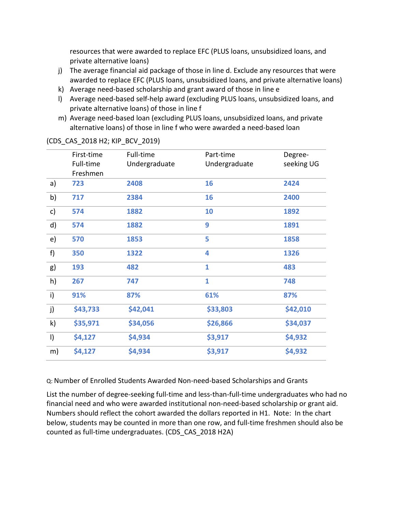resources that were awarded to replace EFC (PLUS loans, unsubsidized loans, and private alternative loans)

- j) The average financial aid package of those in line d. Exclude any resources that were awarded to replace EFC (PLUS loans, unsubsidized loans, and private alternative loans)
- k) Average need-based scholarship and grant award of those in line e
- l) Average need-based self-help award (excluding PLUS loans, unsubsidized loans, and private alternative loans) of those in line f
- m) Average need-based loan (excluding PLUS loans, unsubsidized loans, and private alternative loans) of those in line f who were awarded a need-based loan

|         | First-time | Full-time     | Part-time     | Degree-    |
|---------|------------|---------------|---------------|------------|
|         | Full-time  | Undergraduate | Undergraduate | seeking UG |
|         | Freshmen   |               |               |            |
| a)      | 723        | 2408          | 16            | 2424       |
| b)      | 717        | 2384          | 16            | 2400       |
| c)      | 574        | 1882          | 10            | 1892       |
| d)      | 574        | 1882          | 9             | 1891       |
| e)      | 570        | 1853          | 5             | 1858       |
| f)      | 350        | 1322          | 4             | 1326       |
| g)      | 193        | 482           | $\mathbf{1}$  | 483        |
| h)      | 267        | 747           | $\mathbf{1}$  | 748        |
| i)      | 91%        | 87%           | 61%           | 87%        |
| j)      | \$43,733   | \$42,041      | \$33,803      | \$42,010   |
| k)      | \$35,971   | \$34,056      | \$26,866      | \$34,037   |
| $\vert$ | \$4,127    | \$4,934       | \$3,917       | \$4,932    |
| m)      | \$4,127    | \$4,934       | \$3,917       | \$4,932    |

## (CDS\_CAS\_2018 H2; KIP\_BCV\_2019)

Q: Number of Enrolled Students Awarded Non-need-based Scholarships and Grants

List the number of degree-seeking full-time and less-than-full-time undergraduates who had no financial need and who were awarded institutional non-need-based scholarship or grant aid. Numbers should reflect the cohort awarded the dollars reported in H1. Note: In the chart below, students may be counted in more than one row, and full-time freshmen should also be counted as full-time undergraduates. (CDS\_CAS\_2018 H2A)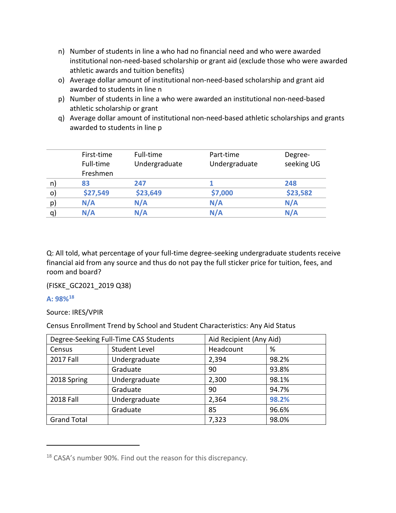- n) Number of students in line a who had no financial need and who were awarded institutional non-need-based scholarship or grant aid (exclude those who were awarded athletic awards and tuition benefits)
- o) Average dollar amount of institutional non-need-based scholarship and grant aid awarded to students in line n
- p) Number of students in line a who were awarded an institutional non-need-based athletic scholarship or grant
- q) Average dollar amount of institutional non-need-based athletic scholarships and grants awarded to students in line p

| First-time | Full-time     | Part-time     | Degree-    |
|------------|---------------|---------------|------------|
| Full-time  | Undergraduate | Undergraduate | seeking UG |
| Freshmen   |               |               |            |
| 83         | 247           |               | 248        |
| \$27,549   | \$23,649      | \$7,000       | \$23,582   |
| N/A        | N/A           | N/A           | N/A        |
| N/A        | N/A           | N/A           | N/A        |
|            |               |               |            |

Q: All told, what percentage of your full-time degree-seeking undergraduate students receive financial aid from any source and thus do not pay the full sticker price for tuition, fees, and room and board?

(FISKE\_GC2021\_2019 Q38)

## **A: 98%[18](#page-78-0)**

 $\overline{a}$ 

Source: IRES/VPIR

Census Enrollment Trend by School and Student Characteristics: Any Aid Status

| Degree-Seeking Full-Time CAS Students |                      | Aid Recipient (Any Aid) |       |
|---------------------------------------|----------------------|-------------------------|-------|
| Census                                | <b>Student Level</b> | Headcount               | %     |
| <b>2017 Fall</b>                      | Undergraduate        | 2,394                   | 98.2% |
|                                       | Graduate             | 90                      | 93.8% |
| 2018 Spring                           | Undergraduate        | 2,300                   | 98.1% |
|                                       | Graduate             | 90                      | 94.7% |
| 2018 Fall                             | Undergraduate        | 2,364                   | 98.2% |
|                                       | Graduate             | 85                      | 96.6% |
| <b>Grand Total</b>                    |                      | 7,323                   | 98.0% |

<span id="page-78-0"></span><sup>&</sup>lt;sup>18</sup> CASA's number 90%. Find out the reason for this discrepancy.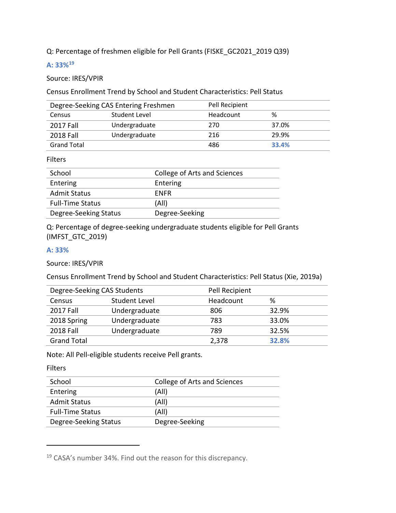Q: Percentage of freshmen eligible for Pell Grants (FISKE\_GC2021\_2019 Q39)

## **A: 33%[19](#page-79-0)**

#### Source: IRES/VPIR

Census Enrollment Trend by School and Student Characteristics: Pell Status

|                    | Degree-Seeking CAS Entering Freshmen | Pell Recipient |       |
|--------------------|--------------------------------------|----------------|-------|
| Census             | Student Level                        | Headcount      | %     |
| <b>2017 Fall</b>   | Undergraduate                        | 270            | 37.0% |
| 2018 Fall          | Undergraduate                        | 216            | 29.9% |
| <b>Grand Total</b> |                                      | 486            | 33.4% |

#### Filters

| School                  | College of Arts and Sciences |
|-------------------------|------------------------------|
| Entering                | Entering                     |
| <b>Admit Status</b>     | <b>FNFR</b>                  |
| <b>Full-Time Status</b> | (All)                        |
| Degree-Seeking Status   | Degree-Seeking               |

Q: Percentage of degree-seeking undergraduate students eligible for Pell Grants (IMFST\_GTC\_2019)

#### **A: 33%**

Source: IRES/VPIR

Census Enrollment Trend by School and Student Characteristics: Pell Status (Xie, 2019a)

| Degree-Seeking CAS Students |                      | Pell Recipient |       |  |
|-----------------------------|----------------------|----------------|-------|--|
| Census                      | <b>Student Level</b> | Headcount      | ℅     |  |
| <b>2017 Fall</b>            | Undergraduate        | 806            | 32.9% |  |
| 2018 Spring                 | Undergraduate        | 783            | 33.0% |  |
| <b>2018 Fall</b>            | Undergraduate        | 789            | 32.5% |  |
| <b>Grand Total</b>          |                      | 2,378          | 32.8% |  |

Note: All Pell-eligible students receive Pell grants.

Filters

 $\overline{a}$ 

| School                  | College of Arts and Sciences |
|-------------------------|------------------------------|
| Entering                | (All)                        |
| <b>Admit Status</b>     | (All)                        |
| <b>Full-Time Status</b> | (All)                        |
| Degree-Seeking Status   | Degree-Seeking               |

<span id="page-79-0"></span><sup>19</sup> CASA's number 34%. Find out the reason for this discrepancy.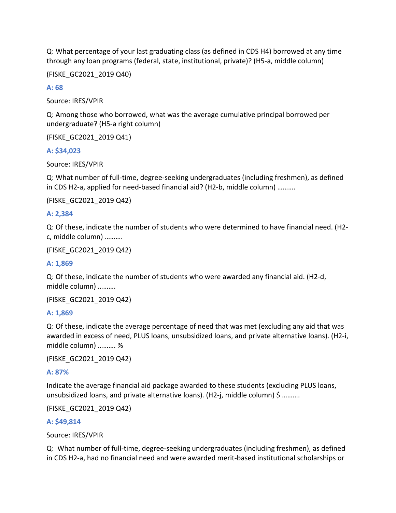Q: What percentage of your last graduating class (as defined in CDS H4) borrowed at any time through any loan programs (federal, state, institutional, private)? (H5-a, middle column)

(FISKE\_GC2021\_2019 Q40)

**A: 68**

Source: IRES/VPIR

Q: Among those who borrowed, what was the average cumulative principal borrowed per undergraduate? (H5-a right column)

(FISKE\_GC2021\_2019 Q41)

## **A: \$34,023**

Source: IRES/VPIR

Q: What number of full-time, degree-seeking undergraduates (including freshmen), as defined in CDS H2-a, applied for need-based financial aid? (H2-b, middle column) ……….

(FISKE\_GC2021\_2019 Q42)

## **A: 2,384**

Q: Of these, indicate the number of students who were determined to have financial need. (H2 c, middle column) ……….

(FISKE\_GC2021\_2019 Q42)

#### **A: 1,869**

Q: Of these, indicate the number of students who were awarded any financial aid. (H2-d, middle column) ……….

(FISKE\_GC2021\_2019 Q42)

#### **A: 1,869**

Q: Of these, indicate the average percentage of need that was met (excluding any aid that was awarded in excess of need, PLUS loans, unsubsidized loans, and private alternative loans). (H2-i, middle column) ………. %

(FISKE\_GC2021\_2019 Q42)

## **A: 87%**

Indicate the average financial aid package awarded to these students (excluding PLUS loans, unsubsidized loans, and private alternative loans). (H2-j, middle column) \$ ..........

(FISKE\_GC2021\_2019 Q42)

#### **A: \$49,814**

Source: IRES/VPIR

Q: What number of full-time, degree-seeking undergraduates (including freshmen), as defined in CDS H2-a, had no financial need and were awarded merit-based institutional scholarships or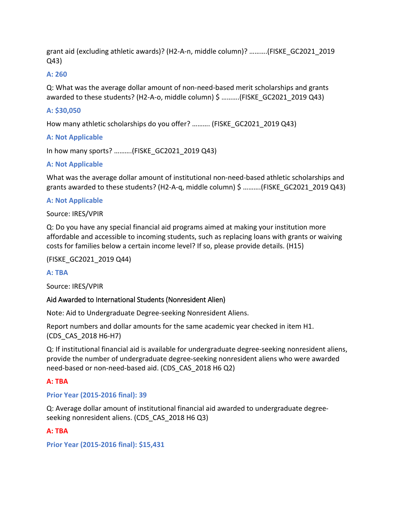grant aid (excluding athletic awards)? (H2-A-n, middle column)? ……….(FISKE\_GC2021\_2019 Q43)

## **A: 260**

Q: What was the average dollar amount of non-need-based merit scholarships and grants awarded to these students? (H2-A-o, middle column) \$ ..........(FISKE GC2021 2019 Q43)

## **A: \$30,050**

How many athletic scholarships do you offer? .......... (FISKE GC2021 2019 Q43)

## **A: Not Applicable**

In how many sports? ……….(FISKE\_GC2021\_2019 Q43)

## **A: Not Applicable**

What was the average dollar amount of institutional non-need-based athletic scholarships and grants awarded to these students? (H2-A-q, middle column)  $\frac{1}{2}$  ..........(FISKE GC2021 2019 Q43)

## **A: Not Applicable**

Source: IRES/VPIR

Q: Do you have any special financial aid programs aimed at making your institution more affordable and accessible to incoming students, such as replacing loans with grants or waiving costs for families below a certain income level? If so, please provide details. (H15)

#### (FISKE\_GC2021\_2019 Q44)

## **A: TBA**

Source: IRES/VPIR

## Aid Awarded to International Students (Nonresident Alien)

Note: Aid to Undergraduate Degree-seeking Nonresident Aliens.

Report numbers and dollar amounts for the same academic year checked in item H1. (CDS\_CAS\_2018 H6-H7)

Q: If institutional financial aid is available for undergraduate degree-seeking nonresident aliens, provide the number of undergraduate degree-seeking nonresident aliens who were awarded need-based or non-need-based aid. (CDS\_CAS\_2018 H6 Q2)

## **A: TBA**

#### **Prior Year (2015-2016 final): 39**

Q: Average dollar amount of institutional financial aid awarded to undergraduate degreeseeking nonresident aliens. (CDS\_CAS\_2018 H6 Q3)

## **A: TBA**

**Prior Year (2015-2016 final): \$15,431**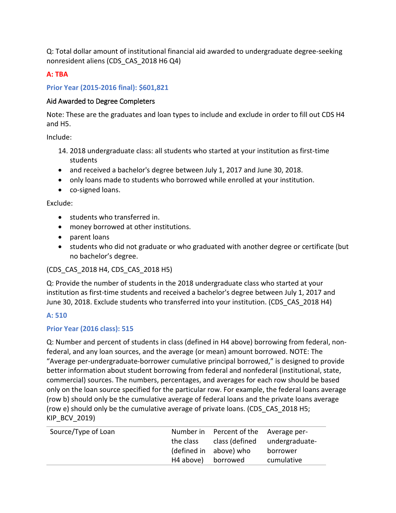Q: Total dollar amount of institutional financial aid awarded to undergraduate degree-seeking nonresident aliens (CDS\_CAS\_2018 H6 Q4)

## **A: TBA**

## **Prior Year (2015-2016 final): \$601,821**

## Aid Awarded to Degree Completers

Note: These are the graduates and loan types to include and exclude in order to fill out CDS H4 and H5.

Include:

- 14. 2018 undergraduate class: all students who started at your institution as first-time students
- and received a bachelor's degree between July 1, 2017 and June 30, 2018.
- only loans made to students who borrowed while enrolled at your institution.
- co-signed loans.

Exclude:

- students who transferred in.
- money borrowed at other institutions.
- parent loans
- students who did not graduate or who graduated with another degree or certificate (but no bachelor's degree.

(CDS\_CAS\_2018 H4, CDS\_CAS\_2018 H5)

Q: Provide the number of students in the 2018 undergraduate class who started at your institution as first-time students and received a bachelor's degree between July 1, 2017 and June 30, 2018. Exclude students who transferred into your institution. (CDS\_CAS\_2018 H4)

## **A: 510**

## **Prior Year (2016 class): 515**

Q: Number and percent of students in class (defined in H4 above) borrowing from federal, nonfederal, and any loan sources, and the average (or mean) amount borrowed. NOTE: The "Average per-undergraduate-borrower cumulative principal borrowed," is designed to provide better information about student borrowing from federal and nonfederal (institutional, state, commercial) sources. The numbers, percentages, and averages for each row should be based only on the loan source specified for the particular row. For example, the federal loans average (row b) should only be the cumulative average of federal loans and the private loans average (row e) should only be the cumulative average of private loans. (CDS\_CAS\_2018 H5; KIP\_BCV\_2019)

| Source/Type of Loan |                    | Number in Percent of the Average per- |                               |
|---------------------|--------------------|---------------------------------------|-------------------------------|
|                     | the class          |                                       | class (defined undergraduate- |
|                     |                    | (defined in above) who                | borrower                      |
|                     | H4 above) borrowed |                                       | cumulative                    |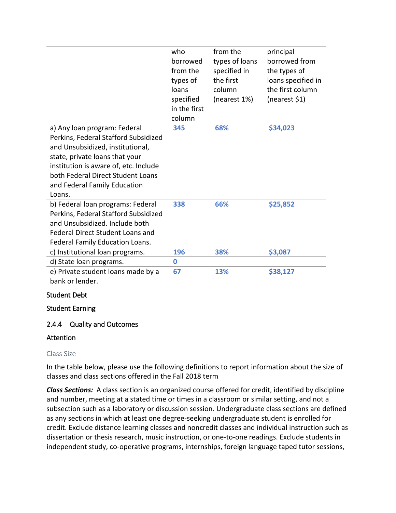|                                                                                                                                                                                                                                                                    | who<br>borrowed<br>from the<br>types of<br>loans<br>specified<br>in the first<br>column | from the<br>types of loans<br>specified in<br>the first<br>column<br>(nearest 1%) | principal<br>borrowed from<br>the types of<br>loans specified in<br>the first column<br>(nearest \$1) |
|--------------------------------------------------------------------------------------------------------------------------------------------------------------------------------------------------------------------------------------------------------------------|-----------------------------------------------------------------------------------------|-----------------------------------------------------------------------------------|-------------------------------------------------------------------------------------------------------|
| a) Any loan program: Federal<br>Perkins, Federal Stafford Subsidized<br>and Unsubsidized, institutional,<br>state, private loans that your<br>institution is aware of, etc. Include<br>both Federal Direct Student Loans<br>and Federal Family Education<br>Loans. | 345                                                                                     | 68%                                                                               | \$34,023                                                                                              |
| b) Federal loan programs: Federal<br>Perkins, Federal Stafford Subsidized<br>and Unsubsidized. Include both<br><b>Federal Direct Student Loans and</b><br>Federal Family Education Loans.                                                                          | 338                                                                                     | 66%                                                                               | \$25,852                                                                                              |
| c) Institutional loan programs.                                                                                                                                                                                                                                    | 196                                                                                     | 38%                                                                               | \$3,087                                                                                               |
| d) State loan programs.                                                                                                                                                                                                                                            | $\bf{0}$                                                                                |                                                                                   |                                                                                                       |
| e) Private student loans made by a<br>bank or lender.                                                                                                                                                                                                              | 67                                                                                      | 13%                                                                               | \$38,127                                                                                              |

## Student Debt

Student Earning

## 2.4.4 Quality and Outcomes

#### Attention

#### Class Size

In the table below, please use the following definitions to report information about the size of classes and class sections offered in the Fall 2018 term

*Class Sections:* A class section is an organized course offered for credit, identified by discipline and number, meeting at a stated time or times in a classroom or similar setting, and not a subsection such as a laboratory or discussion session. Undergraduate class sections are defined as any sections in which at least one degree-seeking undergraduate student is enrolled for credit. Exclude distance learning classes and noncredit classes and individual instruction such as dissertation or thesis research, music instruction, or one-to-one readings. Exclude students in independent study, co-operative programs, internships, foreign language taped tutor sessions,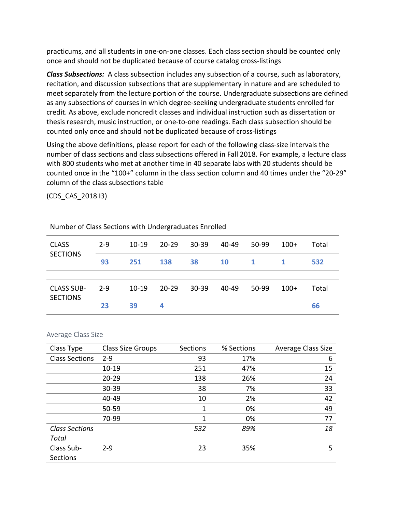practicums, and all students in one-on-one classes. Each class section should be counted only once and should not be duplicated because of course catalog cross-listings

*Class Subsections:* A class subsection includes any subsection of a course, such as laboratory, recitation, and discussion subsections that are supplementary in nature and are scheduled to meet separately from the lecture portion of the course. Undergraduate subsections are defined as any subsections of courses in which degree-seeking undergraduate students enrolled for credit. As above, exclude noncredit classes and individual instruction such as dissertation or thesis research, music instruction, or one-to-one readings. Each class subsection should be counted only once and should not be duplicated because of cross-listings

Using the above definitions, please report for each of the following class-size intervals the number of class sections and class subsections offered in Fall 2018. For example, a lecture class with 800 students who met at another time in 40 separate labs with 20 students should be counted once in the "100+" column in the class section column and 40 times under the "20-29" column of the class subsections table

(CDS\_CAS\_2018 I3)

| Number of Class Sections with Undergraduates Enrolled |         |           |           |           |           |              |        |       |
|-------------------------------------------------------|---------|-----------|-----------|-----------|-----------|--------------|--------|-------|
| <b>CLASS</b>                                          | $2 - 9$ | $10 - 19$ | $20 - 29$ | $30 - 39$ | 40-49     | 50-99        | $100+$ | Total |
| <b>SECTIONS</b>                                       | 93      | 251       | 138       | 38        | <b>10</b> | $\mathbf{1}$ | 1      | 532   |
|                                                       |         |           |           |           |           |              |        |       |
| <b>CLASS SUB-</b>                                     | $2 - 9$ | $10 - 19$ | $20 - 29$ | $30 - 39$ | 40-49     | 50-99        | $100+$ | Total |
| <b>SECTIONS</b>                                       | 23      | 39        | 4         |           |           |              |        | 66    |
|                                                       |         |           |           |           |           |              |        |       |

| Average Class Size |  |  |
|--------------------|--|--|
|--------------------|--|--|

| Class Type            | Class Size Groups | Sections | % Sections | Average Class Size |
|-----------------------|-------------------|----------|------------|--------------------|
| <b>Class Sections</b> | $2 - 9$           | 93       | 17%        | 6                  |
|                       | $10 - 19$         | 251      | 47%        | 15                 |
|                       | $20 - 29$         | 138      | 26%        | 24                 |
|                       | 30-39             | 38       | 7%         | 33                 |
|                       | 40-49             | 10       | 2%         | 42                 |
|                       | 50-59             | 1        | 0%         | 49                 |
|                       | 70-99             | 1        | 0%         | 77                 |
| <b>Class Sections</b> |                   | 532      | 89%        | 18                 |
| Total                 |                   |          |            |                    |
| Class Sub-            | $2-9$             | 23       | 35%        | 5                  |
| <b>Sections</b>       |                   |          |            |                    |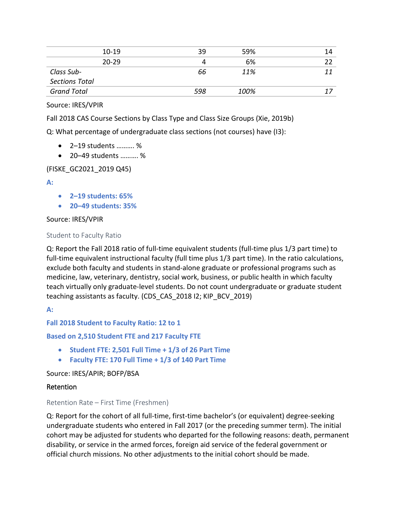| 39  | 59%  | 14 |
|-----|------|----|
| 4   | 6%   |    |
| 66  | 11%  |    |
|     |      |    |
| 598 | 100% |    |
|     |      |    |

Source: IRES/VPIR

Fall 2018 CAS Course Sections by Class Type and Class Size Groups (Xie, 2019b)

Q: What percentage of undergraduate class sections (not courses) have (I3):

- 2–19 students ………. %
- 20–49 students ………. %

#### (FISKE\_GC2021\_2019 Q45)

**A:** 

- **2–19 students: 65%**
- **20–49 students: 35%**

#### Source: IRES/VPIR

#### Student to Faculty Ratio

Q: Report the Fall 2018 ratio of full-time equivalent students (full-time plus 1/3 part time) to full-time equivalent instructional faculty (full time plus 1/3 part time). In the ratio calculations, exclude both faculty and students in stand-alone graduate or professional programs such as medicine, law, veterinary, dentistry, social work, business, or public health in which faculty teach virtually only graduate-level students. Do not count undergraduate or graduate student teaching assistants as faculty. (CDS\_CAS\_2018 I2; KIP\_BCV\_2019)

**A:** 

**Fall 2018 Student to Faculty Ratio: 12 to 1**

#### **Based on 2,510 Student FTE and 217 Faculty FTE**

- **Student FTE: 2,501 Full Time + 1/3 of 26 Part Time**
- **Faculty FTE: 170 Full Time + 1/3 of 140 Part Time**

Source: IRES/APIR; BOFP/BSA

#### Retention

#### Retention Rate – First Time (Freshmen)

Q: Report for the cohort of all full-time, first-time bachelor's (or equivalent) degree-seeking undergraduate students who entered in Fall 2017 (or the preceding summer term). The initial cohort may be adjusted for students who departed for the following reasons: death, permanent disability, or service in the armed forces, foreign aid service of the federal government or official church missions. No other adjustments to the initial cohort should be made.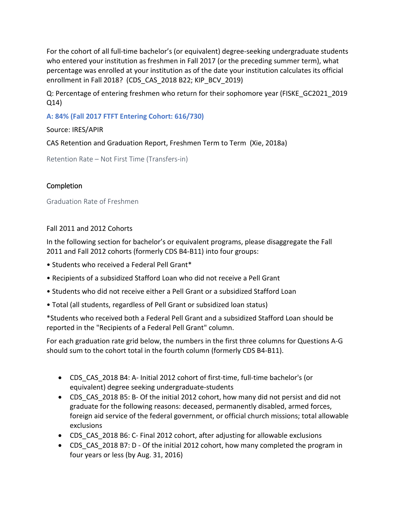For the cohort of all full-time bachelor's (or equivalent) degree-seeking undergraduate students who entered your institution as freshmen in Fall 2017 (or the preceding summer term), what percentage was enrolled at your institution as of the date your institution calculates its official enrollment in Fall 2018? (CDS\_CAS\_2018 B22; KIP\_BCV\_2019)

Q: Percentage of entering freshmen who return for their sophomore year (FISKE\_GC2021\_2019 Q14)

**A: 84% (Fall 2017 FTFT Entering Cohort: 616/730)** 

Source: IRES/APIR

CAS Retention and Graduation Report, Freshmen Term to Term (Xie, 2018a)

Retention Rate – Not First Time (Transfers-in)

## **Completion**

Graduation Rate of Freshmen

Fall 2011 and 2012 Cohorts

In the following section for bachelor's or equivalent programs, please disaggregate the Fall 2011 and Fall 2012 cohorts (formerly CDS B4-B11) into four groups:

- Students who received a Federal Pell Grant\*
- Recipients of a subsidized Stafford Loan who did not receive a Pell Grant
- Students who did not receive either a Pell Grant or a subsidized Stafford Loan
- Total (all students, regardless of Pell Grant or subsidized loan status)

\*Students who received both a Federal Pell Grant and a subsidized Stafford Loan should be reported in the "Recipients of a Federal Pell Grant" column.

For each graduation rate grid below, the numbers in the first three columns for Questions A-G should sum to the cohort total in the fourth column (formerly CDS B4-B11).

- CDS\_CAS\_2018 B4: A- Initial 2012 cohort of first-time, full-time bachelor's (or equivalent) degree seeking undergraduate-students
- CDS CAS 2018 B5: B- Of the initial 2012 cohort, how many did not persist and did not graduate for the following reasons: deceased, permanently disabled, armed forces, foreign aid service of the federal government, or official church missions; total allowable exclusions
- CDS\_CAS\_2018 B6: C- Final 2012 cohort, after adjusting for allowable exclusions
- CDS CAS 2018 B7: D Of the initial 2012 cohort, how many completed the program in four years or less (by Aug. 31, 2016)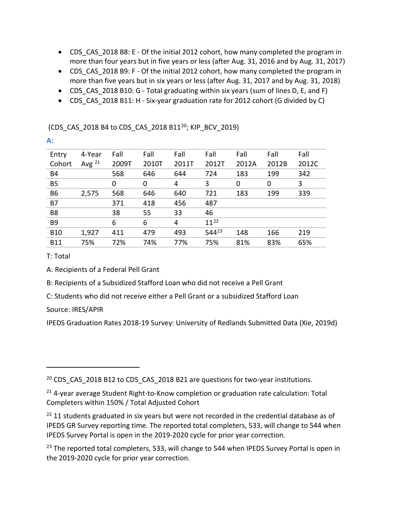- CDS CAS 2018 B8: E Of the initial 2012 cohort, how many completed the program in more than four years but in five years or less (after Aug. 31, 2016 and by Aug. 31, 2017)
- CDS CAS 2018 B9: F Of the initial 2012 cohort, how many completed the program in more than five years but in six years or less (after Aug. 31, 2017 and by Aug. 31, 2018)
- CDS CAS 2018 B10: G Total graduating within six years (sum of lines D, E, and F)
- CDS CAS 2018 B11: H Six-year graduation rate for 2012 cohort (G divided by C)

(CDS\_CAS\_[20](#page-87-0)18 B4 to CDS\_CAS\_2018 B11<sup>20</sup>; KIP\_BCV\_2019)

| Entry          | 4-Year      | Fall  | Fall  | Fall  | Fall       | Fall  | Fall  | Fall  |
|----------------|-------------|-------|-------|-------|------------|-------|-------|-------|
| Cohort         | Avg $^{21}$ | 2009T | 2010T | 2011T | 2012T      | 2012A | 2012B | 2012C |
| <b>B4</b>      |             | 568   | 646   | 644   | 724        | 183   | 199   | 342   |
| <b>B5</b>      |             | 0     | 0     | 4     | 3          | 0     | 0     | 3     |
| <b>B6</b>      | 2,575       | 568   | 646   | 640   | 721        | 183   | 199   | 339   |
| <b>B7</b>      |             | 371   | 418   | 456   | 487        |       |       |       |
| B <sub>8</sub> |             | 38    | 55    | 33    | 46         |       |       |       |
| B <sub>9</sub> |             | 6     | 6     | 4     | $11^{22}$  |       |       |       |
| <b>B10</b>     | 1,927       | 411   | 479   | 493   | $544^{23}$ | 148   | 166   | 219   |
| <b>B11</b>     | 75%         | 72%   | 74%   | 77%   | 75%        | 81%   | 83%   | 65%   |

T: Total

 $\overline{a}$ 

**A:** 

A: Recipients of a Federal Pell Grant

B: Recipients of a Subsidized Stafford Loan who did not receive a Pell Grant

C: Students who did not receive either a Pell Grant or a subsidized Stafford Loan

Source: IRES/APIR

IPEDS Graduation Rates 2018-19 Survey: University of Redlands Submitted Data (Xie, 2019d)

<span id="page-87-0"></span><sup>20</sup> CDS CAS 2018 B12 to CDS CAS 2018 B21 are questions for two-year institutions.

<span id="page-87-3"></span><sup>23</sup> The reported total completers, 533, will change to 544 when IPEDS Survey Portal is open in the 2019-2020 cycle for prior year correction.

<span id="page-87-1"></span><sup>&</sup>lt;sup>21</sup> 4-year average Student Right-to-Know completion or graduation rate calculation: Total Completers within 150% / Total Adjusted Cohort

<span id="page-87-2"></span> $22$  11 students graduated in six years but were not recorded in the credential database as of IPEDS GR Survey reporting time. The reported total completers, 533, will change to 544 when IPEDS Survey Portal is open in the 2019-2020 cycle for prior year correction.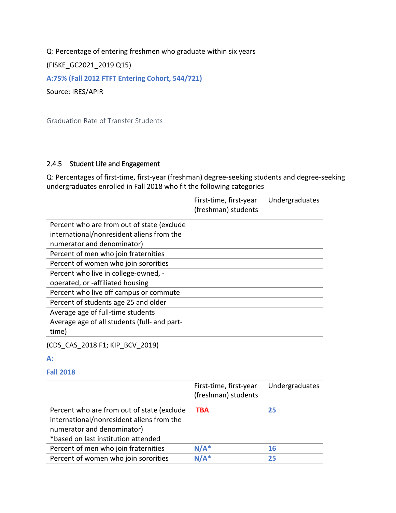Q: Percentage of entering freshmen who graduate within six years

(FISKE\_GC2021\_2019 Q15)

**A:75% (Fall 2012 FTFT Entering Cohort, 544/721)**

Source: IRES/APIR

Graduation Rate of Transfer Students

## 2.4.5 Student Life and Engagement

Q: Percentages of first-time, first-year (freshman) degree-seeking students and degree-seeking undergraduates enrolled in Fall 2018 who fit the following categories

|                                                                                                                       | First-time, first-year<br>(freshman) students | Undergraduates |
|-----------------------------------------------------------------------------------------------------------------------|-----------------------------------------------|----------------|
| Percent who are from out of state (exclude                                                                            |                                               |                |
| international/nonresident aliens from the                                                                             |                                               |                |
| numerator and denominator)                                                                                            |                                               |                |
| Percent of men who join fraternities                                                                                  |                                               |                |
| Percent of women who join sororities                                                                                  |                                               |                |
| Percent who live in college-owned, -                                                                                  |                                               |                |
| operated, or -affiliated housing                                                                                      |                                               |                |
| Percent who live off campus or commute                                                                                |                                               |                |
| Percent of students age 25 and older                                                                                  |                                               |                |
| Average age of full-time students                                                                                     |                                               |                |
| Average age of all students (full- and part-                                                                          |                                               |                |
| time)                                                                                                                 |                                               |                |
| (CDS CAS 2018 F1; KIP BCV 2019)                                                                                       |                                               |                |
| $A$ :                                                                                                                 |                                               |                |
| <b>Fall 2018</b>                                                                                                      |                                               |                |
|                                                                                                                       | First-time, first-year<br>(freshman) students | Undergraduates |
| Percent who are from out of state (exclude<br>international/nonresident aliens from the<br>numerator and denominator) | <b>TBA</b>                                    | 25             |

| *based on last institution attended  |         |    |  |
|--------------------------------------|---------|----|--|
| Percent of men who join fraternities | $N/A^*$ |    |  |
| Percent of women who join sororities | $N/A^*$ | 25 |  |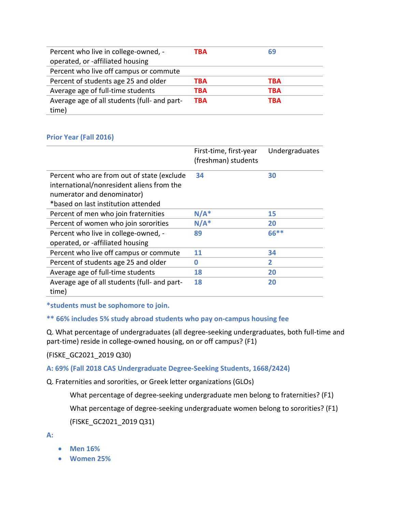| Percent who live in college-owned, -         | TBA        | 69  |
|----------------------------------------------|------------|-----|
| operated, or -affiliated housing             |            |     |
| Percent who live off campus or commute       |            |     |
| Percent of students age 25 and older         | ТВА        | TBA |
| Average age of full-time students            | TBA        | ТВА |
| Average age of all students (full- and part- | <b>TBA</b> | TBA |
| time)                                        |            |     |

## **Prior Year (Fall 2016)**

|                                                                                         | First-time, first-year<br>(freshman) students | Undergraduates |
|-----------------------------------------------------------------------------------------|-----------------------------------------------|----------------|
| Percent who are from out of state (exclude<br>international/nonresident aliens from the | 34                                            | 30             |
| numerator and denominator)                                                              |                                               |                |
| *based on last institution attended                                                     |                                               |                |
| Percent of men who join fraternities                                                    | $N/A^*$                                       | 15             |
| Percent of women who join sororities                                                    | $N/A^*$                                       | 20             |
| Percent who live in college-owned, -                                                    | 89                                            | 66**           |
| operated, or -affiliated housing                                                        |                                               |                |
| Percent who live off campus or commute                                                  | 11                                            | 34             |
| Percent of students age 25 and older                                                    | 0                                             | 2              |
| Average age of full-time students                                                       | 18                                            | 20             |
| Average age of all students (full- and part-<br>time)                                   | 18                                            | 20             |

**\*students must be sophomore to join.**

## **\*\* 66% includes 5% study abroad students who pay on-campus housing fee**

Q. What percentage of undergraduates (all degree-seeking undergraduates, both full-time and part-time) reside in college-owned housing, on or off campus? (F1)

(FISKE\_GC2021\_2019 Q30)

**A: 69% (Fall 2018 CAS Undergraduate Degree-Seeking Students, 1668/2424)**

Q. Fraternities and sororities, or Greek letter organizations (GLOs)

What percentage of degree-seeking undergraduate men belong to fraternities? (F1)

What percentage of degree-seeking undergraduate women belong to sororities? (F1)

(FISKE\_GC2021\_2019 Q31)

**A:**

- **Men 16%**
- **Women 25%**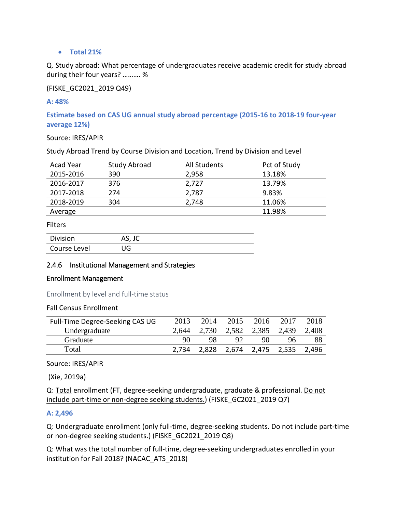#### • **Total 21%**

Q. Study abroad: What percentage of undergraduates receive academic credit for study abroad during their four years? ………. %

(FISKE\_GC2021\_2019 Q49)

#### **A: 48%**

**Estimate based on CAS UG annual study abroad percentage (2015-16 to 2018-19 four-year average 12%)**

Source: IRES/APIR

Study Abroad Trend by Course Division and Location, Trend by Division and Level

| Acad Year | Study Abroad | All Students | Pct of Study |
|-----------|--------------|--------------|--------------|
| 2015-2016 | 390          | 2,958        | 13.18%       |
| 2016-2017 | 376          | 2,727        | 13.79%       |
| 2017-2018 | 274          | 2,787        | 9.83%        |
| 2018-2019 | 304          | 2,748        | 11.06%       |
| Average   |              |              | 11.98%       |

#### Filters

| Division     | AS, JC |
|--------------|--------|
| Course Level | JG     |

## 2.4.6 Institutional Management and Strategies

#### Enrollment Management

Enrollment by level and full-time status

#### Fall Census Enrollment

| Full-Time Degree-Seeking CAS UG | 2013  | 2014 | 2015 | 2016                          | 2017 | 2018  |
|---------------------------------|-------|------|------|-------------------------------|------|-------|
| Undergraduate                   | 2.644 |      |      | 2,730 2,582 2,385 2,439       |      | 2,408 |
| Graduate                        | 90    | 98   | 92   | 90                            | 96   | 88    |
| Total                           | 2.734 |      |      | 2,828 2,674 2,475 2,535 2,496 |      |       |

Source: IRES/APIR

(Xie, 2019a)

Q: Total enrollment (FT, degree-seeking undergraduate, graduate & professional. Do not include part-time or non-degree seeking students.) (FISKE\_GC2021\_2019 Q7)

#### **A: 2,496**

Q: Undergraduate enrollment (only full-time, degree-seeking students. Do not include part-time or non-degree seeking students.) (FISKE\_GC2021\_2019 Q8)

Q: What was the total number of full-time, degree-seeking undergraduates enrolled in your institution for Fall 2018? (NACAC\_ATS\_2018)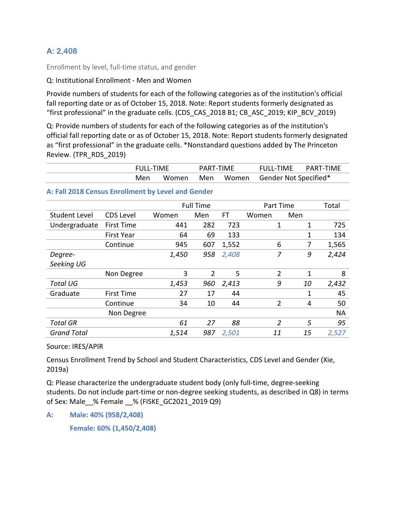## **A: 2,408**

Enrollment by level, full-time status, and gender

#### Q: Institutional Enrollment - Men and Women

Provide numbers of students for each of the following categories as of the institution's official fall reporting date or as of October 15, 2018. Note: Report students formerly designated as "first professional" in the graduate cells. (CDS\_CAS\_2018 B1; CB\_ASC\_2019; KIP\_BCV\_2019)

Q: Provide numbers of students for each of the following categories as of the institution's official fall reporting date or as of October 15, 2018. Note: Report students formerly designated as "first professional" in the graduate cells. \*Nonstandard questions added by The Princeton Review. (TPR\_RDS\_2019)

| <b>FULL-TIME</b> |  | PART-TIME |  | FULL-TIME PART-TIME                       |  |
|------------------|--|-----------|--|-------------------------------------------|--|
|                  |  |           |  | Men Women Men Women Gender Not Specified* |  |

#### **A: Fall 2018 Census Enrollment by Level and Gender**

|                    |                   |       | <b>Full Time</b> |       | Part Time      | Total |           |
|--------------------|-------------------|-------|------------------|-------|----------------|-------|-----------|
| Student Level      | <b>CDS Level</b>  | Women | Men              | FT    | Women          | Men   |           |
| Undergraduate      | <b>First Time</b> | 441   | 282              | 723   | 1              | 1     | 725       |
|                    | <b>First Year</b> | 64    | 69               | 133   |                | 1     | 134       |
|                    | Continue          | 945   | 607              | 1,552 | 6              | 7     | 1,565     |
| Degree-            |                   | 1,450 | 958              | 2,408 | 7              | 9     | 2,424     |
| Seeking UG         |                   |       |                  |       |                |       |           |
|                    | Non Degree        | 3     | $\overline{2}$   | 5     | $\overline{2}$ | 1     | 8         |
| <b>Total UG</b>    |                   | 1,453 | 960              | 2,413 | 9              | 10    | 2,432     |
| Graduate           | <b>First Time</b> | 27    | 17               | 44    |                | 1     | 45        |
|                    | Continue          | 34    | 10               | 44    | $\overline{2}$ | 4     | 50        |
|                    | Non Degree        |       |                  |       |                |       | <b>NA</b> |
| <b>Total GR</b>    |                   | 61    | 27               | 88    | 2              | 5     | 95        |
| <b>Grand Total</b> |                   | 1,514 | 987              | 2,501 | 11             | 15    | 2,527     |

Source: IRES/APIR

Census Enrollment Trend by School and Student Characteristics, CDS Level and Gender (Xie, 2019a)

Q: Please characterize the undergraduate student body (only full-time, degree-seeking students. Do not include part-time or non-degree seeking students, as described in Q8) in terms of Sex: Male\_\_% Female \_\_% (FISKE\_GC2021\_2019 Q9)

**A: Male: 40% (958/2,408)** 

**Female: 60% (1,450/2,408)**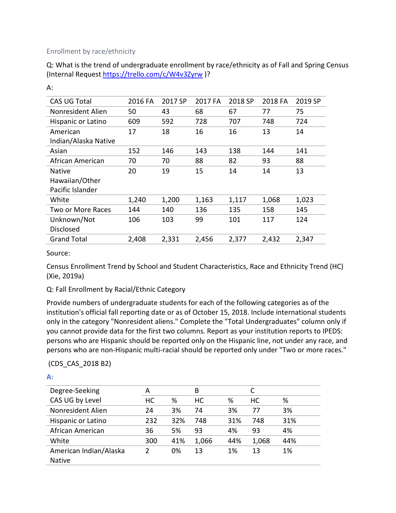## Enrollment by race/ethnicity

Q: What is the trend of undergraduate enrollment by race/ethnicity as of Fall and Spring Census (Internal Request<https://trello.com/c/W4v3Zyrw> )?

| CAS UG Total         | 2016 FA | 2017 SP | 2017 FA | 2018 SP | 2018 FA | 2019 SP |
|----------------------|---------|---------|---------|---------|---------|---------|
| Nonresident Alien    | 50      | 43      | 68      | 67      | 77      | 75      |
| Hispanic or Latino   | 609     | 592     | 728     | 707     | 748     | 724     |
| American             | 17      | 18      | 16      | 16      | 13      | 14      |
| Indian/Alaska Native |         |         |         |         |         |         |
| Asian                | 152     | 146     | 143     | 138     | 144     | 141     |
| African American     | 70      | 70      | 88      | 82      | 93      | 88      |
| <b>Native</b>        | 20      | 19      | 15      | 14      | 14      | 13      |
| Hawaiian/Other       |         |         |         |         |         |         |
| Pacific Islander     |         |         |         |         |         |         |
| White                | 1,240   | 1,200   | 1,163   | 1,117   | 1,068   | 1,023   |
| Two or More Races    | 144     | 140     | 136     | 135     | 158     | 145     |
| Unknown/Not          | 106     | 103     | 99      | 101     | 117     | 124     |
| <b>Disclosed</b>     |         |         |         |         |         |         |
| <b>Grand Total</b>   | 2,408   | 2,331   | 2,456   | 2,377   | 2,432   | 2,347   |

A:

#### Source:

Census Enrollment Trend by School and Student Characteristics, Race and Ethnicity Trend (HC) (Xie, 2019a)

## Q: Fall Enrollment by Racial/Ethnic Category

Provide numbers of undergraduate students for each of the following categories as of the institution's official fall reporting date or as of October 15, 2018. Include international students only in the category "Nonresident aliens." Complete the "Total Undergraduates" column only if you cannot provide data for the first two columns. Report as your institution reports to IPEDS: persons who are Hispanic should be reported only on the Hispanic line, not under any race, and persons who are non-Hispanic multi-racial should be reported only under "Two or more races."

(CDS\_CAS\_2018 B2)

| ۳,<br>۰ |  |
|---------|--|
|         |  |
|         |  |

| Degree-Seeking         | А         |     | B     |     |       |     |
|------------------------|-----------|-----|-------|-----|-------|-----|
| CAS UG by Level        | <b>HC</b> | %   | НC    | %   | НC    | %   |
| Nonresident Alien      | 24        | 3%  | 74    | 3%  | 77    | 3%  |
| Hispanic or Latino     | 232       | 32% | 748   | 31% | 748   | 31% |
| African American       | 36        | 5%  | 93    | 4%  | 93    | 4%  |
| White                  | 300       | 41% | 1,066 | 44% | 1,068 | 44% |
| American Indian/Alaska | 2         | 0%  | 13    | 1%  | 13    | 1%  |
| <b>Native</b>          |           |     |       |     |       |     |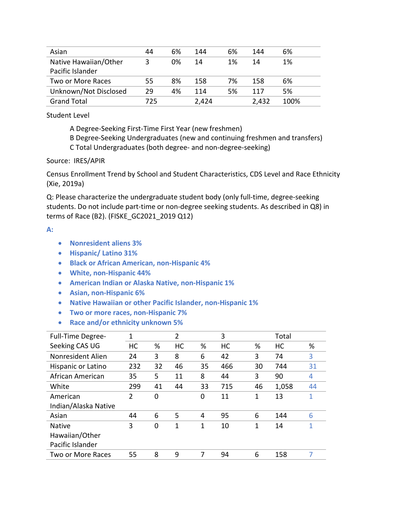| Asian                 | 44  | 6% | 144   | 6%  | 144   | 6%   |
|-----------------------|-----|----|-------|-----|-------|------|
| Native Hawaiian/Other | 3   | 0% | 14    | 1%  | 14    | 1%   |
| Pacific Islander      |     |    |       |     |       |      |
| Two or More Races     | 55  | 8% | 158   | 7%  | 158   | 6%   |
| Unknown/Not Disclosed | 29  | 4% | 114   | .5% | 117   | 5%   |
| <b>Grand Total</b>    | 725 |    | 2,424 |     | 2,432 | 100% |

Student Level

A Degree-Seeking First-Time First Year (new freshmen)

B Degree-Seeking Undergraduates (new and continuing freshmen and transfers)

C Total Undergraduates (both degree- and non-degree-seeking)

Source: IRES/APIR

Census Enrollment Trend by School and Student Characteristics, CDS Level and Race Ethnicity (Xie, 2019a)

Q: Please characterize the undergraduate student body (only full-time, degree-seeking students. Do not include part-time or non-degree seeking students. As described in Q8) in terms of Race (B2). (FISKE\_GC2021\_2019 Q12)

#### **A:**

- **Nonresident aliens 3%**
- **Hispanic/ Latino 31%**
- **Black or African American, non-Hispanic 4%**
- **White, non-Hispanic 44%**
- **American Indian or Alaska Native, non-Hispanic 1%**
- **Asian, non-Hispanic 6%**
- **Native Hawaiian or other Pacific Islander, non-Hispanic 1%**
- **Two or more races, non-Hispanic 7%**
- **Race and/or ethnicity unknown 5%**

| <b>Full-Time Degree-</b> | 1              |          | $\overline{2}$ |    | 3   |    | Total |    |
|--------------------------|----------------|----------|----------------|----|-----|----|-------|----|
| Seeking CAS UG           | HC             | %        | HC             | %  | HC  | %  | HC    | %  |
| Nonresident Alien        | 24             | 3        | 8              | 6  | 42  | 3  | 74    | 3  |
| Hispanic or Latino       | 232            | 32       | 46             | 35 | 466 | 30 | 744   | 31 |
| African American         | 35             | 5        | 11             | 8  | 44  | 3  | 90    | 4  |
| White                    | 299            | 41       | 44             | 33 | 715 | 46 | 1,058 | 44 |
| American                 | $\overline{2}$ | $\Omega$ |                | 0  | 11  | 1  | 13    | 1  |
| Indian/Alaska Native     |                |          |                |    |     |    |       |    |
| Asian                    | 44             | 6        | 5              | 4  | 95  | 6  | 144   | 6  |
| <b>Native</b>            | 3              | 0        | 1              | 1  | 10  | 1  | 14    | 1  |
| Hawaiian/Other           |                |          |                |    |     |    |       |    |
| Pacific Islander         |                |          |                |    |     |    |       |    |
| Two or More Races        | 55             | 8        | 9              |    | 94  | 6  | 158   | 7  |
|                          |                |          |                |    |     |    |       |    |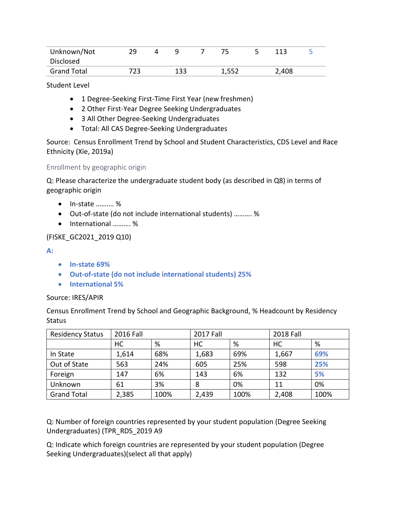| Unknown/Not        | 29.  | 4 |     |       | 112   |  |
|--------------------|------|---|-----|-------|-------|--|
| Disclosed          |      |   |     |       |       |  |
| <b>Grand Total</b> | 723. |   | 133 | 1,552 | 2,408 |  |

Student Level

- 1 Degree-Seeking First-Time First Year (new freshmen)
- 2 Other First-Year Degree Seeking Undergraduates
- 3 All Other Degree-Seeking Undergraduates
- Total: All CAS Degree-Seeking Undergraduates

Source: Census Enrollment Trend by School and Student Characteristics, CDS Level and Race Ethnicity (Xie, 2019a)

#### Enrollment by geographic origin

Q: Please characterize the undergraduate student body (as described in Q8) in terms of geographic origin

- In-state ………. %
- Out-of-state (do not include international students) ………. %
- International ………. %

## (FISKE\_GC2021\_2019 Q10)

**A:** 

- **In-state 69%**
- **Out-of-state (do not include international students) 25%**
- **International 5%**

#### Source: IRES/APIR

Census Enrollment Trend by School and Geographic Background, % Headcount by Residency **Status** 

| <b>Residency Status</b> | 2016 Fall |      | <b>2017 Fall</b> |      | <b>2018 Fall</b> |      |
|-------------------------|-----------|------|------------------|------|------------------|------|
|                         | HC        | %    | HC               | %    | HC               | %    |
| In State                | 1,614     | 68%  | 1,683            | 69%  | 1,667            | 69%  |
| Out of State            | 563       | 24%  | 605              | 25%  | 598              | 25%  |
| Foreign                 | 147       | 6%   | 143              | 6%   | 132              | 5%   |
| Unknown                 | 61        | 3%   | 8                | 0%   | 11               | 0%   |
| <b>Grand Total</b>      | 2,385     | 100% | 2,439            | 100% | 2,408            | 100% |

Q: Number of foreign countries represented by your student population (Degree Seeking Undergraduates) (TPR\_RDS\_2019 A9

Q: Indicate which foreign countries are represented by your student population (Degree Seeking Undergraduates)(select all that apply)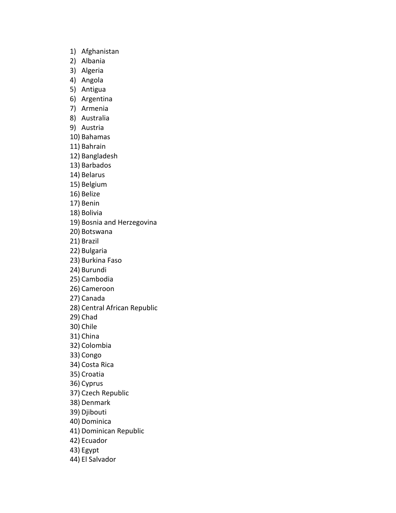- 1) Afghanistan
- 2) Albania
- 3) Algeria
- 4) Angola
- 5) Antigua
- 6) Argentina
- 7) Armenia
- 8) Australia
- 9) Austria
- 10) Bahamas
- 11) Bahrain
- 12) Bangladesh
- 13) Barbados
- 14) Belarus
- 15) Belgium
- 16) Belize
- 17) Benin
- 18) Bolivia
- 19) Bosnia and Herzegovina
- 20) Botswana
- 21) Brazil
- 22) Bulgaria
- 23) Burkina Faso
- 24) Burundi
- 25) Cambodia
- 26) Cameroon
- 27) Canada
- 28) Central African Republic
- 29) Chad
- 30) Chile
- 31) China
- 32) Colombia
- 33) Congo
- 34) Costa Rica
- 35) Croatia
- 36) Cyprus
- 37) Czech Republic
- 38) Denmark
- 39) Djibouti
- 40) Dominica
- 41) Dominican Republic
- 42) Ecuador
- 43) Egypt
- 44) El Salvador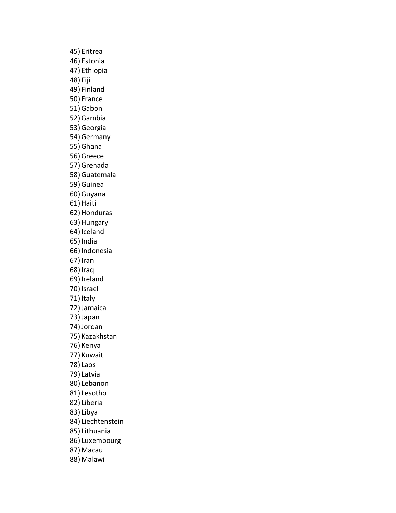45) Eritrea 46) Estonia 47) Ethiopia 48) Fiji 49) Finland 50) France 51) Gabon 52) Gambia 53) Georgia 54) Germany 55) Ghana 56) Greece 57) Grenada 58) Guatemala 59) Guinea 60) Guyana 61) Haiti 62) Honduras 63) Hungary 64) Iceland 65) India 66) Indonesia 67) Iran 68) Iraq 69) Ireland 70) Israel 71) Italy 72) Jamaica 73) Japan 74) Jordan 75) Kazakhstan 76) Kenya 77) Kuwait 78) Laos 79) Latvia 80) Lebanon 81) Lesotho 82) Liberia 83) Libya 84) Liechtenstein 85) Lithuania 86) Luxembourg 87) Macau 88) Malawi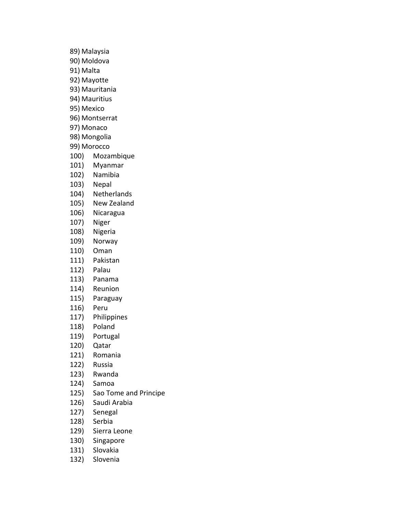89) Malaysia 90) Moldova 91) Malta 92) Mayotte 93) Mauritania 94) Mauritius 95) Mexico 96) Montserrat 97) Monaco 98) Mongolia 99) Morocco 100) Mozambique 101) Myanmar 102) Namibia

- 103) Nepal
- 104) Netherlands
- 105) New Zealand
- 106) Nicaragua
- 107) Niger
- 108) Nigeria
- 109) Norway
- 110) Oman
- 111) Pakistan
- 112) Palau
- 113) Panama
- 114) Reunion
- 115) Paraguay
- 116) Peru
- 117) Philippines
- 118) Poland
- 119) Portugal
- 120) Qatar
- 121) Romania
- 122) Russia
- 123) Rwanda
- 124) Samoa
- 125) Sao Tome and Principe
- 126) Saudi Arabia
- 127) Senegal
- 128) Serbia
- 129) Sierra Leone
- 130) Singapore
- 131) Slovakia
- 132) Slovenia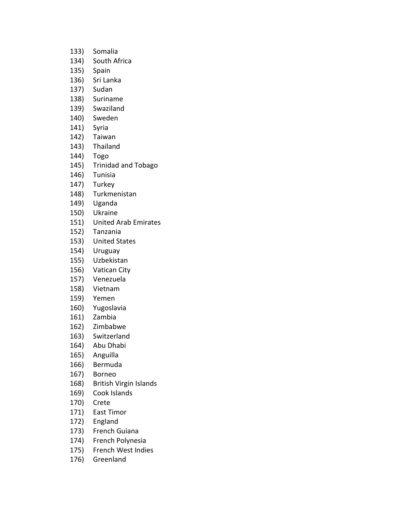133) Somalia 134) South Africa 135) Spain 136) Sri Lanka 137) Sudan 138) Suriname 139) Swaziland 140) Sweden 141) Syria 142) Taiwan 143) Thailand 144) Togo 145) Trinidad and Tobago 146) Tunisia 147) Turkey 148) Turkmenistan 149) Uganda 150) Ukraine 151) United Arab Emirates 152) Tanzania 153) United States 154) Uruguay 155) Uzbekistan 156) Vatican City 157) Venezuela 158) Vietnam 159) Yemen 160) Yugoslavia 161) Zambia 162) Zimbabwe 163) Switzerland 164) Abu Dhabi 165) Anguilla 166) Bermuda 167) Borneo 168) British Virgin Islands 169) Cook Islands 170) Crete 171) East Timor 172) England 173) French Guiana 174) French Polynesia 175) French West Indies 176) Greenland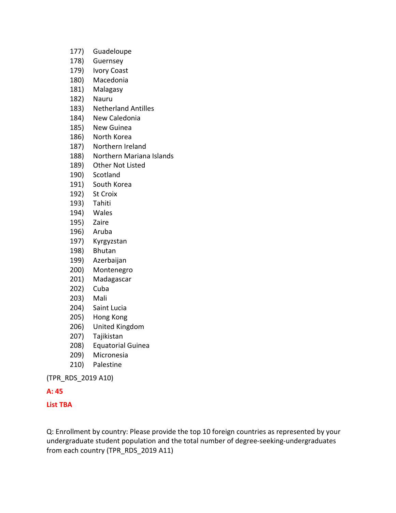- 177) Guadeloupe
- 178) Guernsey
- 179) Ivory Coast
- 180) Macedonia
- 181) Malagasy
- 182) Nauru
- 183) Netherland Antilles
- 184) New Caledonia
- 185) New Guinea
- 186) North Korea
- 187) Northern Ireland
- 188) Northern Mariana Islands
- 189) Other Not Listed
- 190) Scotland
- 191) South Korea
- 192) St Croix
- 193) Tahiti
- 194) Wales
- 195) Zaire
- 196) Aruba
- 197) Kyrgyzstan
- 198) Bhutan
- 199) Azerbaijan
- 200) Montenegro
- 201) Madagascar
- 202) Cuba
- 203) Mali
- 204) Saint Lucia
- 205) Hong Kong
- 206) United Kingdom
- 207) Tajikistan
- 208) Equatorial Guinea
- 209) Micronesia
- 210) Palestine

(TPR\_RDS\_2019 A10)

## **A: 45**

## **List TBA**

Q: Enrollment by country: Please provide the top 10 foreign countries as represented by your undergraduate student population and the total number of degree-seeking-undergraduates from each country (TPR\_RDS\_2019 A11)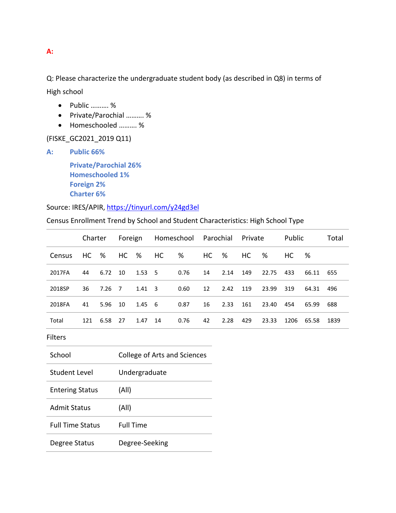## **A:**

Q: Please characterize the undergraduate student body (as described in Q8) in terms of High school

- Public ………. %
- Private/Parochial ………. %
- Homeschooled ………. %

(FISKE\_GC2021\_2019 Q11)

**A: Public 66%**

**Private/Parochial 26% Homeschooled 1% Foreign 2% Charter 6%**

Source: IRES/APIR,<https://tinyurl.com/y24gd3el>

Census Enrollment Trend by School and Student Characteristics: High School Type

|        | Charter |        |      |                |    | Foreign Homeschool Parochial Private |      |      |     |       | Public |       | Total |
|--------|---------|--------|------|----------------|----|--------------------------------------|------|------|-----|-------|--------|-------|-------|
| Census | HC .    | %      | HC % |                | HC | %                                    | HC . | %    | HC  | %     | HC .   | %     |       |
| 2017FA | 44      | 6.72   | 10   | $1.53\quad 5$  |    | 0.76                                 | 14   | 2.14 | 149 | 22.75 | 433    | 66.11 | 655   |
| 2018SP | 36      | 7.26 7 |      | $1.41 \quad 3$ |    | 0.60                                 | 12   | 2.42 | 119 | 23.99 | 319    | 64.31 | 496   |
| 2018FA | 41      | 5.96   | 10   | $1.45\quad 6$  |    | 0.87                                 | 16   | 2.33 | 161 | 23.40 | 454    | 65.99 | 688   |
| Total  | 121     | 6.58   | 27   | 1.47           | 14 | 0.76                                 | 42   | 2.28 | 429 | 23.33 | 1206   | 65.58 | 1839  |

Filters

| School                  | College of Arts and Sciences |
|-------------------------|------------------------------|
| Student Level           | Undergraduate                |
| <b>Entering Status</b>  | (All)                        |
| <b>Admit Status</b>     | (All)                        |
| <b>Full Time Status</b> | <b>Full Time</b>             |
| Degree Status           | Degree-Seeking               |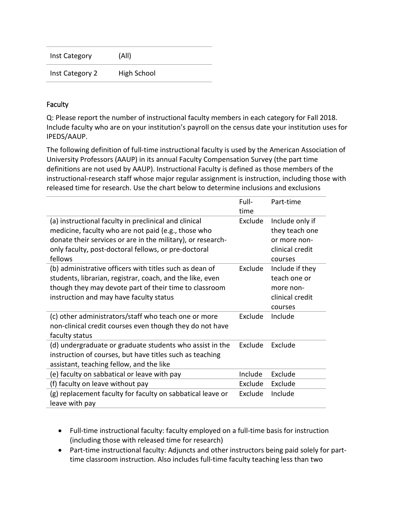| Inst Category   | (A  )       |
|-----------------|-------------|
| Inst Category 2 | High School |

## **Faculty**

Q: Please report the number of instructional faculty members in each category for Fall 2018. Include faculty who are on your institution's payroll on the census date your institution uses for IPEDS/AAUP.

The following definition of full-time instructional faculty is used by the American Association of University Professors (AAUP) in its annual Faculty Compensation Survey (the part time definitions are not used by AAUP). Instructional Faculty is defined as those members of the instructional-research staff whose major regular assignment is instruction, including those with released time for research. Use the chart below to determine inclusions and exclusions

|                                                                                                                                                                                                                                                | Full-<br>time | Part-time                                                                       |
|------------------------------------------------------------------------------------------------------------------------------------------------------------------------------------------------------------------------------------------------|---------------|---------------------------------------------------------------------------------|
| (a) instructional faculty in preclinical and clinical<br>medicine, faculty who are not paid (e.g., those who<br>donate their services or are in the military), or research-<br>only faculty, post-doctoral fellows, or pre-doctoral<br>fellows | Exclude       | Include only if<br>they teach one<br>or more non-<br>clinical credit<br>courses |
| (b) administrative officers with titles such as dean of<br>students, librarian, registrar, coach, and the like, even<br>though they may devote part of their time to classroom<br>instruction and may have faculty status                      | Exclude       | Include if they<br>teach one or<br>more non-<br>clinical credit<br>courses      |
| (c) other administrators/staff who teach one or more<br>non-clinical credit courses even though they do not have<br>faculty status                                                                                                             | Exclude       | Include                                                                         |
| (d) undergraduate or graduate students who assist in the<br>instruction of courses, but have titles such as teaching<br>assistant, teaching fellow, and the like                                                                               | Exclude       | Exclude                                                                         |
| (e) faculty on sabbatical or leave with pay                                                                                                                                                                                                    | Include       | Exclude                                                                         |
| (f) faculty on leave without pay                                                                                                                                                                                                               | Exclude       | Exclude                                                                         |
| (g) replacement faculty for faculty on sabbatical leave or<br>leave with pay                                                                                                                                                                   | Exclude       | Include                                                                         |

- Full-time instructional faculty: faculty employed on a full-time basis for instruction (including those with released time for research)
- Part-time instructional faculty: Adjuncts and other instructors being paid solely for parttime classroom instruction. Also includes full-time faculty teaching less than two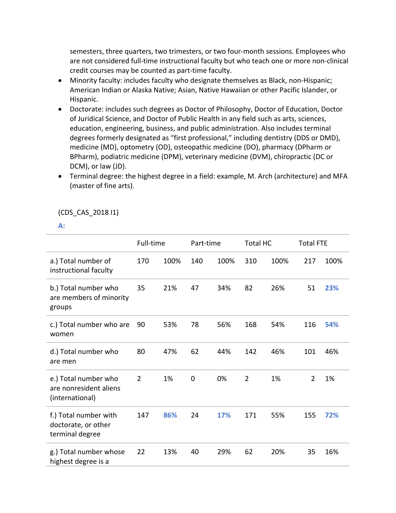semesters, three quarters, two trimesters, or two four-month sessions. Employees who are not considered full-time instructional faculty but who teach one or more non-clinical credit courses may be counted as part-time faculty.

- Minority faculty: includes faculty who designate themselves as Black, non-Hispanic; American Indian or Alaska Native; Asian, Native Hawaiian or other Pacific Islander, or Hispanic.
- Doctorate: includes such degrees as Doctor of Philosophy, Doctor of Education, Doctor of Juridical Science, and Doctor of Public Health in any field such as arts, sciences, education, engineering, business, and public administration. Also includes terminal degrees formerly designated as "first professional," including dentistry (DDS or DMD), medicine (MD), optometry (OD), osteopathic medicine (DO), pharmacy (DPharm or BPharm), podiatric medicine (DPM), veterinary medicine (DVM), chiropractic (DC or DCM), or law (JD).
- Terminal degree: the highest degree in a field: example, M. Arch (architecture) and MFA (master of fine arts).

## (CDS\_CAS\_2018 I1)

#### **A:**

|                                                                   | Full-time      |      | Part-time      |      | <b>Total HC</b> |      | <b>Total FTE</b> |      |
|-------------------------------------------------------------------|----------------|------|----------------|------|-----------------|------|------------------|------|
| a.) Total number of<br>instructional faculty                      | 170            | 100% | 140            | 100% | 310             | 100% | 217              | 100% |
| b.) Total number who<br>are members of minority<br>groups         | 35             | 21%  | 47             | 34%  | 82              | 26%  | 51               | 23%  |
| c.) Total number who are<br>women                                 | 90             | 53%  | 78             | 56%  | 168             | 54%  | 116              | 54%  |
| d.) Total number who<br>are men                                   | 80             | 47%  | 62             | 44%  | 142             | 46%  | 101              | 46%  |
| e.) Total number who<br>are nonresident aliens<br>(international) | $\overline{2}$ | 1%   | $\overline{0}$ | 0%   | $\overline{2}$  | 1%   | $\overline{2}$   | 1%   |
| f.) Total number with<br>doctorate, or other<br>terminal degree   | 147            | 86%  | 24             | 17%  | 171             | 55%  | 155              | 72%  |
| g.) Total number whose<br>highest degree is a                     | 22             | 13%  | 40             | 29%  | 62              | 20%  | 35               | 16%  |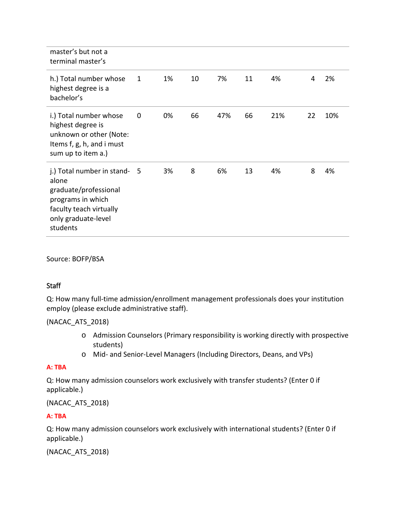| master's but not a<br>terminal master's                                                                                                           |             |    |    |     |    |     |    |     |
|---------------------------------------------------------------------------------------------------------------------------------------------------|-------------|----|----|-----|----|-----|----|-----|
| h.) Total number whose<br>highest degree is a<br>bachelor's                                                                                       | 1           | 1% | 10 | 7%  | 11 | 4%  | 4  | 2%  |
| i.) Total number whose<br>highest degree is<br>unknown or other (Note:<br>Items f, g, h, and i must<br>sum up to item a.)                         | $\mathbf 0$ | 0% | 66 | 47% | 66 | 21% | 22 | 10% |
| j.) Total number in stand- 5<br>alone<br>graduate/professional<br>programs in which<br>faculty teach virtually<br>only graduate-level<br>students |             | 3% | 8  | 6%  | 13 | 4%  | 8  | 4%  |

Source: BOFP/BSA

## **Staff**

Q: How many full-time admission/enrollment management professionals does your institution employ (please exclude administrative staff).

(NACAC\_ATS\_2018)

- o Admission Counselors (Primary responsibility is working directly with prospective students)
- o Mid- and Senior-Level Managers (Including Directors, Deans, and VPs)

## **A: TBA**

Q: How many admission counselors work exclusively with transfer students? (Enter 0 if applicable.)

## (NACAC\_ATS\_2018)

## **A: TBA**

Q: How many admission counselors work exclusively with international students? (Enter 0 if applicable.)

(NACAC\_ATS\_2018)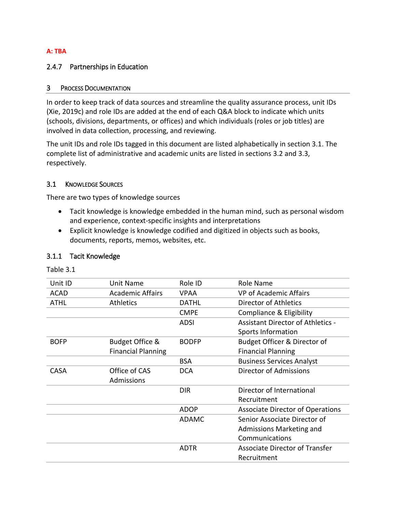#### **A: TBA**

### 2.4.7 Partnerships in Education

#### 3 PROCESS DOCUMENTATION

In order to keep track of data sources and streamline the quality assurance process, unit IDs (Xie, 2019c) and role IDs are added at the end of each Q&A block to indicate which units (schools, divisions, departments, or offices) and which individuals (roles or job titles) are involved in data collection, processing, and reviewing.

The unit IDs and role IDs tagged in this document are listed alphabetically in section 3.1. The complete list of administrative and academic units are listed in sections 3.2 and 3.3, respectively.

## 3.1 KNOWLEDGE SOURCES

There are two types of knowledge sources

- Tacit knowledge is knowledge embedded in the human mind, such as personal wisdom and experience, context-specific insights and interpretations
- Explicit knowledge is knowledge codified and digitized in objects such as books, documents, reports, memos, websites, etc.

#### 3.1.1 Tacit Knowledge

Table 3.1

| Unit ID     | Unit Name                 | Role ID      | Role Name                                |
|-------------|---------------------------|--------------|------------------------------------------|
| <b>ACAD</b> | <b>Academic Affairs</b>   | <b>VPAA</b>  | <b>VP of Academic Affairs</b>            |
| <b>ATHL</b> | <b>Athletics</b>          | <b>DATHL</b> | Director of Athletics                    |
|             |                           | <b>CMPE</b>  | Compliance & Eligibility                 |
|             |                           | <b>ADSI</b>  | <b>Assistant Director of Athletics -</b> |
|             |                           |              | Sports Information                       |
| <b>BOFP</b> | Budget Office &           | <b>BODFP</b> | Budget Officer & Director of             |
|             | <b>Financial Planning</b> |              | <b>Financial Planning</b>                |
|             |                           | <b>BSA</b>   | <b>Business Services Analyst</b>         |
| <b>CASA</b> | Office of CAS             | <b>DCA</b>   | Director of Admissions                   |
|             | Admissions                |              |                                          |
|             |                           | <b>DIR</b>   | Director of International                |
|             |                           |              | Recruitment                              |
|             |                           | <b>ADOP</b>  | <b>Associate Director of Operations</b>  |
|             |                           | <b>ADAMC</b> | Senior Associate Director of             |
|             |                           |              | Admissions Marketing and                 |
|             |                           |              | Communications                           |
|             |                           | <b>ADTR</b>  | <b>Associate Director of Transfer</b>    |
|             |                           |              | Recruitment                              |
|             |                           |              |                                          |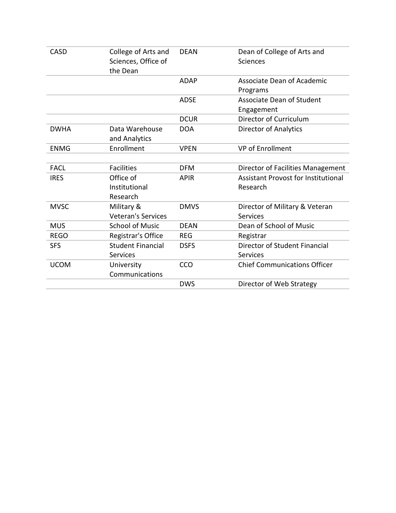| CASD        | College of Arts and      | <b>DEAN</b> | Dean of College of Arts and                |
|-------------|--------------------------|-------------|--------------------------------------------|
|             | Sciences, Office of      |             | Sciences                                   |
|             | the Dean                 |             |                                            |
|             |                          | <b>ADAP</b> | <b>Associate Dean of Academic</b>          |
|             |                          |             | Programs                                   |
|             |                          | <b>ADSE</b> | <b>Associate Dean of Student</b>           |
|             |                          |             | Engagement                                 |
|             |                          | <b>DCUR</b> | Director of Curriculum                     |
| <b>DWHA</b> | Data Warehouse           | <b>DOA</b>  | <b>Director of Analytics</b>               |
|             | and Analytics            |             |                                            |
| <b>ENMG</b> | Enrollment               | <b>VPEN</b> | <b>VP of Enrollment</b>                    |
|             |                          |             |                                            |
| <b>FACL</b> | <b>Facilities</b>        | <b>DFM</b>  | Director of Facilities Management          |
| <b>IRES</b> | Office of                | <b>APIR</b> | <b>Assistant Provost for Institutional</b> |
|             | Institutional            |             | Research                                   |
|             | Research                 |             |                                            |
| <b>MVSC</b> | Military &               | <b>DMVS</b> | Director of Military & Veteran             |
|             | Veteran's Services       |             | <b>Services</b>                            |
| <b>MUS</b>  | <b>School of Music</b>   | <b>DEAN</b> | Dean of School of Music                    |
| <b>REGO</b> | Registrar's Office       | <b>REG</b>  | Registrar                                  |
| <b>SFS</b>  | <b>Student Financial</b> | <b>DSFS</b> | Director of Student Financial              |
|             | <b>Services</b>          |             | <b>Services</b>                            |
| <b>UCOM</b> | University               | CCO         | <b>Chief Communications Officer</b>        |
|             | Communications           |             |                                            |
|             |                          | <b>DWS</b>  | Director of Web Strategy                   |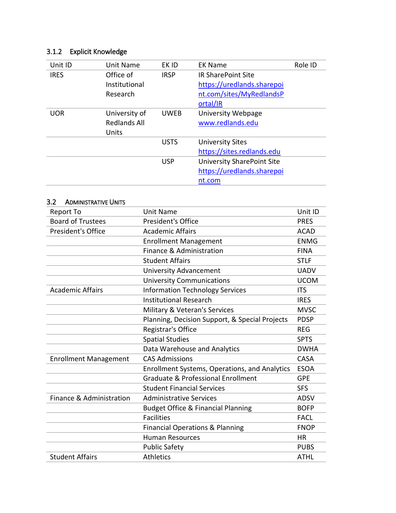# 3.1.2 Explicit Knowledge

| Unit ID     | Unit Name           | EK ID       | <b>EK Name</b>                    | Role ID |
|-------------|---------------------|-------------|-----------------------------------|---------|
| <b>IRES</b> | Office of           | <b>IRSP</b> | <b>IR SharePoint Site</b>         |         |
|             | Institutional       |             | https://uredlands.sharepoi        |         |
|             | Research            |             | nt.com/sites/MyRedlandsP          |         |
|             |                     |             | ortal/IR                          |         |
| <b>UOR</b>  | University of       | <b>UWEB</b> | University Webpage                |         |
|             | <b>Redlands All</b> |             | www.redlands.edu                  |         |
|             | Units               |             |                                   |         |
|             |                     | <b>USTS</b> | <b>University Sites</b>           |         |
|             |                     |             | https://sites.redlands.edu        |         |
|             |                     | <b>USP</b>  | <b>University SharePoint Site</b> |         |
|             |                     |             | https://uredlands.sharepoi        |         |
|             |                     |             | nt.com                            |         |

| 3.2<br><b>ADMINISTRATIVE UNITS</b> |                                                      |             |
|------------------------------------|------------------------------------------------------|-------------|
| Report To                          | Unit Name                                            | Unit ID     |
| <b>Board of Trustees</b>           | <b>President's Office</b>                            | <b>PRES</b> |
| President's Office                 | <b>Academic Affairs</b>                              | <b>ACAD</b> |
|                                    | <b>Enrollment Management</b>                         | <b>ENMG</b> |
|                                    | Finance & Administration                             | <b>FINA</b> |
|                                    | <b>Student Affairs</b>                               | <b>STLF</b> |
|                                    | <b>University Advancement</b>                        | <b>UADV</b> |
|                                    | <b>University Communications</b>                     | <b>UCOM</b> |
| <b>Academic Affairs</b>            | <b>Information Technology Services</b>               | <b>ITS</b>  |
|                                    | <b>Institutional Research</b>                        | <b>IRES</b> |
|                                    | Military & Veteran's Services                        | <b>MVSC</b> |
|                                    | Planning, Decision Support, & Special Projects       | <b>PDSP</b> |
|                                    | Registrar's Office                                   | <b>REG</b>  |
|                                    | <b>Spatial Studies</b>                               | <b>SPTS</b> |
|                                    | Data Warehouse and Analytics                         | <b>DWHA</b> |
| <b>Enrollment Management</b>       | <b>CAS Admissions</b>                                | <b>CASA</b> |
|                                    | <b>Enrollment Systems, Operations, and Analytics</b> | <b>ESOA</b> |
|                                    | <b>Graduate &amp; Professional Enrollment</b>        | <b>GPE</b>  |
|                                    | <b>Student Financial Services</b>                    | <b>SFS</b>  |
| Finance & Administration           | <b>Administrative Services</b>                       | <b>ADSV</b> |
|                                    | <b>Budget Office &amp; Financial Planning</b>        | <b>BOFP</b> |
|                                    | <b>Facilities</b>                                    | <b>FACL</b> |
|                                    | <b>Financial Operations &amp; Planning</b>           | <b>FNOP</b> |
|                                    | <b>Human Resources</b>                               | <b>HR</b>   |
|                                    | <b>Public Safety</b>                                 | <b>PUBS</b> |
| <b>Student Affairs</b>             | <b>Athletics</b>                                     | <b>ATHL</b> |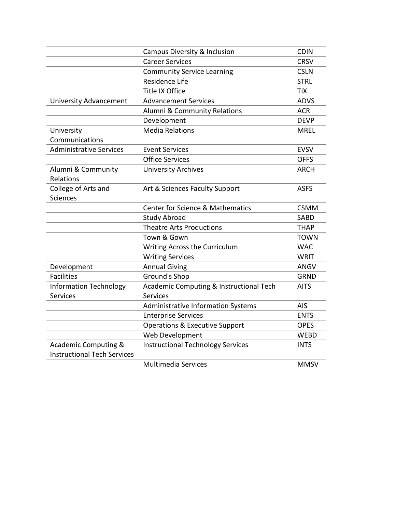|                                    | Campus Diversity & Inclusion                | <b>CDIN</b> |
|------------------------------------|---------------------------------------------|-------------|
|                                    | <b>Career Services</b>                      | <b>CRSV</b> |
|                                    | <b>Community Service Learning</b>           | <b>CSLN</b> |
|                                    | Residence Life                              | <b>STRL</b> |
|                                    | Title IX Office                             | <b>TIX</b>  |
| <b>University Advancement</b>      | <b>Advancement Services</b>                 | <b>ADVS</b> |
|                                    | Alumni & Community Relations                | <b>ACR</b>  |
|                                    | Development                                 | <b>DEVP</b> |
| University                         | <b>Media Relations</b>                      | <b>MREL</b> |
| Communications                     |                                             |             |
| <b>Administrative Services</b>     | <b>Event Services</b>                       | <b>EVSV</b> |
|                                    | <b>Office Services</b>                      | <b>OFFS</b> |
| Alumni & Community                 | <b>University Archives</b>                  | <b>ARCH</b> |
| Relations                          |                                             |             |
| College of Arts and                | Art & Sciences Faculty Support              | <b>ASFS</b> |
| <b>Sciences</b>                    |                                             |             |
|                                    | <b>Center for Science &amp; Mathematics</b> | <b>CSMM</b> |
|                                    | <b>Study Abroad</b>                         | <b>SABD</b> |
|                                    | <b>Theatre Arts Productions</b>             | <b>THAP</b> |
|                                    | Town & Gown                                 | <b>TOWN</b> |
|                                    | Writing Across the Curriculum               | <b>WAC</b>  |
|                                    | <b>Writing Services</b>                     | <b>WRIT</b> |
| Development                        | <b>Annual Giving</b>                        | ANGV        |
| <b>Facilities</b>                  | Ground's Shop                               | <b>GRND</b> |
| <b>Information Technology</b>      | Academic Computing & Instructional Tech     | <b>AITS</b> |
| <b>Services</b>                    | Services                                    |             |
|                                    | <b>Administrative Information Systems</b>   | AIS         |
|                                    | <b>Enterprise Services</b>                  | <b>ENTS</b> |
|                                    | <b>Operations &amp; Executive Support</b>   | <b>OPES</b> |
|                                    | Web Development                             | <b>WEBD</b> |
| <b>Academic Computing &amp;</b>    | <b>Instructional Technology Services</b>    | <b>INTS</b> |
| <b>Instructional Tech Services</b> |                                             |             |
|                                    | <b>Multimedia Services</b>                  | <b>MMSV</b> |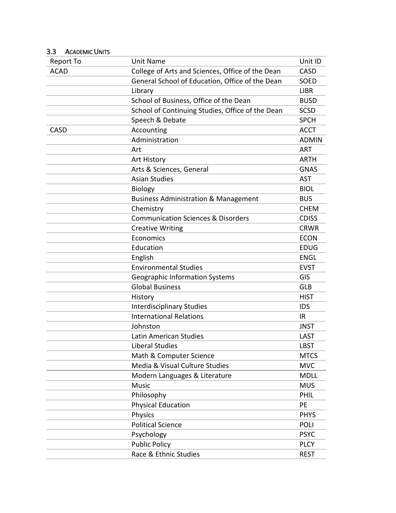| Report To   | <b>Unit Name</b>                                 | Unit ID      |
|-------------|--------------------------------------------------|--------------|
| <b>ACAD</b> | College of Arts and Sciences, Office of the Dean | <b>CASD</b>  |
|             | General School of Education, Office of the Dean  | SOED         |
|             | Library                                          | <b>LIBR</b>  |
|             | School of Business, Office of the Dean           | <b>BUSD</b>  |
|             | School of Continuing Studies, Office of the Dean | <b>SCSD</b>  |
|             | Speech & Debate                                  | <b>SPCH</b>  |
| CASD        | Accounting                                       | <b>ACCT</b>  |
|             | Administration                                   | <b>ADMIN</b> |
|             | Art                                              | <b>ART</b>   |
|             | Art History                                      | ARTH         |
|             | Arts & Sciences, General                         | <b>GNAS</b>  |
|             | <b>Asian Studies</b>                             | <b>AST</b>   |
|             | <b>Biology</b>                                   | <b>BIOL</b>  |
|             | <b>Business Administration &amp; Management</b>  | <b>BUS</b>   |
|             | Chemistry                                        | <b>CHEM</b>  |
|             | <b>Communication Sciences &amp; Disorders</b>    | <b>CDISS</b> |
|             | <b>Creative Writing</b>                          | <b>CRWR</b>  |
|             | Economics                                        | <b>ECON</b>  |
|             | Education                                        | <b>EDUG</b>  |
|             | English                                          | <b>ENGL</b>  |
|             | <b>Environmental Studies</b>                     | <b>EVST</b>  |
|             | <b>Geographic Information Systems</b>            | GIS          |
|             | <b>Global Business</b>                           | <b>GLB</b>   |
|             | History                                          | <b>HIST</b>  |
|             | <b>Interdisciplinary Studies</b>                 | <b>IDS</b>   |
|             | <b>International Relations</b>                   | <b>IR</b>    |
|             | Johnston                                         | <b>JNST</b>  |
|             | Latin American Studies                           | LAST         |
|             | <b>Liberal Studies</b>                           | LBST         |
|             | Math & Computer Science                          | <b>MTCS</b>  |
|             | Media & Visual Culture Studies                   | <b>MVC</b>   |
|             | Modern Languages & Literature                    | <b>MDLL</b>  |
|             | <b>Music</b>                                     | <b>MUS</b>   |
|             | Philosophy                                       | <b>PHIL</b>  |
|             | <b>Physical Education</b>                        | PE           |
|             | Physics                                          | <b>PHYS</b>  |
|             | <b>Political Science</b>                         | <b>POLI</b>  |
|             | Psychology                                       | <b>PSYC</b>  |
|             | <b>Public Policy</b>                             | <b>PLCY</b>  |
|             | Race & Ethnic Studies                            | <b>REST</b>  |

# 3.3 ACADEMIC UNITS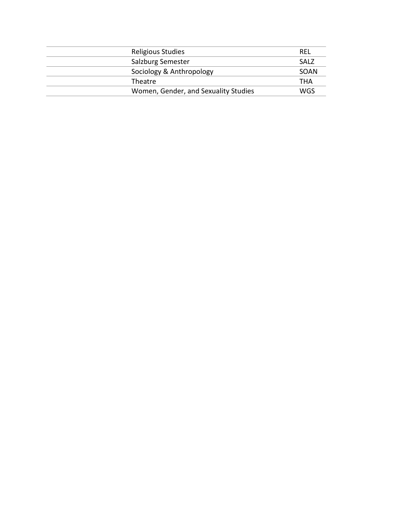| Religious Studies                    | REL        |
|--------------------------------------|------------|
| Salzburg Semester                    | SALZ       |
| Sociology & Anthropology             | SOAN       |
| Theatre                              | <b>THA</b> |
| Women, Gender, and Sexuality Studies | WGS        |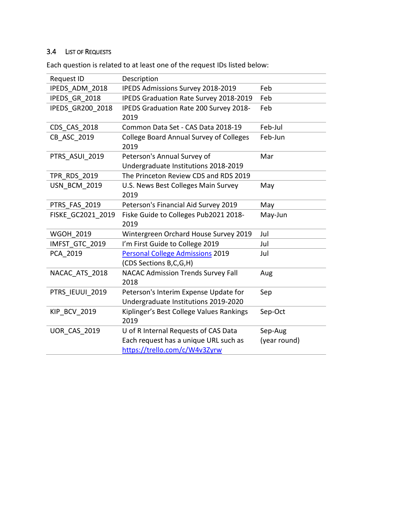# 3.4 LIST OF REQUESTS

| Request ID              | Description                                            |              |
|-------------------------|--------------------------------------------------------|--------------|
| IPEDS ADM_2018          | IPEDS Admissions Survey 2018-2019                      | Feb          |
| IPEDS GR 2018           | <b>IPEDS Graduation Rate Survey 2018-2019</b>          | Feb          |
| <b>IPEDS GR200 2018</b> | IPEDS Graduation Rate 200 Survey 2018-<br>2019         | Feb          |
| CDS CAS 2018            | Common Data Set - CAS Data 2018-19                     | Feb-Jul      |
| CB ASC 2019             | <b>College Board Annual Survey of Colleges</b><br>2019 | Feb-Jun      |
| PTRS ASUI 2019          | Peterson's Annual Survey of                            | Mar          |
|                         | Undergraduate Institutions 2018-2019                   |              |
| <b>TPR RDS 2019</b>     | The Princeton Review CDS and RDS 2019                  |              |
| <b>USN BCM 2019</b>     | U.S. News Best Colleges Main Survey                    | May          |
|                         | 2019                                                   |              |
| PTRS FAS 2019           | Peterson's Financial Aid Survey 2019                   | May          |
| FISKE GC2021 2019       | Fiske Guide to Colleges Pub2021 2018-<br>2019          | May-Jun      |
| <b>WGOH 2019</b>        | Wintergreen Orchard House Survey 2019                  | Jul          |
| IMFST GTC 2019          | I'm First Guide to College 2019                        | Jul          |
| PCA 2019                | <b>Personal College Admissions 2019</b>                | Jul          |
|                         | (CDS Sections B,C,G,H)                                 |              |
| NACAC ATS 2018          | <b>NACAC Admission Trends Survey Fall</b>              | Aug          |
|                         | 2018                                                   |              |
| PTRS IEUUI 2019         | Peterson's Interim Expense Update for                  | Sep          |
|                         | Undergraduate Institutions 2019-2020                   |              |
| <b>KIP BCV 2019</b>     | Kiplinger's Best College Values Rankings               | Sep-Oct      |
|                         | 2019                                                   |              |
| <b>UOR CAS 2019</b>     | U of R Internal Requests of CAS Data                   | Sep-Aug      |
|                         | Each request has a unique URL such as                  | (year round) |
|                         | https://trello.com/c/W4v3Zyrw                          |              |

Each question is related to at least one of the request IDs listed below: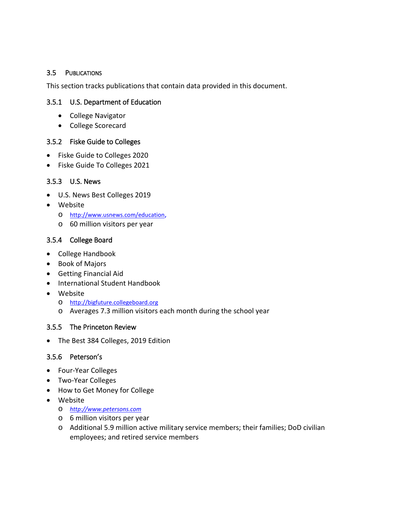### 3.5 PUBLICATIONS

This section tracks publications that contain data provided in this document.

### 3.5.1 U.S. Department of Education

- College Navigator
- College Scorecard

### 3.5.2 Fiske Guide to Colleges

- Fiske Guide to Colleges 2020
- Fiske Guide To Colleges 2021

## 3.5.3 U.S. News

- U.S. News Best Colleges 2019
- Website
	- o [http://www.usnews.com/education,](http://www.usnews.com/education)
	- o 60 million visitors per year

## 3.5.4 College Board

- College Handbook
- Book of Majors
- Getting Financial Aid
- International Student Handbook
- Website
	- o [http://bigfuture.collegeboard.org](http://bigfuture.collegeboard.org/)
	- o Averages 7.3 million visitors each month during the school year

### 3.5.5 The Princeton Review

• The Best 384 Colleges, 2019 Edition

### 3.5.6 Peterson's

- Four-Year Colleges
- Two-Year Colleges
- How to Get Money for College
- Website
	- o *[http://www.petersons.com](http://www.petersons.com/)*
	- o 6 million visitors per year
	- o Additional 5.9 million active military service members; their families; DoD civilian employees; and retired service members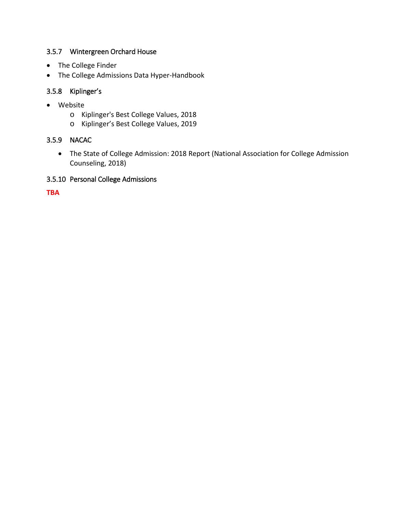## 3.5.7 Wintergreen Orchard House

- The College Finder
- The College Admissions Data Hyper-Handbook

## 3.5.8 Kiplinger's

- Website
	- o Kiplinger's Best College Values, 2018
	- o Kiplinger's Best College Values, 2019

## 3.5.9 NACAC

• The State of College Admission: 2018 Report (National Association for College Admission Counseling, 2018)

## 3.5.10 Personal College Admissions

**TBA**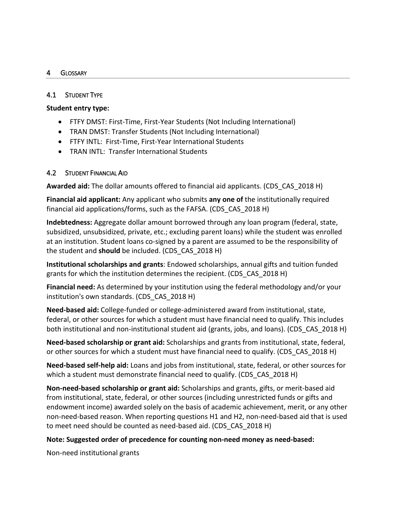#### 4 GLOSSARY

### 4.1 STUDENT TYPE

### **Student entry type:**

- FTFY DMST: First-Time, First-Year Students (Not Including International)
- TRAN DMST: Transfer Students (Not Including International)
- FTFY INTL: First-Time, First-Year International Students
- TRAN INTL: Transfer International Students

### 4.2 STUDENT FINANCIAL AID

**Awarded aid:** The dollar amounts offered to financial aid applicants. (CDS\_CAS\_2018 H)

**Financial aid applicant:** Any applicant who submits **any one of** the institutionally required financial aid applications/forms, such as the FAFSA. (CDS\_CAS\_2018 H)

**Indebtedness:** Aggregate dollar amount borrowed through any loan program (federal, state, subsidized, unsubsidized, private, etc.; excluding parent loans) while the student was enrolled at an institution. Student loans co-signed by a parent are assumed to be the responsibility of the student and **should** be included. (CDS\_CAS\_2018 H)

**Institutional scholarships and grants**: Endowed scholarships, annual gifts and tuition funded grants for which the institution determines the recipient. (CDS\_CAS\_2018 H)

**Financial need:** As determined by your institution using the federal methodology and/or your institution's own standards. (CDS\_CAS\_2018 H)

**Need-based aid:** College-funded or college-administered award from institutional, state, federal, or other sources for which a student must have financial need to qualify. This includes both institutional and non-institutional student aid (grants, jobs, and loans). (CDS CAS 2018 H)

**Need-based scholarship or grant aid:** Scholarships and grants from institutional, state, federal, or other sources for which a student must have financial need to qualify. (CDS\_CAS\_2018 H)

**Need-based self-help aid:** Loans and jobs from institutional, state, federal, or other sources for which a student must demonstrate financial need to qualify. (CDS\_CAS\_2018 H)

**Non-need-based scholarship or grant aid:** Scholarships and grants, gifts, or merit-based aid from institutional, state, federal, or other sources (including unrestricted funds or gifts and endowment income) awarded solely on the basis of academic achievement, merit, or any other non-need-based reason. When reporting questions H1 and H2, non-need-based aid that is used to meet need should be counted as need-based aid. (CDS\_CAS\_2018 H)

### **Note: Suggested order of precedence for counting non-need money as need-based:**

Non-need institutional grants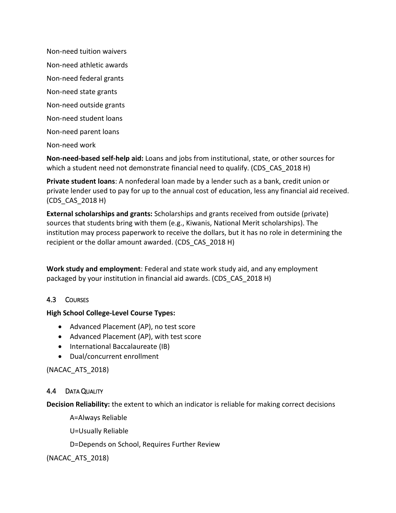Non-need tuition waivers Non-need athletic awards Non-need federal grants Non-need state grants Non-need outside grants Non-need student loans Non-need parent loans Non-need work

**Non-need-based self-help aid:** Loans and jobs from institutional, state, or other sources for which a student need not demonstrate financial need to qualify. (CDS\_CAS\_2018 H)

**Private student loans**: A nonfederal loan made by a lender such as a bank, credit union or private lender used to pay for up to the annual cost of education, less any financial aid received. (CDS\_CAS\_2018 H)

**External scholarships and grants:** Scholarships and grants received from outside (private) sources that students bring with them (e.g., Kiwanis, National Merit scholarships). The institution may process paperwork to receive the dollars, but it has no role in determining the recipient or the dollar amount awarded. (CDS\_CAS\_2018 H)

**Work study and employment**: Federal and state work study aid, and any employment packaged by your institution in financial aid awards. (CDS\_CAS\_2018 H)

## 4.3 COURSES

## **High School College-Level Course Types:**

- Advanced Placement (AP), no test score
- Advanced Placement (AP), with test score
- International Baccalaureate (IB)
- Dual/concurrent enrollment

(NACAC\_ATS\_2018)

## 4.4 DATA QUALITY

**Decision Reliability:** the extent to which an indicator is reliable for making correct decisions

A=Always Reliable

U=Usually Reliable

D=Depends on School, Requires Further Review

(NACAC\_ATS\_2018)